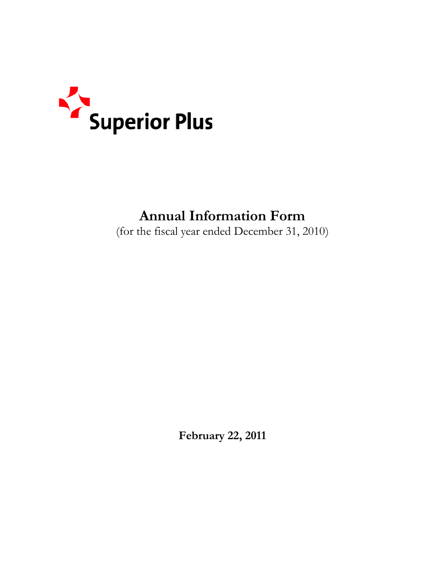

# **Annual Information Form**

(for the fiscal year ended December 31, 2010)

**February 22, 2011**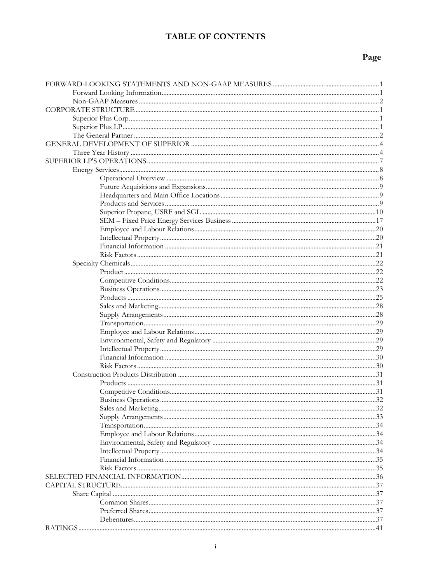# TABLE OF CONTENTS

# Page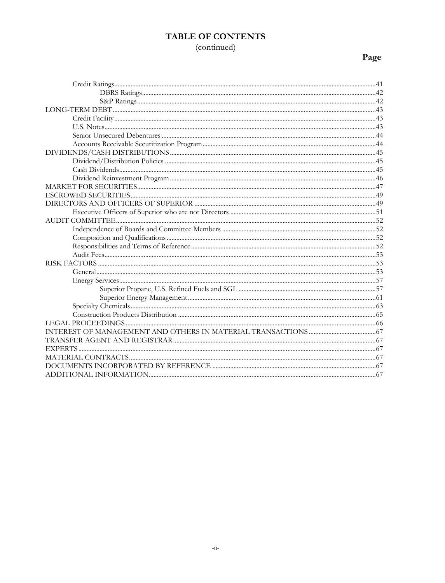# TABLE OF CONTENTS

(continued)

# Page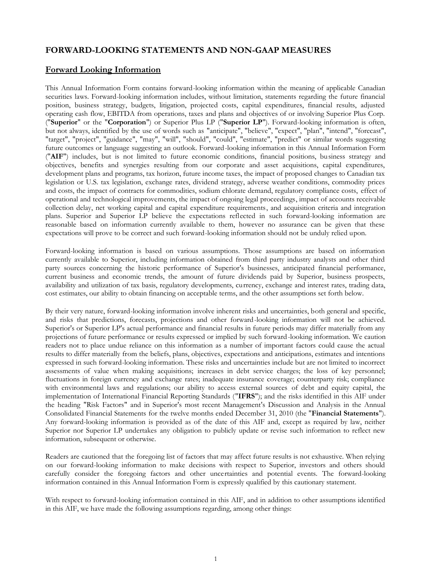## **FORWARD-LOOKING STATEMENTS AND NON-GAAP MEASURES**

### **Forward Looking Information**

This Annual Information Form contains forward-looking information within the meaning of applicable Canadian securities laws. Forward-looking information includes, without limitation, statements regarding the future financial position, business strategy, budgets, litigation, projected costs, capital expenditures, financial results, adjusted operating cash flow, EBITDA from operations, taxes and plans and objectives of or involving Superior Plus Corp. ("**Superior**" or the "**Corporation**") or Superior Plus LP ("**Superior LP**"). Forward-looking information is often, but not always, identified by the use of words such as "anticipate", "believe", "expect", "plan", "intend", "forecast", "target", "project", "guidance", "may", "will", "should", "could", "estimate", "predict" or similar words suggesting future outcomes or language suggesting an outlook. Forward-looking information in this Annual Information Form ("**AIF**") includes, but is not limited to future economic conditions, financial positions, business strategy and objectives, benefits and synergies resulting from our corporate and asset acquisitions, capital expenditures, development plans and programs, tax horizon, future income taxes, the impact of proposed changes to Canadian tax legislation or U.S. tax legislation, exchange rates, dividend strategy, adverse weather conditions, commodity prices and costs, the impact of contracts for commodities, sodium chlorate demand, regulatory compliance costs, effect of operational and technological improvements, the impact of ongoing legal proceedings, impact of accounts receivable collection delay, net working capital and capital expenditure requirements, and acquisition criteria and integration plans. Superior and Superior LP believe the expectations reflected in such forward-looking information are reasonable based on information currently available to them, however no assurance can be given that these expectations will prove to be correct and such forward-looking information should not be unduly relied upon.

Forward-looking information is based on various assumptions. Those assumptions are based on information currently available to Superior, including information obtained from third party industry analysts and other third party sources concerning the historic performance of Superior's businesses, anticipated financial performance, current business and economic trends, the amount of future dividends paid by Superior, business prospects, availability and utilization of tax basis, regulatory developments, currency, exchange and interest rates, trading data, cost estimates, our ability to obtain financing on acceptable terms, and the other assumptions set forth below.

By their very nature, forward-looking information involve inherent risks and uncertainties, both general and specific, and risks that predictions, forecasts, projections and other forward-looking information will not be achieved. Superior's or Superior LP's actual performance and financial results in future periods may differ materially from any projections of future performance or results expressed or implied by such forward-looking information. We caution readers not to place undue reliance on this information as a number of important factors could cause the actual results to differ materially from the beliefs, plans, objectives, expectations and anticipations, estimates and intentions expressed in such forward-looking information. These risks and uncertainties include but are not limited to incorrect assessments of value when making acquisitions; increases in debt service charges; the loss of key personnel; fluctuations in foreign currency and exchange rates; inadequate insurance coverage; counterparty risk; compliance with environmental laws and regulations; our ability to access external sources of debt and equity capital, the implementation of International Financial Reporting Standards ("**IFRS**"); and the risks identified in this AIF under the heading "Risk Factors" and in Superior's most recent Management's Discussion and Analysis in the Annual Consolidated Financial Statements for the twelve months ended December 31, 2010 (the "**Financial Statements**"). Any forward-looking information is provided as of the date of this AIF and, except as required by law, neither Superior nor Superior LP undertakes any obligation to publicly update or revise such information to reflect new information, subsequent or otherwise.

Readers are cautioned that the foregoing list of factors that may affect future results is not exhaustive. When relying on our forward-looking information to make decisions with respect to Superior, investors and others should carefully consider the foregoing factors and other uncertainties and potential events. The forward-looking information contained in this Annual Information Form is expressly qualified by this cautionary statement.

With respect to forward-looking information contained in this AIF, and in addition to other assumptions identified in this AIF, we have made the following assumptions regarding, among other things: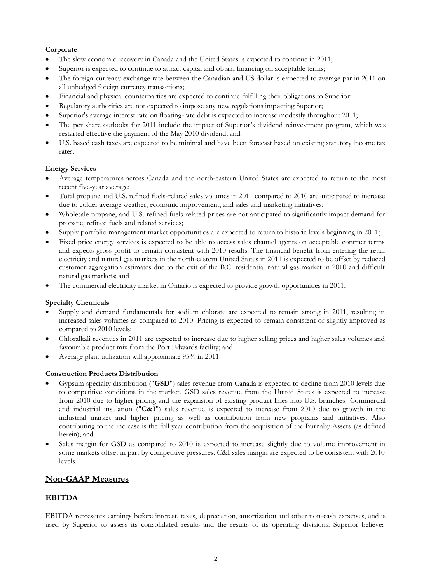### **Corporate**

- The slow economic recovery in Canada and the United States is expected to continue in 2011;
- Superior is expected to continue to attract capital and obtain financing on acceptable terms;
- The foreign currency exchange rate between the Canadian and US dollar is expected to average par in 2011 on all unhedged foreign currency transactions;
- Financial and physical counterparties are expected to continue fulfilling their obligations to Superior;
- Regulatory authorities are not expected to impose any new regulations impacting Superior;
- Superior's average interest rate on floating-rate debt is expected to increase modestly throughout 2011;
- The per share outlooks for 2011 include the impact of Superior's dividend reinvestment program, which was restarted effective the payment of the May 2010 dividend; and
- U.S. based cash taxes are expected to be minimal and have been forecast based on existing statutory income tax rates.

#### **Energy Services**

- Average temperatures across Canada and the north-eastern United States are expected to return to the most recent five-year average;
- Total propane and U.S. refined fuels-related sales volumes in 2011 compared to 2010 are anticipated to increase due to colder average weather, economic improvement, and sales and marketing initiatives;
- Wholesale propane, and U.S. refined fuels-related prices are not anticipated to significantly impact demand for propane, refined fuels and related services;
- Supply portfolio management market opportunities are expected to return to historic levels beginning in 2011;
- Fixed price energy services is expected to be able to access sales channel agents on acceptable contract terms and expects gross profit to remain consistent with 2010 results. The financial benefit from entering the retail electricity and natural gas markets in the north-eastern United States in 2011 is expected to be offset by reduced customer aggregation estimates due to the exit of the B.C. residential natural gas market in 2010 and difficult natural gas markets; and
- The commercial electricity market in Ontario is expected to provide growth opportunities in 2011.

## **Specialty Chemicals**

- Supply and demand fundamentals for sodium chlorate are expected to remain strong in 2011, resulting in increased sales volumes as compared to 2010. Pricing is expected to remain consistent or slightly improved as compared to 2010 levels;
- Chloralkali revenues in 2011 are expected to increase due to higher selling prices and higher sales volumes and favourable product mix from the Port Edwards facility; and
- Average plant utilization will approximate 95% in 2011.

## **Construction Products Distribution**

- Gypsum specialty distribution ("**GSD**") sales revenue from Canada is expected to decline from 2010 levels due to competitive conditions in the market. GSD sales revenue from the United States is expected to increase from 2010 due to higher pricing and the expansion of existing product lines into U.S. branches. Commercial and industrial insulation ("**C&I**") sales revenue is expected to increase from 2010 due to growth in the industrial market and higher pricing as well as contribution from new programs and initiatives. Also contributing to the increase is the full year contribution from the acquisition of the Burnaby Assets (as defined herein); and
- Sales margin for GSD as compared to 2010 is expected to increase slightly due to volume improvement in some markets offset in part by competitive pressures. C&I sales margin are expected to be consistent with 2010 levels.

## **Non-GAAP Measures**

## *EBITDA*

EBITDA represents earnings before interest, taxes, depreciation, amortization and other non-cash expenses, and is used by Superior to assess its consolidated results and the results of its operating divisions. Superior believes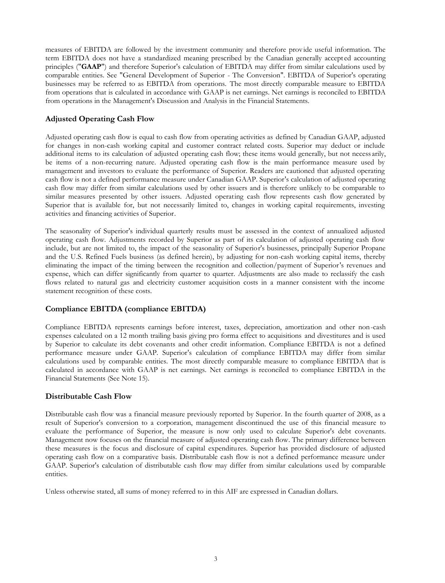measures of EBITDA are followed by the investment community and therefore provide useful information. The term EBITDA does not have a standardized meaning prescribed by the Canadian generally accepted accounting principles ("**GAAP**") and therefore Superior's calculation of EBITDA may differ from similar calculations used by comparable entities. See "General Development of Superior - The Conversion". EBITDA of Superior's operating businesses may be referred to as EBITDA from operations. The most directly comparable measure to EBITDA from operations that is calculated in accordance with GAAP is net earnings. Net earnings is reconciled to EBITDA from operations in the Management's Discussion and Analysis in the Financial Statements.

### *Adjusted Operating Cash Flow*

Adjusted operating cash flow is equal to cash flow from operating activities as defined by Canadian GAAP, adjusted for changes in non-cash working capital and customer contract related costs. Superior may deduct or include additional items to its calculation of adjusted operating cash flow; these items would generally, but not necess arily, be items of a non-recurring nature. Adjusted operating cash flow is the main performance measure used by management and investors to evaluate the performance of Superior. Readers are cautioned that adjusted operating cash flow is not a defined performance measure under Canadian GAAP. Superior's calculation of adjusted operating cash flow may differ from similar calculations used by other issuers and is therefore unlikely to be comparable to similar measures presented by other issuers. Adjusted operating cash flow represents cash flow generated by Superior that is available for, but not necessarily limited to, changes in working capital requirements, investing activities and financing activities of Superior.

The seasonality of Superior's individual quarterly results must be assessed in the context of annualized adjusted operating cash flow. Adjustments recorded by Superior as part of its calculation of adjusted operating cash flow include, but are not limited to, the impact of the seasonality of Superior's businesses, principally Superior Propane and the U.S. Refined Fuels business (as defined herein), by adjusting for non-cash working capital items, thereby eliminating the impact of the timing between the recognition and collection/payment of Superior's revenues and expense, which can differ significantly from quarter to quarter. Adjustments are also made to reclassify the cash flows related to natural gas and electricity customer acquisition costs in a manner consistent with the income statement recognition of these costs.

#### *Compliance EBITDA (compliance EBITDA)*

Compliance EBITDA represents earnings before interest, taxes, depreciation, amortization and other non-cash expenses calculated on a 12 month trailing basis giving pro forma effect to acquisitions and divestitures and is used by Superior to calculate its debt covenants and other credit information. Compliance EBITDA is not a defined performance measure under GAAP. Superior's calculation of compliance EBITDA may differ from similar calculations used by comparable entities. The most directly comparable measure to compliance EBITDA that is calculated in accordance with GAAP is net earnings. Net earnings is reconciled to compliance EBITDA in the Financial Statements (See Note 15).

#### *Distributable Cash Flow*

Distributable cash flow was a financial measure previously reported by Superior. In the fourth quarter of 2008, as a result of Superior's conversion to a corporation, management discontinued the use of this financial measure to evaluate the performance of Superior, the measure is now only used to calculate Superior's debt covenants. Management now focuses on the financial measure of adjusted operating cash flow. The primary difference between these measures is the focus and disclosure of capital expenditures. Superior has provided disclosure of adjusted operating cash flow on a comparative basis. Distributable cash flow is not a defined performance measure under GAAP. Superior's calculation of distributable cash flow may differ from similar calculations used by comparable entities.

Unless otherwise stated, all sums of money referred to in this AIF are expressed in Canadian dollars.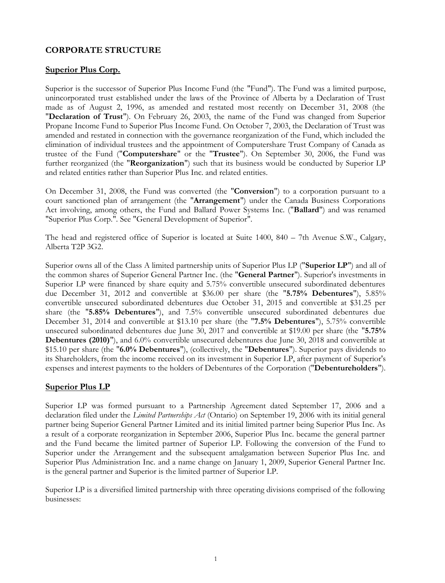# **CORPORATE STRUCTURE**

## **Superior Plus Corp.**

Superior is the successor of Superior Plus Income Fund (the "Fund"). The Fund was a limited purpose, unincorporated trust established under the laws of the Province of Alberta by a Declaration of Trust made as of August 2, 1996, as amended and restated most recently on December 31, 2008 (the "**Declaration of Trust**"). On February 26, 2003, the name of the Fund was changed from Superior Propane Income Fund to Superior Plus Income Fund. On October 7, 2003, the Declaration of Trust was amended and restated in connection with the governance reorganization of the Fund, which included the elimination of individual trustees and the appointment of Computershare Trust Company of Canada as trustee of the Fund ("**Computershare**" or the "**Trustee**"). On September 30, 2006, the Fund was further reorganized (the "**Reorganization**") such that its business would be conducted by Superior LP and related entities rather than Superior Plus Inc. and related entities.

On December 31, 2008, the Fund was converted (the "**Conversion**") to a corporation pursuant to a court sanctioned plan of arrangement (the "**Arrangement**") under the Canada Business Corporations Act involving, among others, the Fund and Ballard Power Systems Inc. ("**Ballard**") and was renamed "Superior Plus Corp.". See "General Development of Superior".

The head and registered office of Superior is located at Suite 1400, 840 – 7th Avenue S.W., Calgary, Alberta T2P 3G2.

Superior owns all of the Class A limited partnership units of Superior Plus LP ("**Superior LP**") and all of the common shares of Superior General Partner Inc. (the "**General Partner**"). Superior's investments in Superior LP were financed by share equity and 5.75% convertible unsecured subordinated debentures due December 31, 2012 and convertible at \$36.00 per share (the "**5.75% Debentures**"), 5.85% convertible unsecured subordinated debentures due October 31, 2015 and convertible at \$31.25 per share (the "**5.85% Debentures**"), and 7.5% convertible unsecured subordinated debentures due December 31, 2014 and convertible at \$13.10 per share (the "**7.5% Debentures**"), 5.75% convertible unsecured subordinated debentures due June 30, 2017 and convertible at \$19.00 per share (the "**5.75% Debentures (2010)**"), and 6.0% convertible unsecured debentures due June 30, 2018 and convertible at \$15.10 per share (the "**6.0% Debentures**"), (collectively, the "**Debentures**"). Superior pays dividends to its Shareholders, from the income received on its investment in Superior LP, after payment of Superior's expenses and interest payments to the holders of Debentures of the Corporation ("**Debentureholders**").

# **Superior Plus LP**

Superior LP was formed pursuant to a Partnership Agreement dated September 17, 2006 and a declaration filed under the *Limited Partnerships Act* (Ontario) on September 19, 2006 with its initial general partner being Superior General Partner Limited and its initial limited partner being Superior Plus Inc. As a result of a corporate reorganization in September 2006, Superior Plus Inc. became the general partner and the Fund became the limited partner of Superior LP. Following the conversion of the Fund to Superior under the Arrangement and the subsequent amalgamation between Superior Plus Inc. and Superior Plus Administration Inc. and a name change on January 1, 2009, Superior General Partner Inc. is the general partner and Superior is the limited partner of Superior LP.

Superior LP is a diversified limited partnership with three operating divisions comprised of the following businesses: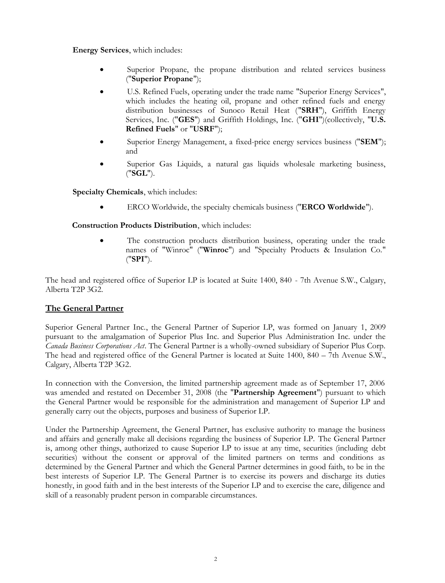**Energy Services**, which includes:

- Superior Propane, the propane distribution and related services business ("**Superior Propane**");
- U.S. Refined Fuels, operating under the trade name "Superior Energy Services", which includes the heating oil, propane and other refined fuels and energy distribution businesses of Sunoco Retail Heat ("**SRH**"), Griffith Energy Services, Inc. ("**GES**") and Griffith Holdings, Inc. ("**GHI**")(collectively, "**U.S. Refined Fuels**" or "**USRF**");
- Superior Energy Management, a fixed-price energy services business ("**SEM**"); and
- Superior Gas Liquids, a natural gas liquids wholesale marketing business, ("**SGL**").

**Specialty Chemicals**, which includes:

ERCO Worldwide, the specialty chemicals business ("**ERCO Worldwide**").

**Construction Products Distribution**, which includes:

 The construction products distribution business, operating under the trade names of "Winroc" ("**Winroc**") and "Specialty Products & Insulation Co." ("**SPI**").

The head and registered office of Superior LP is located at Suite 1400, 840 - 7th Avenue S.W., Calgary, Alberta T2P 3G2.

# **The General Partner**

Superior General Partner Inc., the General Partner of Superior LP, was formed on January 1, 2009 pursuant to the amalgamation of Superior Plus Inc. and Superior Plus Administration Inc. under the *Canada Business Corporations Act*. The General Partner is a wholly-owned subsidiary of Superior Plus Corp. The head and registered office of the General Partner is located at Suite 1400, 840 – 7th Avenue S.W., Calgary, Alberta T2P 3G2.

In connection with the Conversion, the limited partnership agreement made as of September 17, 2006 was amended and restated on December 31, 2008 (the "**Partnership Agreement**") pursuant to which the General Partner would be responsible for the administration and management of Superior LP and generally carry out the objects, purposes and business of Superior LP.

Under the Partnership Agreement, the General Partner, has exclusive authority to manage the business and affairs and generally make all decisions regarding the business of Superior LP. The General Partner is, among other things, authorized to cause Superior LP to issue at any time, securities (including debt securities) without the consent or approval of the limited partners on terms and conditions as determined by the General Partner and which the General Partner determines in good faith, to be in the best interests of Superior LP. The General Partner is to exercise its powers and discharge its duties honestly, in good faith and in the best interests of the Superior LP and to exercise the care, diligence and skill of a reasonably prudent person in comparable circumstances.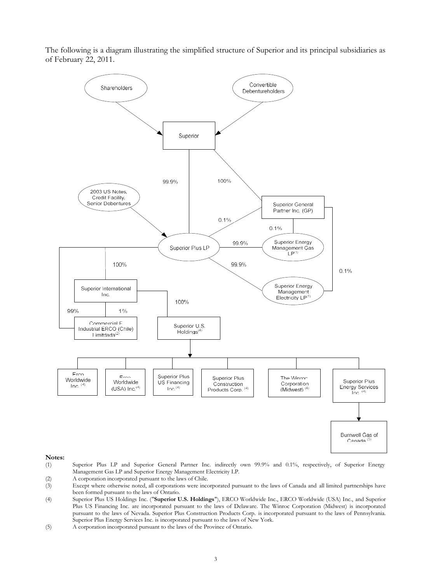The following is a diagram illustrating the simplified structure of Superior and its principal subsidiaries as of February 22, 2011.



#### **Notes:**

- (1) Superior Plus LP and Superior General Partner Inc. indirectly own 99.9% and 0.1%, respectively, of Superior Energy Management Gas LP and Superior Energy Management Electricity LP.
- (2) A corporation incorporated pursuant to the laws of Chile.<br>
(3) Except where otherwise noted, all corporations were inco
- Except where otherwise noted, all corporations were incorporated pursuant to the laws of Canada and all limited partnerships have been formed pursuant to the laws of Ontario.
- (4) Superior Plus US Holdings Inc. ("**Superior U.S. Holdings**"), ERCO Worldwide Inc., ERCO Worldwide (USA) Inc., and Superior Plus US Financing Inc. are incorporated pursuant to the laws of Delaware. The Winroc Corporation (Midwest) is incorporated pursuant to the laws of Nevada. Superior Plus Construction Products Corp. is incorporated pursuant to the laws of Pennsylvania. Superior Plus Energy Services Inc. is incorporated pursuant to the laws of New York.
- (5) A corporation incorporated pursuant to the laws of the Province of Ontario.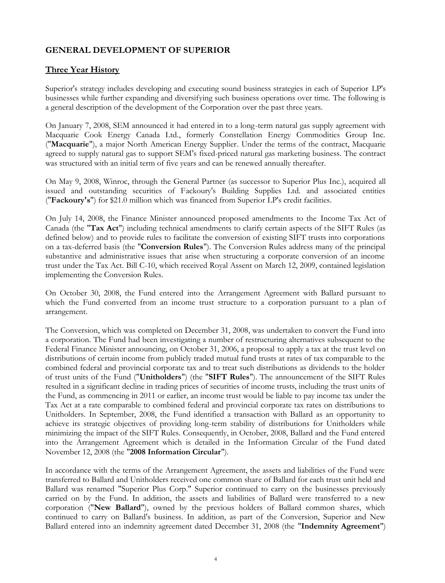# **GENERAL DEVELOPMENT OF SUPERIOR**

## **Three Year History**

Superior's strategy includes developing and executing sound business strategies in each of Superior LP's businesses while further expanding and diversifying such business operations over time. The following is a general description of the development of the Corporation over the past three years.

On January 7, 2008, SEM announced it had entered in to a long-term natural gas supply agreement with Macquarie Cook Energy Canada Ltd., formerly Constellation Energy Commodities Group Inc. ("**Macquarie**"), a major North American Energy Supplier. Under the terms of the contract, Macquarie agreed to supply natural gas to support SEM's fixed-priced natural gas marketing business. The contract was structured with an initial term of five years and can be renewed annually thereafter.

On May 9, 2008, Winroc, through the General Partner (as successor to Superior Plus Inc.), acquired all issued and outstanding securities of Fackoury's Building Supplies Ltd. and associated entities ("**Fackoury's**") for \$21.0 million which was financed from Superior LP's credit facilities.

On July 14, 2008, the Finance Minister announced proposed amendments to the Income Tax Act of Canada (the "**Tax Act**") including technical amendments to clarify certain aspects of the SIFT Rules (as defined below) and to provide rules to facilitate the conversion of existing SIFT trusts into corporations on a tax-deferred basis (the "**Conversion Rules**"). The Conversion Rules address many of the principal substantive and administrative issues that arise when structuring a corporate conversion of an income trust under the Tax Act. Bill C-10, which received Royal Assent on March 12, 2009, contained legislation implementing the Conversion Rules.

On October 30, 2008, the Fund entered into the Arrangement Agreement with Ballard pursuant to which the Fund converted from an income trust structure to a corporation pursuant to a plan of arrangement.

The Conversion, which was completed on December 31, 2008, was undertaken to convert the Fund into a corporation. The Fund had been investigating a number of restructuring alternatives subsequent to the Federal Finance Minister announcing, on October 31, 2006, a proposal to apply a tax at the trust level on distributions of certain income from publicly traded mutual fund trusts at rates of tax comparable to the combined federal and provincial corporate tax and to treat such distributions as dividends to the holder of trust units of the Fund ("**Unitholders**") (the "**SIFT Rules**"). The announcement of the SIFT Rules resulted in a significant decline in trading prices of securities of income trusts, including the trust units of the Fund, as commencing in 2011 or earlier, an income trust would be liable to pay income tax under the Tax Act at a rate comparable to combined federal and provincial corporate tax rates on distributions to Unitholders. In September, 2008, the Fund identified a transaction with Ballard as an opportunity to achieve its strategic objectives of providing long-term stability of distributions for Unitholders while minimizing the impact of the SIFT Rules. Consequently, in October, 2008, Ballard and the Fund entered into the Arrangement Agreement which is detailed in the Information Circular of the Fund dated November 12, 2008 (the "**2008 Information Circular**").

In accordance with the terms of the Arrangement Agreement, the assets and liabilities of the Fund were transferred to Ballard and Unitholders received one common share of Ballard for each trust unit held and Ballard was renamed "Superior Plus Corp." Superior continued to carry on the businesses previously carried on by the Fund. In addition, the assets and liabilities of Ballard were transferred to a new corporation ("**New Ballard**"), owned by the previous holders of Ballard common shares, which continued to carry on Ballard's business. In addition, as part of the Conversion, Superior and New Ballard entered into an indemnity agreement dated December 31, 2008 (the "**Indemnity Agreement**")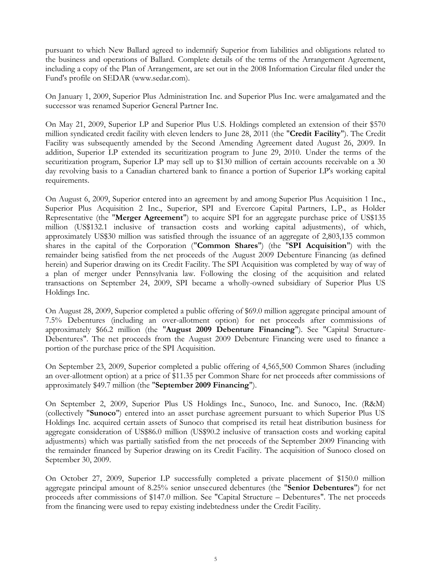pursuant to which New Ballard agreed to indemnify Superior from liabilities and obligations related to the business and operations of Ballard. Complete details of the terms of the Arrangement Agreement, including a copy of the Plan of Arrangement, are set out in the 2008 Information Circular filed under the Fund's profile on SEDAR (www[.sedar.com\).](www.sedar.com)

On January 1, 2009, Superior Plus Administration Inc. and Superior Plus Inc. were amalgamated and the successor was renamed Superior General Partner Inc.

On May 21, 2009, Superior LP and Superior Plus U.S. Holdings completed an extension of their \$570 million syndicated credit facility with eleven lenders to June 28, 2011 (the "**Credit Facility**"). The Credit Facility was subsequently amended by the Second Amending Agreement dated August 26, 2009. In addition, Superior LP extended its securitization program to June 29, 2010. Under the terms of the securitization program, Superior LP may sell up to \$130 million of certain accounts receivable on a 30 day revolving basis to a Canadian chartered bank to finance a portion of Superior LP's working capital requirements.

On August 6, 2009, Superior entered into an agreement by and among Superior Plus Acquisition 1 Inc., Superior Plus Acquisition 2 Inc., Superior, SPI and Evercore Capital Partners, L.P., as Holder Representative (the "**Merger Agreement**") to acquire SPI for an aggregate purchase price of US\$135 million (US\$132.1 inclusive of transaction costs and working capital adjustments), of which, approximately US\$30 million was satisfied through the issuance of an aggregate of 2,803,135 common shares in the capital of the Corporation ("**Common Shares**") (the "**SPI Acquisition**") with the remainder being satisfied from the net proceeds of the August 2009 Debenture Financing (as defined herein) and Superior drawing on its Credit Facility. The SPI Acquisition was completed by way of way of a plan of merger under Pennsylvania law. Following the closing of the acquisition and related transactions on September 24, 2009, SPI became a wholly-owned subsidiary of Superior Plus US Holdings Inc.

On August 28, 2009, Superior completed a public offering of \$69.0 million aggregate principal amount of 7.5% Debentures (including an over-allotment option) for net proceeds after commissions of approximately \$66.2 million (the "**August 2009 Debenture Financing**"). See "Capital Structure-Debentures". The net proceeds from the August 2009 Debenture Financing were used to finance a portion of the purchase price of the SPI Acquisition.

On September 23, 2009, Superior completed a public offering of 4,565,500 Common Shares (including an over-allotment option) at a price of \$11.35 per Common Share for net proceeds after commissions of approximately \$49.7 million (the "**September 2009 Financing**").

On September 2, 2009, Superior Plus US Holdings Inc., Sunoco, Inc. and Sunoco, Inc. (R&M) (collectively "**Sunoco**") entered into an asset purchase agreement pursuant to which Superior Plus US Holdings Inc. acquired certain assets of Sunoco that comprised its retail heat distribution business for aggregate consideration of US\$86.0 million (US\$90.2 inclusive of transaction costs and working capital adjustments) which was partially satisfied from the net proceeds of the September 2009 Financing with the remainder financed by Superior drawing on its Credit Facility. The acquisition of Sunoco closed on September 30, 2009.

On October 27, 2009, Superior LP successfully completed a private placement of \$150.0 million aggregate principal amount of 8.25% senior unsecured debentures (the "**Senior Debentures**") for net proceeds after commissions of \$147.0 million. See "Capital Structure – Debentures". The net proceeds from the financing were used to repay existing indebtedness under the Credit Facility.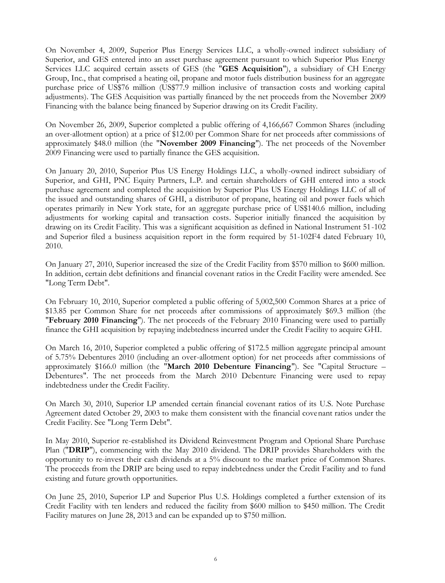On November 4, 2009, Superior Plus Energy Services LLC, a wholly-owned indirect subsidiary of Superior, and GES entered into an asset purchase agreement pursuant to which Superior Plus Energy Services LLC acquired certain assets of GES (the "**GES Acquisition**"), a subsidiary of CH Energy Group, Inc., that comprised a heating oil, propane and motor fuels distribution business for an aggregate purchase price of US\$76 million (US\$77.9 million inclusive of transaction costs and working capital adjustments). The GES Acquisition was partially financed by the net proceeds from the November 2009 Financing with the balance being financed by Superior drawing on its Credit Facility.

On November 26, 2009, Superior completed a public offering of 4,166,667 Common Shares (including an over-allotment option) at a price of \$12.00 per Common Share for net proceeds after commissions of approximately \$48.0 million (the "**November 2009 Financing**"). The net proceeds of the November 2009 Financing were used to partially finance the GES acquisition.

On January 20, 2010, Superior Plus US Energy Holdings LLC, a wholly-owned indirect subsidiary of Superior, and GHI, PNC Equity Partners, L.P. and certain shareholders of GHI entered into a stock purchase agreement and completed the acquisition by Superior Plus US Energy Holdings LLC of all of the issued and outstanding shares of GHI, a distributor of propane, heating oil and power fuels which operates primarily in New York state, for an aggregate purchase price of US\$140.6 million, including adjustments for working capital and transaction costs. Superior initially financed the acquisition by drawing on its Credit Facility. This was a significant acquisition as defined in National Instrument 51-102 and Superior filed a business acquisition report in the form required by 51-102F4 dated February 10, 2010.

On January 27, 2010, Superior increased the size of the Credit Facility from \$570 million to \$600 million. In addition, certain debt definitions and financial covenant ratios in the Credit Facility were amended. See "Long Term Debt".

On February 10, 2010, Superior completed a public offering of 5,002,500 Common Shares at a price of \$13.85 per Common Share for net proceeds after commissions of approximately \$69.3 million (the "**February 2010 Financing**"). The net proceeds of the February 2010 Financing were used to partially finance the GHI acquisition by repaying indebtedness incurred under the Credit Facility to acquire GHI.

On March 16, 2010, Superior completed a public offering of \$172.5 million aggregate principal amount of 5.75% Debentures 2010 (including an over-allotment option) for net proceeds after commissions of approximately \$166.0 million (the "**March 2010 Debenture Financing**"). See "Capital Structure – Debentures". The net proceeds from the March 2010 Debenture Financing were used to repay indebtedness under the Credit Facility.

On March 30, 2010, Superior LP amended certain financial covenant ratios of its U.S. Note Purchase Agreement dated October 29, 2003 to make them consistent with the financial covenant ratios under the Credit Facility. See "Long Term Debt".

In May 2010, Superior re-established its Dividend Reinvestment Program and Optional Share Purchase Plan ("**DRIP**"), commencing with the May 2010 dividend. The DRIP provides Shareholders with the opportunity to re-invest their cash dividends at a 5% discount to the market price of Common Shares. The proceeds from the DRIP are being used to repay indebtedness under the Credit Facility and to fund existing and future growth opportunities.

On June 25, 2010, Superior LP and Superior Plus U.S. Holdings completed a further extension of its Credit Facility with ten lenders and reduced the facility from \$600 million to \$450 million. The Credit Facility matures on June 28, 2013 and can be expanded up to \$750 million.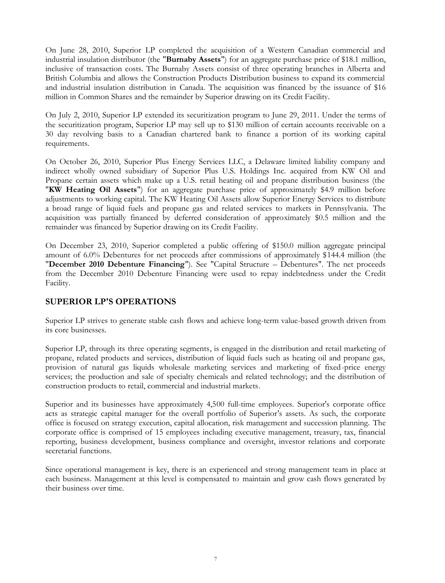On June 28, 2010, Superior LP completed the acquisition of a Western Canadian commercial and industrial insulation distributor (the "**Burnaby Assets**") for an aggregate purchase price of \$18.1 million, inclusive of transaction costs. The Burnaby Assets consist of three operating branches in Alberta and British Columbia and allows the Construction Products Distribution business to expand its commercial and industrial insulation distribution in Canada. The acquisition was financed by the issuance of \$16 million in Common Shares and the remainder by Superior drawing on its Credit Facility.

On July 2, 2010, Superior LP extended its securitization program to June 29, 2011. Under the terms of the securitization program, Superior LP may sell up to \$130 million of certain accounts receivable on a 30 day revolving basis to a Canadian chartered bank to finance a portion of its working capital requirements.

On October 26, 2010, Superior Plus Energy Services LLC, a Delaware limited liability company and indirect wholly owned subsidiary of Superior Plus U.S. Holdings Inc. acquired from KW Oil and Propane certain assets which make up a U.S. retail heating oil and propane distribution business (the "**KW Heating Oil Assets**") for an aggregate purchase price of approximately \$4.9 million before adjustments to working capital. The KW Heating Oil Assets allow Superior Energy Services to distribute a broad range of liquid fuels and propane gas and related services to markets in Pennsylvania. The acquisition was partially financed by deferred consideration of approximately \$0.5 million and the remainder was financed by Superior drawing on its Credit Facility.

On December 23, 2010, Superior completed a public offering of \$150.0 million aggregate principal amount of 6.0% Debentures for net proceeds after commissions of approximately \$144.4 million (the "**December 2010 Debenture Financing**"). See "Capital Structure – Debentures". The net proceeds from the December 2010 Debenture Financing were used to repay indebtedness under the Credit Facility.

## **SUPERIOR LP'S OPERATIONS**

Superior LP strives to generate stable cash flows and achieve long-term value-based growth driven from its core businesses.

Superior LP, through its three operating segments, is engaged in the distribution and retail marketing of propane, related products and services, distribution of liquid fuels such as heating oil and propane gas, provision of natural gas liquids wholesale marketing services and marketing of fixed-price energy services; the production and sale of specialty chemicals and related technology; and the distribution of construction products to retail, commercial and industrial markets.

Superior and its businesses have approximately 4,500 full-time employees. Superior's corporate office acts as strategic capital manager for the overall portfolio of Superior's assets. As such, the corporate office is focused on strategy execution, capital allocation, risk management and succession planning. The corporate office is comprised of 15 employees including executive management, treasury, tax, financial reporting, business development, business compliance and oversight, investor relations and corporate secretarial functions.

Since operational management is key, there is an experienced and strong management team in place at each business. Management at this level is compensated to maintain and grow cash flows generated by their business over time.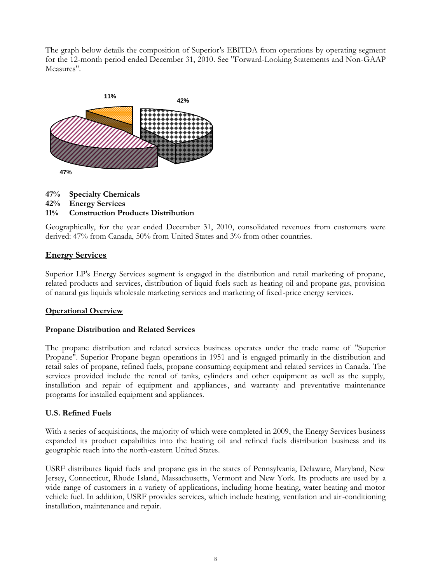The graph below details the composition of Superior's EBITDA from operations by operating segment for the 12-month period ended December 31, 2010. See "Forward-Looking Statements and Non-GAAP Measures".



**47% Specialty Chemicals**

**42% Energy Services**

## **11% Construction Products Distribution**

Geographically, for the year ended December 31, 2010, consolidated revenues from customers were derived: 47% from Canada, 50% from United States and 3% from other countries.

## **Energy Services**

Superior LP's Energy Services segment is engaged in the distribution and retail marketing of propane, related products and services, distribution of liquid fuels such as heating oil and propane gas, provision of natural gas liquids wholesale marketing services and marketing of fixed-price energy services.

## *Operational Overview*

## *Propane Distribution and Related Services*

The propane distribution and related services business operates under the trade name of "Superior Propane". Superior Propane began operations in 1951 and is engaged primarily in the distribution and retail sales of propane, refined fuels, propane consuming equipment and related services in Canada. The services provided include the rental of tanks, cylinders and other equipment as well as the supply, installation and repair of equipment and appliances, and warranty and preventative maintenance programs for installed equipment and appliances.

## *U.S. Refined Fuels*

With a series of acquisitions, the majority of which were completed in 2009, the Energy Services business expanded its product capabilities into the heating oil and refined fuels distribution business and its geographic reach into the north-eastern United States.

USRF distributes liquid fuels and propane gas in the states of Pennsylvania, Delaware, Maryland, New Jersey, Connecticut, Rhode Island, Massachusetts, Vermont and New York. Its products are used by a wide range of customers in a variety of applications, including home heating, water heating and motor vehicle fuel. In addition, USRF provides services, which include heating, ventilation and air-conditioning installation, maintenance and repair.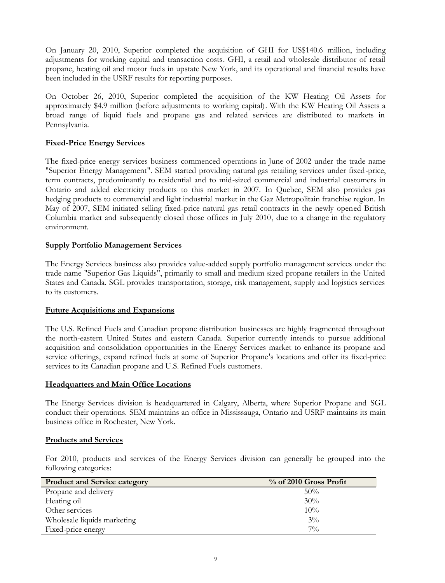On January 20, 2010, Superior completed the acquisition of GHI for US\$140.6 million, including adjustments for working capital and transaction costs. GHI, a retail and wholesale distributor of retail propane, heating oil and motor fuels in upstate New York, and its operational and financial results have been included in the USRF results for reporting purposes.

On October 26, 2010, Superior completed the acquisition of the KW Heating Oil Assets for approximately \$4.9 million (before adjustments to working capital). With the KW Heating Oil Assets a broad range of liquid fuels and propane gas and related services are distributed to markets in Pennsylvania.

## *Fixed-Price Energy Services*

The fixed-price energy services business commenced operations in June of 2002 under the trade name "Superior Energy Management". SEM started providing natural gas retailing services under fixed-price, term contracts, predominantly to residential and to mid-sized commercial and industrial customers in Ontario and added electricity products to this market in 2007. In Quebec, SEM also provides gas hedging products to commercial and light industrial market in the Gaz Metropolitain franchise region. In May of 2007, SEM initiated selling fixed-price natural gas retail contracts in the newly opened British Columbia market and subsequently closed those offices in July 2010, due to a change in the regulatory environment.

## *Supply Portfolio Management Services*

The Energy Services business also provides value-added supply portfolio management services under the trade name "Superior Gas Liquids", primarily to small and medium sized propane retailers in the United States and Canada. SGL provides transportation, storage, risk management, supply and logistics services to its customers.

## *Future Acquisitions and Expansions*

The U.S. Refined Fuels and Canadian propane distribution businesses are highly fragmented throughout the north-eastern United States and eastern Canada. Superior currently intends to pursue additional acquisition and consolidation opportunities in the Energy Services market to enhance its propane and service offerings, expand refined fuels at some of Superior Propane's locations and offer its fixed-price services to its Canadian propane and U.S. Refined Fuels customers.

## *Headquarters and Main Office Locations*

The Energy Services division is headquartered in Calgary, Alberta, where Superior Propane and SGL conduct their operations. SEM maintains an office in Mississauga, Ontario and USRF maintains its main business office in Rochester, New York.

## *Products and Services*

For 2010, products and services of the Energy Services division can generally be grouped into the following categories:

| <b>Product and Service category</b> | % of 2010 Gross Profit |
|-------------------------------------|------------------------|
| Propane and delivery                | $50\%$                 |
| Heating oil                         | 30%                    |
| Other services                      | 10%                    |
| Wholesale liquids marketing         | $3\%$                  |
| Fixed-price energy                  | $7\%$                  |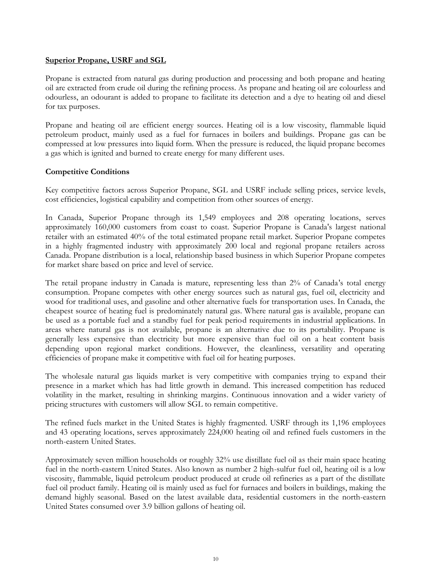## *Superior Propane, USRF and SGL*

Propane is extracted from natural gas during production and processing and both propane and heating oil are extracted from crude oil during the refining process. As propane and heating oil are colourless and odourless, an odourant is added to propane to facilitate its detection and a dye to heating oil and diesel for tax purposes.

Propane and heating oil are efficient energy sources. Heating oil is a low viscosity, flammable liquid petroleum product, mainly used as a fuel for furnaces in boilers and buildings. Propane gas can be compressed at low pressures into liquid form. When the pressure is reduced, the liquid propane becomes a gas which is ignited and burned to create energy for many different uses.

#### *Competitive Conditions*

Key competitive factors across Superior Propane, SGL and USRF include selling prices, service levels, cost efficiencies, logistical capability and competition from other sources of energy.

In Canada, Superior Propane through its 1,549 employees and 208 operating locations, serves approximately 160,000 customers from coast to coast. Superior Propane is Canada's largest national retailer with an estimated 40% of the total estimated propane retail market. Superior Propane competes in a highly fragmented industry with approximately 200 local and regional propane retailers across Canada. Propane distribution is a local, relationship based business in which Superior Propane competes for market share based on price and level of service.

The retail propane industry in Canada is mature, representing less than 2% of Canada's total energy consumption. Propane competes with other energy sources such as natural gas, fuel oil, electricity and wood for traditional uses, and gasoline and other alternative fuels for transportation uses. In Canada, the cheapest source of heating fuel is predominately natural gas. Where natural gas is available, propane can be used as a portable fuel and a standby fuel for peak period requirements in industrial applications. In areas where natural gas is not available, propane is an alternative due to its portability. Propane is generally less expensive than electricity but more expensive than fuel oil on a heat content basis depending upon regional market conditions. However, the cleanliness, versatility and operating efficiencies of propane make it competitive with fuel oil for heating purposes.

The wholesale natural gas liquids market is very competitive with companies trying to expand their presence in a market which has had little growth in demand. This increased competition has reduced volatility in the market, resulting in shrinking margins. Continuous innovation and a wider variety of pricing structures with customers will allow SGL to remain competitive.

The refined fuels market in the United States is highly fragmented. USRF through its 1,196 employees and 43 operating locations, serves approximately 224,000 heating oil and refined fuels customers in the north-eastern United States.

Approximately seven million households or roughly 32% use distillate fuel oil as their main space heating fuel in the north-eastern United States. Also known as number 2 high-sulfur fuel oil, heating oil is a low viscosity, flammable, liquid petroleum product produced at crude oil refineries as a part of the distillate fuel oil product family. Heating oil is mainly used as fuel for furnaces and boilers in buildings, making the demand highly seasonal. Based on the latest available data, residential customers in the north-eastern United States consumed over 3.9 billion gallons of heating oil.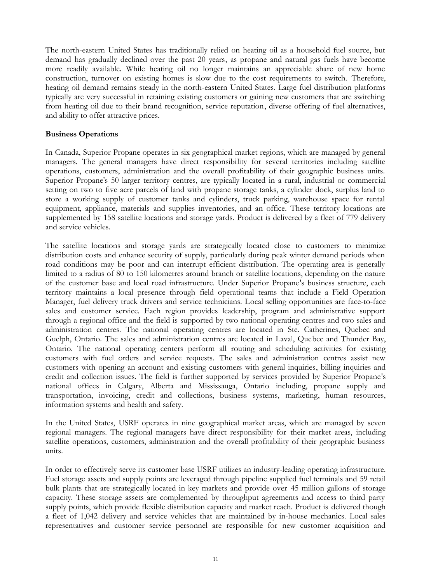The north-eastern United States has traditionally relied on heating oil as a household fuel source, but demand has gradually declined over the past 20 years, as propane and natural gas fuels have become more readily available. While heating oil no longer maintains an appreciable share of new home construction, turnover on existing homes is slow due to the cost requirements to switch. Therefore, heating oil demand remains steady in the north-eastern United States. Large fuel distribution platforms typically are very successful in retaining existing customers or gaining new customers that are switching from heating oil due to their brand recognition, service reputation, diverse offering of fuel alternatives, and ability to offer attractive prices.

### *Business Operations*

In Canada, Superior Propane operates in six geographical market regions, which are managed by general managers. The general managers have direct responsibility for several territories including satellite operations, customers, administration and the overall profitability of their geographic business units. Superior Propane's 50 larger territory centres, are typically located in a rural, industrial or commercial setting on two to five acre parcels of land with propane storage tanks, a cylinder dock, surplus land to store a working supply of customer tanks and cylinders, truck parking, warehouse space for rental equipment, appliance, materials and supplies inventories, and an office. These territory locations are supplemented by 158 satellite locations and storage yards. Product is delivered by a fleet of 779 delivery and service vehicles.

The satellite locations and storage yards are strategically located close to customers to minimize distribution costs and enhance security of supply, particularly during peak winter demand periods when road conditions may be poor and can interrupt efficient distribution. The operating area is generally limited to a radius of 80 to 150 kilometres around branch or satellite locations, depending on the nature of the customer base and local road infrastructure. Under Superior Propane's business structure, each territory maintains a local presence through field operational teams that include a Field Operation Manager, fuel delivery truck drivers and service technicians. Local selling opportunities are face-to-face sales and customer service. Each region provides leadership, program and administrative support through a regional office and the field is supported by two national operating centres and two sales and administration centres. The national operating centres are located in Ste. Catherines, Quebec and Guelph, Ontario. The sales and administration centres are located in Laval, Quebec and Thunder Bay, Ontario. The national operating centers perform all routing and scheduling activities for existing customers with fuel orders and service requests. The sales and administration centres assist new customers with opening an account and existing customers with general inquiries, billing inquiries and credit and collection issues. The field is further supported by services provided by Superior Propane's national offices in Calgary, Alberta and Mississauga, Ontario including, propane supply and transportation, invoicing, credit and collections, business systems, marketing, human resources, information systems and health and safety.

In the United States, USRF operates in nine geographical market areas, which are managed by seven regional managers. The regional managers have direct responsibility for their market areas, including satellite operations, customers, administration and the overall profitability of their geographic business units.

In order to effectively serve its customer base USRF utilizes an industry-leading operating infrastructure. Fuel storage assets and supply points are leveraged through pipeline supplied fuel terminals and 59 retail bulk plants that are strategically located in key markets and provide over 45 million gallons of storage capacity. These storage assets are complemented by throughput agreements and access to third party supply points, which provide flexible distribution capacity and market reach. Product is delivered though a fleet of 1,042 delivery and service vehicles that are maintained by in-house mechanics. Local sales representatives and customer service personnel are responsible for new customer acquisition and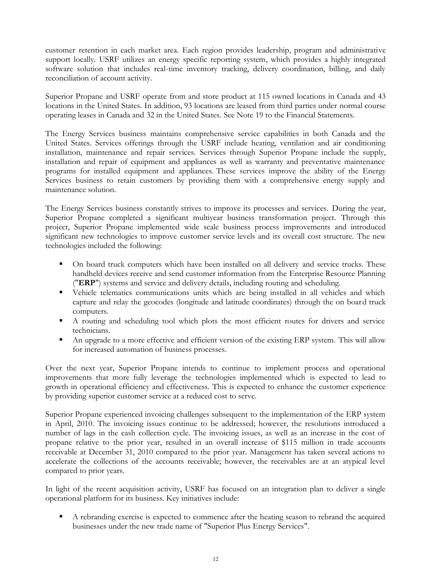customer retention in each market area. Each region provides leadership, program and administrative support locally. USRF utilizes an energy specific reporting system, which provides a highly integrated software solution that includes real-time inventory tracking, delivery coordination, billing, and daily reconciliation of account activity.

Superior Propane and USRF operate from and store product at 115 owned locations in Canada and 43 locations in the United States. In addition, 93 locations are leased from third parties under normal course operating leases in Canada and 32 in the United States. See Note 19 to the Financial Statements.

The Energy Services business maintains comprehensive service capabilities in both Canada and the United States. Services offerings through the USRF include heating, ventilation and air conditioning installation, maintenance and repair services. Services through Superior Propane include the supply, installation and repair of equipment and appliances as well as warranty and preventative maintenance programs for installed equipment and appliances. These services improve the ability of the Energy Services business to retain customers by providing them with a comprehensive energy supply and maintenance solution.

The Energy Services business constantly strives to improve its processes and services. During the year, Superior Propane completed a significant multiyear business transformation project. Through this project, Superior Propane implemented wide scale business process improvements and introduced significant new technologies to improve customer service levels and its overall cost structure. The new technologies included the following:

- On board truck computers which have been installed on all delivery and service trucks. These handheld devices receive and send customer information from the Enterprise Resource Planning ("**ERP**") systems and service and delivery details, including routing and scheduling.
- Vehicle telematics communications units which are being installed in all vehicles and which capture and relay the geocodes (longitude and latitude coordinates) through the on board truck computers.
- A routing and scheduling tool which plots the most efficient routes for drivers and service technicians.
- An upgrade to a more effective and efficient version of the existing ERP system. This will allow for increased automation of business processes.

Over the next year, Superior Propane intends to continue to implement process and operational improvements that more fully leverage the technologies implemented which is expected to lead to growth in operational efficiency and effectiveness. This is expected to enhance the customer experience by providing superior customer service at a reduced cost to serve.

Superior Propane experienced invoicing challenges subsequent to the implementation of the ERP system in April, 2010. The invoicing issues continue to be addressed; however, the resolutions introduced a number of lags in the cash collection cycle. The invoicing issues, as well as an increase in the cost of propane relative to the prior year, resulted in an overall increase of \$115 million in trade accounts receivable at December 31, 2010 compared to the prior year. Management has taken several actions to accelerate the collections of the accounts receivable; however, the receivables are at an atypical level compared to prior years.

In light of the recent acquisition activity, USRF has focused on an integration plan to deliver a single operational platform for its business. Key initiatives include:

A rebranding exercise is expected to commence after the heating season to rebrand the acquired businesses under the new trade name of "Superior Plus Energy Services".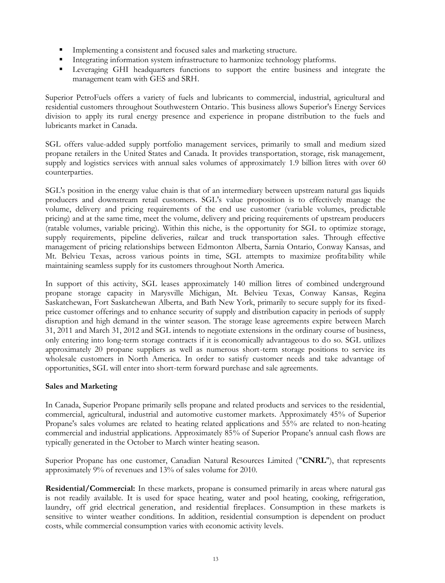- **Implementing a consistent and focused sales and marketing structure.**
- Integrating information system infrastructure to harmonize technology platforms.
- Leveraging GHI headquarters functions to support the entire business and integrate the management team with GES and SRH.

Superior PetroFuels offers a variety of fuels and lubricants to commercial, industrial, agricultural and residential customers throughout Southwestern Ontario. This business allows Superior's Energy Services division to apply its rural energy presence and experience in propane distribution to the fuels and lubricants market in Canada.

SGL offers value-added supply portfolio management services, primarily to small and medium sized propane retailers in the United States and Canada. It provides transportation, storage, risk management, supply and logistics services with annual sales volumes of approximately 1.9 billion litres with over 60 counterparties.

SGL's position in the energy value chain is that of an intermediary between upstream natural gas liquids producers and downstream retail customers. SGL's value proposition is to effectively manage the volume, delivery and pricing requirements of the end use customer (variable volumes, predictable pricing) and at the same time, meet the volume, delivery and pricing requirements of upstream producers (ratable volumes, variable pricing). Within this niche, is the opportunity for SGL to optimize storage, supply requirements, pipeline deliveries, railcar and truck transportation sales. Through effective management of pricing relationships between Edmonton Alberta, Sarnia Ontario, Conway Kansas, and Mt. Belvieu Texas, across various points in time, SGL attempts to maximize profitability while maintaining seamless supply for its customers throughout North America.

In support of this activity, SGL leases approximately 140 million litres of combined underground propane storage capacity in Marysville Michigan, Mt. Belvieu Texas, Conway Kansas, Regina Saskatchewan, Fort Saskatchewan Alberta, and Bath New York, primarily to secure supply for its fixedprice customer offerings and to enhance security of supply and distribution capacity in periods of supply disruption and high demand in the winter season. The storage lease agreements expire between March 31, 2011 and March 31, 2012 and SGL intends to negotiate extensions in the ordinary course of business, only entering into long-term storage contracts if it is economically advantageous to do so. SGL utilizes approximately 20 propane suppliers as well as numerous short-term storage positions to service its wholesale customers in North America. In order to satisfy customer needs and take advantage of opportunities, SGL will enter into short-term forward purchase and sale agreements.

## *Sales and Marketing*

In Canada, Superior Propane primarily sells propane and related products and services to the residential, commercial, agricultural, industrial and automotive customer markets. Approximately 45% of Superior Propane's sales volumes are related to heating related applications and 55% are related to non-heating commercial and industrial applications. Approximately 85% of Superior Propane's annual cash flows are typically generated in the October to March winter heating season.

Superior Propane has one customer, Canadian Natural Resources Limited ("**CNRL**"), that represents approximately 9% of revenues and 13% of sales volume for 2010.

*Residential/Commercial:* In these markets, propane is consumed primarily in areas where natural gas is not readily available. It is used for space heating, water and pool heating, cooking, refrigeration, laundry, off grid electrical generation, and residential fireplaces. Consumption in these markets is sensitive to winter weather conditions. In addition, residential consumption is dependent on product costs, while commercial consumption varies with economic activity levels.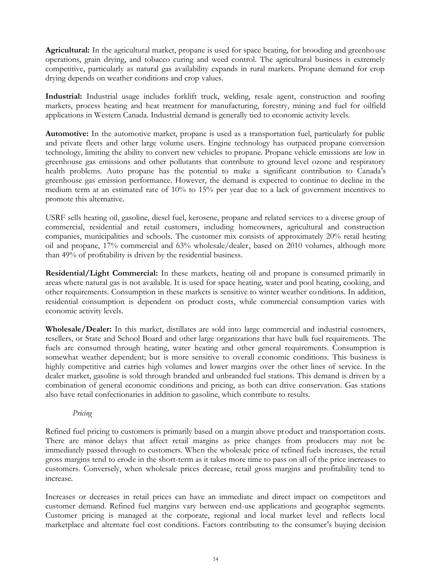*Agricultural:* In the agricultural market, propane is used for space heating, for brooding and greenhouse operations, grain drying, and tobacco curing and weed control. The agricultural business is extremely competitive, particularly as natural gas availability expands in rural markets. Propane demand for crop drying depends on weather conditions and crop values.

*Industrial:* Industrial usage includes forklift truck, welding, resale agent, construction and roofing markets, process heating and heat treatment for manufacturing, forestry, mining and fuel for oilfield applications in Western Canada. Industrial demand is generally tied to economic activity levels.

*Automotive:* In the automotive market, propane is used as a transportation fuel, particularly for public and private fleets and other large volume users. Engine technology has outpaced propane conversion technology, limiting the ability to convert new vehicles to propane. Propane vehicle emissions are low in greenhouse gas emissions and other pollutants that contribute to ground level ozone and respiratory health problems. Auto propane has the potential to make a significant contribution to Canada's greenhouse gas emission performance. However, the demand is expected to continue to decline in the medium term at an estimated rate of 10% to 15% per year due to a lack of government incentives to promote this alternative.

USRF sells heating oil, gasoline, diesel fuel, kerosene, propane and related services to a diverse group of commercial, residential and retail customers, including homeowners, agricultural and construction companies, municipalities and schools. The customer mix consists of approximately 20% retail heating oil and propane, 17% commercial and 63% wholesale/dealer, based on 2010 volumes, although more than 49% of profitability is driven by the residential business.

*Residential/Light Commercial:* In these markets, heating oil and propane is consumed primarily in areas where natural gas is not available. It is used for space heating, water and pool heating, cooking, and other requirements. Consumption in these markets is sensitive to winter weather conditions. In addition, residential consumption is dependent on product costs, while commercial consumption varies with economic activity levels.

*Wholesale/Dealer:* In this market, distillates are sold into large commercial and industrial customers, resellers, or State and School Board and other large organizations that have bulk fuel requirements. The fuels are consumed through heating, water heating and other general requirements. Consumption is somewhat weather dependent; but is more sensitive to overall economic conditions. This business is highly competitive and carries high volumes and lower margins over the other lines of service. In the dealer market, gasoline is sold through branded and unbranded fuel stations. This demand is driven by a combination of general economic conditions and pricing, as both can drive conservation. Gas stations also have retail confectionaries in addition to gasoline, which contribute to results.

#### *Pricing*

Refined fuel pricing to customers is primarily based on a margin above product and transportation costs. There are minor delays that affect retail margins as price changes from producers may not be immediately passed through to customers. When the wholesale price of refined fuels increases, the retail gross margins tend to erode in the short-term as it takes more time to pass on all of the price increases to customers. Conversely, when wholesale prices decrease, retail gross margins and profitability tend to increase.

Increases or decreases in retail prices can have an immediate and direct impact on competitors and customer demand. Refined fuel margins vary between end-use applications and geographic segments. Customer pricing is managed at the corporate, regional and local market level and reflects local marketplace and alternate fuel cost conditions. Factors contributing to the consumer's buying decision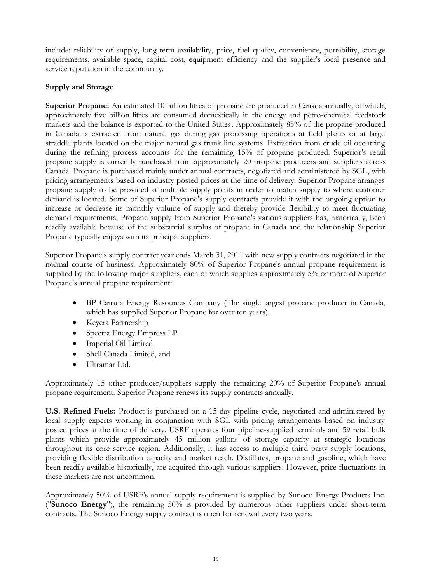include: reliability of supply, long-term availability, price, fuel quality, convenience, portability, storage requirements, available space, capital cost, equipment efficiency and the supplier's local presence and service reputation in the community.

## *Supply and Storage*

*Superior Propane:* An estimated 10 billion litres of propane are produced in Canada annually, of which, approximately five billion litres are consumed domestically in the energy and petro-chemical feedstock markets and the balance is exported to the United States. Approximately 85% of the propane produced in Canada is extracted from natural gas during gas processing operations at field plants or at large straddle plants located on the major natural gas trunk line systems. Extraction from crude oil occurring during the refining process accounts for the remaining 15% of propane produced. Superior's retail propane supply is currently purchased from approximately 20 propane producers and suppliers across Canada. Propane is purchased mainly under annual contracts, negotiated and administered by SGL, with pricing arrangements based on industry posted prices at the time of delivery. Superior Propane arranges propane supply to be provided at multiple supply points in order to match supply to where customer demand is located. Some of Superior Propane's supply contracts provide it with the ongoing option to increase or decrease its monthly volume of supply and thereby provide flexibility to meet fluctuating demand requirements. Propane supply from Superior Propane's various suppliers has, historically, been readily available because of the substantial surplus of propane in Canada and the relationship Superior Propane typically enjoys with its principal suppliers.

Superior Propane's supply contract year ends March 31, 2011 with new supply contracts negotiated in the normal course of business. Approximately 80% of Superior Propane's annual propane requirement is supplied by the following major suppliers, each of which supplies approximately 5% or more of Superior Propane's annual propane requirement:

- BP Canada Energy Resources Company (The single largest propane producer in Canada, which has supplied Superior Propane for over ten years).
- Keyera Partnership
- Spectra Energy Empress LP
- Imperial Oil Limited
- Shell Canada Limited, and
- Ultramar Ltd.

Approximately 15 other producer/suppliers supply the remaining 20% of Superior Propane's annual propane requirement. Superior Propane renews its supply contracts annually.

*U.S. Refined Fuels:* Product is purchased on a 15 day pipeline cycle, negotiated and administered by local supply experts working in conjunction with SGL with pricing arrangements based on industry posted prices at the time of delivery. USRF operates four pipeline-supplied terminals and 59 retail bulk plants which provide approximately 45 million gallons of storage capacity at strategic locations throughout its core service region. Additionally, it has access to multiple third party supply locations, providing flexible distribution capacity and market reach. Distillates, propane and gasoline, which have been readily available historically, are acquired through various suppliers. However, price fluctuations in these markets are not uncommon.

Approximately 50% of USRF's annual supply requirement is supplied by Sunoco Energy Products Inc. ("**Sunoco Energy**"), the remaining 50% is provided by numerous other suppliers under short-term contracts. The Sunoco Energy supply contract is open for renewal every two years.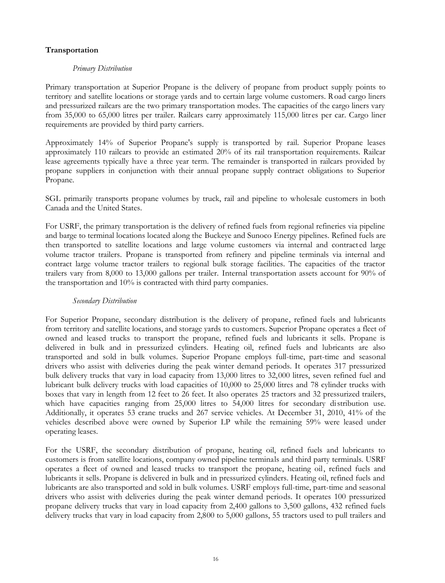## *Transportation*

### *Primary Distribution*

Primary transportation at Superior Propane is the delivery of propane from product supply points to territory and satellite locations or storage yards and to certain large volume customers. Road cargo liners and pressurized railcars are the two primary transportation modes. The capacities of the cargo liners vary from 35,000 to 65,000 litres per trailer. Railcars carry approximately 115,000 litres per car. Cargo liner requirements are provided by third party carriers.

Approximately 14% of Superior Propane's supply is transported by rail. Superior Propane leases approximately 110 railcars to provide an estimated 20% of its rail transportation requirements. Railcar lease agreements typically have a three year term. The remainder is transported in railcars provided by propane suppliers in conjunction with their annual propane supply contract obligations to Superior Propane.

SGL primarily transports propane volumes by truck, rail and pipeline to wholesale customers in both Canada and the United States.

For USRF, the primary transportation is the delivery of refined fuels from regional refineries via pipeline and barge to terminal locations located along the Buckeye and Sunoco Energy pipelines. Refined fuels are then transported to satellite locations and large volume customers via internal and contracted large volume tractor trailers. Propane is transported from refinery and pipeline terminals via internal and contract large volume tractor trailers to regional bulk storage facilities. The capacities of the tractor trailers vary from 8,000 to 13,000 gallons per trailer. Internal transportation assets account for 90% of the transportation and 10% is contracted with third party companies.

#### *Secondary Distribution*

For Superior Propane, secondary distribution is the delivery of propane, refined fuels and lubricants from territory and satellite locations, and storage yards to customers. Superior Propane operates a fleet of owned and leased trucks to transport the propane, refined fuels and lubricants it sells. Propane is delivered in bulk and in pressurized cylinders. Heating oil, refined fuels and lubricants are also transported and sold in bulk volumes. Superior Propane employs full-time, part-time and seasonal drivers who assist with deliveries during the peak winter demand periods. It operates 317 pressurized bulk delivery trucks that vary in load capacity from 13,000 litres to 32,000 litres, seven refined fuel and lubricant bulk delivery trucks with load capacities of 10,000 to 25,000 litres and 78 cylinder trucks with boxes that vary in length from 12 feet to 26 feet. It also operates 25 tractors and 32 pressurized trailers, which have capacities ranging from 25,000 litres to 54,000 litres for secondary distribution use. Additionally, it operates 53 crane trucks and 267 service vehicles. At December 31, 2010, 41% of the vehicles described above were owned by Superior LP while the remaining 59% were leased under operating leases.

For the USRF, the secondary distribution of propane, heating oil, refined fuels and lubricants to customers is from satellite locations, company owned pipeline terminals and third party terminals. USRF operates a fleet of owned and leased trucks to transport the propane, heating oil, refined fuels and lubricants it sells. Propane is delivered in bulk and in pressurized cylinders. Heating oil, refined fuels and lubricants are also transported and sold in bulk volumes. USRF employs full-time, part-time and seasonal drivers who assist with deliveries during the peak winter demand periods. It operates 100 pressurized propane delivery trucks that vary in load capacity from 2,400 gallons to 3,500 gallons, 432 refined fuels delivery trucks that vary in load capacity from 2,800 to 5,000 gallons, 55 tractors used to pull trailers and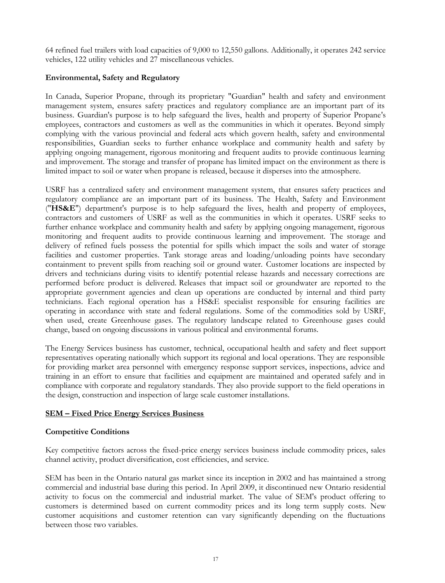64 refined fuel trailers with load capacities of 9,000 to 12,550 gallons. Additionally, it operates 242 service vehicles, 122 utility vehicles and 27 miscellaneous vehicles.

## *Environmental, Safety and Regulatory*

In Canada, Superior Propane, through its proprietary "Guardian" health and safety and environment management system, ensures safety practices and regulatory compliance are an important part of its business. Guardian's purpose is to help safeguard the lives, health and property of Superior Propane's employees, contractors and customers as well as the communities in which it operates. Beyond simply complying with the various provincial and federal acts which govern health, safety and environmental responsibilities, Guardian seeks to further enhance workplace and community health and safety by applying ongoing management, rigorous monitoring and frequent audits to provide continuous learning and improvement. The storage and transfer of propane has limited impact on the environment as there is limited impact to soil or water when propane is released, because it disperses into the atmosphere.

USRF has a centralized safety and environment management system, that ensures safety practices and regulatory compliance are an important part of its business. The Health, Safety and Environment ("**HS&E**") department's purpose is to help safeguard the lives, health and property of employees, contractors and customers of USRF as well as the communities in which it operates. USRF seeks to further enhance workplace and community health and safety by applying ongoing management, rigorous monitoring and frequent audits to provide continuous learning and improvement. The storage and delivery of refined fuels possess the potential for spills which impact the soils and water of storage facilities and customer properties. Tank storage areas and loading/unloading points have secondary containment to prevent spills from reaching soil or ground water. Customer locations are inspected by drivers and technicians during visits to identify potential release hazards and necessary corrections are performed before product is delivered. Releases that impact soil or groundwater are reported to the appropriate government agencies and clean up operations are conducted by internal and third party technicians. Each regional operation has a HS&E specialist responsible for ensuring facilities are operating in accordance with state and federal regulations. Some of the commodities sold by USRF, when used, create Greenhouse gases. The regulatory landscape related to Greenhouse gases could change, based on ongoing discussions in various political and environmental forums.

The Energy Services business has customer, technical, occupational health and safety and fleet support representatives operating nationally which support its regional and local operations. They are responsible for providing market area personnel with emergency response support services, inspections, advice and training in an effort to ensure that facilities and equipment are maintained and operated safely and in compliance with corporate and regulatory standards. They also provide support to the field operations in the design, construction and inspection of large scale customer installations.

## *SEM – Fixed Price Energy Services Business*

## *Competitive Conditions*

Key competitive factors across the fixed-price energy services business include commodity prices, sales channel activity, product diversification, cost efficiencies, and service.

SEM has been in the Ontario natural gas market since its inception in 2002 and has maintained a strong commercial and industrial base during this period. In April 2009, it discontinued new Ontario residential activity to focus on the commercial and industrial market. The value of SEM's product offering to customers is determined based on current commodity prices and its long term supply costs. New customer acquisitions and customer retention can vary significantly depending on the fluctuations between those two variables.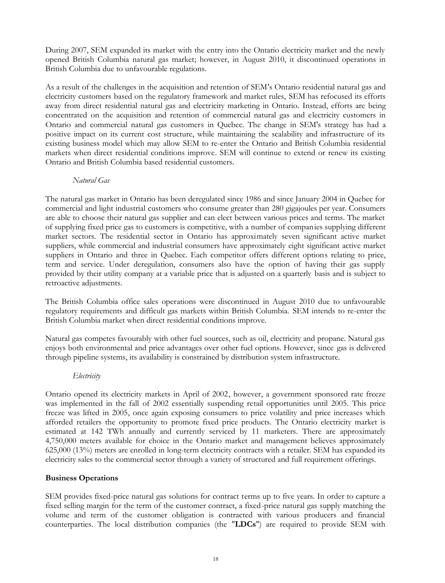During 2007, SEM expanded its market with the entry into the Ontario electricity market and the newly opened British Columbia natural gas market; however, in August 2010, it discontinued operations in British Columbia due to unfavourable regulations.

As a result of the challenges in the acquisition and retention of SEM's Ontario residential natural gas and electricity customers based on the regulatory framework and market rules, SEM has refocused its efforts away from direct residential natural gas and electricity marketing in Ontario. Instead, efforts are being concentrated on the acquisition and retention of commercial natural gas and electricity customers in Ontario and commercial natural gas customers in Quebec. The change in SEM's strategy has had a positive impact on its current cost structure, while maintaining the scalability and infrastructure of its existing business model which may allow SEM to re-enter the Ontario and British Columbia residential markets when direct residential conditions improve. SEM will continue to extend or renew its existing Ontario and British Columbia based residential customers.

#### *Natural Gas*

The natural gas market in Ontario has been deregulated since 1986 and since January 2004 in Quebec for commercial and light industrial customers who consume greater than 280 gigajoules per year. Consumers are able to choose their natural gas supplier and can elect between various prices and terms. The market of supplying fixed price gas to customers is competitive, with a number of companies supplying different market sectors. The residential sector in Ontario has approximately seven significant active market suppliers, while commercial and industrial consumers have approximately eight significant active market suppliers in Ontario and three in Quebec. Each competitor offers different options relating to price, term and service. Under deregulation, consumers also have the option of having their gas supply provided by their utility company at a variable price that is adjusted on a quarterly basis and is subject to retroactive adjustments.

The British Columbia office sales operations were discontinued in August 2010 due to unfavourable regulatory requirements and difficult gas markets within British Columbia. SEM intends to re-enter the British Columbia market when direct residential conditions improve.

Natural gas competes favourably with other fuel sources, such as oil, electricity and propane. Natural gas enjoys both environmental and price advantages over other fuel options. However, since gas is delivered through pipeline systems, its availability is constrained by distribution system infrastructure.

## *Electricity*

Ontario opened its electricity markets in April of 2002, however, a government sponsored rate freeze was implemented in the fall of 2002 essentially suspending retail opportunities until 2005. This price freeze was lifted in 2005, once again exposing consumers to price volatility and price increases which afforded retailers the opportunity to promote fixed price products. The Ontario electricity market is estimated at 142 TWh annually and currently serviced by 11 marketers. There are approximately 4,750,000 meters available for choice in the Ontario market and management believes approximately 625,000 (13%) meters are enrolled in long-term electricity contracts with a retailer. SEM has expanded its electricity sales to the commercial sector through a variety of structured and full requirement offerings.

## *Business Operations*

SEM provides fixed-price natural gas solutions for contract terms up to five years. In order to capture a fixed selling margin for the term of the customer contract, a fixed-price natural gas supply matching the volume and term of the customer obligation is contracted with various producers and financial counterparties. The local distribution companies (the "**LDCs**") are required to provide SEM with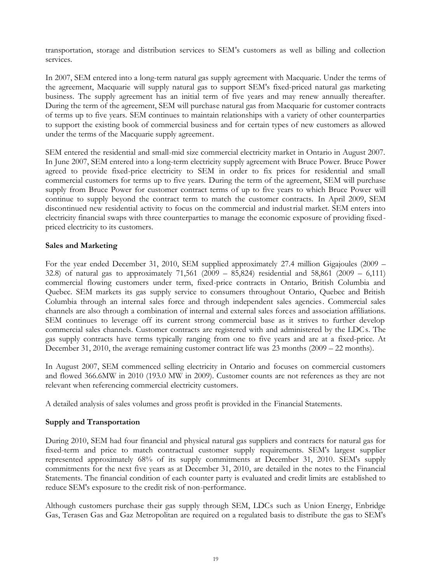transportation, storage and distribution services to SEM's customers as well as billing and collection services.

In 2007, SEM entered into a long-term natural gas supply agreement with Macquarie. Under the terms of the agreement, Macquarie will supply natural gas to support SEM's fixed-priced natural gas marketing business. The supply agreement has an initial term of five years and may renew annually thereafter. During the term of the agreement, SEM will purchase natural gas from Macquarie for customer contracts of terms up to five years. SEM continues to maintain relationships with a variety of other counterparties to support the existing book of commercial business and for certain types of new customers as allowed under the terms of the Macquarie supply agreement.

SEM entered the residential and small-mid size commercial electricity market in Ontario in August 2007. In June 2007, SEM entered into a long-term electricity supply agreement with Bruce Power. Bruce Power agreed to provide fixed-price electricity to SEM in order to fix prices for residential and small commercial customers for terms up to five years. During the term of the agreement, SEM will purchase supply from Bruce Power for customer contract terms of up to five years to which Bruce Power will continue to supply beyond the contract term to match the customer contracts. In April 2009, SEM discontinued new residential activity to focus on the commercial and industrial market. SEM enters into electricity financial swaps with three counterparties to manage the economic exposure of providing fixedpriced electricity to its customers.

## *Sales and Marketing*

For the year ended December 31, 2010, SEM supplied approximately 27.4 million Gigajoules (2009 – 32.8) of natural gas to approximately 71,561 (2009 – 85,824) residential and 58,861 (2009 – 6,111) commercial flowing customers under term, fixed-price contracts in Ontario, British Columbia and Quebec. SEM markets its gas supply service to consumers throughout Ontario, Quebec and British Columbia through an internal sales force and through independent sales agencies. Commercial sales channels are also through a combination of internal and external sales forces and association affiliations. SEM continues to leverage off its current strong commercial base as it strives to further develop commercial sales channels. Customer contracts are registered with and administered by the LDCs. The gas supply contracts have terms typically ranging from one to five years and are at a fixed-price. At December 31, 2010, the average remaining customer contract life was  $23$  months  $(2009 - 22$  months).

In August 2007, SEM commenced selling electricity in Ontario and focuses on commercial customers and flowed 366.6MW in 2010 (193.0 MW in 2009). Customer counts are not references as they are not relevant when referencing commercial electricity customers.

A detailed analysis of sales volumes and gross profit is provided in the Financial Statements.

## *Supply and Transportation*

During 2010, SEM had four financial and physical natural gas suppliers and contracts for natural gas for fixed-term and price to match contractual customer supply requirements. SEM's largest supplier represented approximately 68% of its supply commitments at December 31, 2010. SEM's supply commitments for the next five years as at December 31, 2010, are detailed in the notes to the Financial Statements. The financial condition of each counter party is evaluated and credit limits are established to reduce SEM's exposure to the credit risk of non-performance.

Although customers purchase their gas supply through SEM, LDCs such as Union Energy, Enbridge Gas, Terasen Gas and Gaz Metropolitan are required on a regulated basis to distribute the gas to SEM's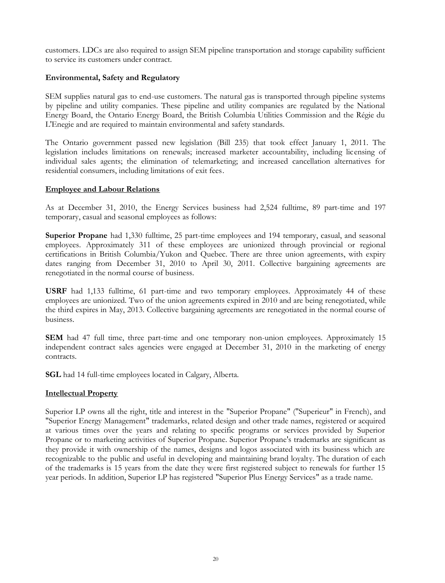customers. LDCs are also required to assign SEM pipeline transportation and storage capability sufficient to service its customers under contract.

## *Environmental, Safety and Regulatory*

SEM supplies natural gas to end-use customers. The natural gas is transported through pipeline systems by pipeline and utility companies. These pipeline and utility companies are regulated by the National Energy Board, the Ontario Energy Board, the British Columbia Utilities Commission and the Régie du L'Enegie and are required to maintain environmental and safety standards.

The Ontario government passed new legislation (Bill 235) that took effect January 1, 2011. The legislation includes limitations on renewals; increased marketer accountability, including licensing of individual sales agents; the elimination of telemarketing; and increased cancellation alternatives for residential consumers, including limitations of exit fees.

#### *Employee and Labour Relations*

As at December 31, 2010, the Energy Services business had 2,524 fulltime, 89 part-time and 197 temporary, casual and seasonal employees as follows:

*Superior Propane* had 1,330 fulltime, 25 part-time employees and 194 temporary, casual, and seasonal employees. Approximately 311 of these employees are unionized through provincial or regional certifications in British Columbia/Yukon and Quebec. There are three union agreements, with expiry dates ranging from December 31, 2010 to April 30, 2011. Collective bargaining agreements are renegotiated in the normal course of business.

*USRF* had 1,133 fulltime, 61 part-time and two temporary employees. Approximately 44 of these employees are unionized. Two of the union agreements expired in 2010 and are being renegotiated, while the third expires in May, 2013. Collective bargaining agreements are renegotiated in the normal course of business.

**SEM** had 47 full time, three part-time and one temporary non-union employees. Approximately 15 independent contract sales agencies were engaged at December 31, 2010 in the marketing of energy contracts.

**SGL** had 14 full-time employees located in Calgary, Alberta.

#### *Intellectual Property*

Superior LP owns all the right, title and interest in the "Superior Propane" ("Superieur" in French), and "Superior Energy Management" trademarks, related design and other trade names, registered or acquired at various times over the years and relating to specific programs or services provided by Superior Propane or to marketing activities of Superior Propane. Superior Propane's trademarks are significant as they provide it with ownership of the names, designs and logos associated with its business which are recognizable to the public and useful in developing and maintaining brand loyalty. The duration of each of the trademarks is 15 years from the date they were first registered subject to renewals for further 15 year periods. In addition, Superior LP has registered "Superior Plus Energy Services" as a trade name.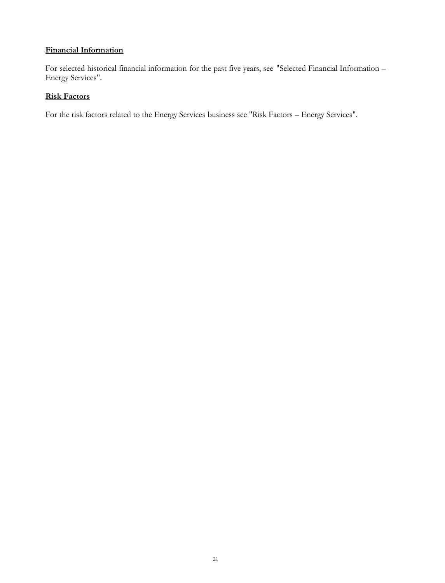# *Financial Information*

For selected historical financial information for the past five years, see "Selected Financial Information – Energy Services".

## *Risk Factors*

For the risk factors related to the Energy Services business see "Risk Factors – Energy Services".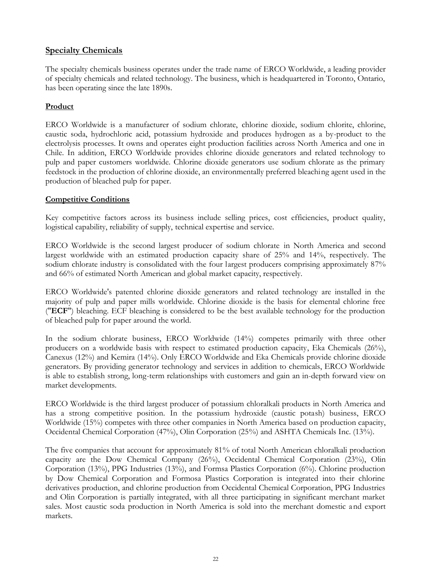## **Specialty Chemicals**

The specialty chemicals business operates under the trade name of ERCO Worldwide, a leading provider of specialty chemicals and related technology. The business, which is headquartered in Toronto, Ontario, has been operating since the late 1890s.

## *Product*

ERCO Worldwide is a manufacturer of sodium chlorate, chlorine dioxide, sodium chlorite, chlorine, caustic soda, hydrochloric acid, potassium hydroxide and produces hydrogen as a by-product to the electrolysis processes. It owns and operates eight production facilities across North America and one in Chile. In addition, ERCO Worldwide provides chlorine dioxide generators and related technology to pulp and paper customers worldwide. Chlorine dioxide generators use sodium chlorate as the primary feedstock in the production of chlorine dioxide, an environmentally preferred bleaching agent used in the production of bleached pulp for paper.

## *Competitive Conditions*

Key competitive factors across its business include selling prices, cost efficiencies, product quality, logistical capability, reliability of supply, technical expertise and service.

ERCO Worldwide is the second largest producer of sodium chlorate in North America and second largest worldwide with an estimated production capacity share of 25% and 14%, respectively. The sodium chlorate industry is consolidated with the four largest producers comprising approximately 87% and 66% of estimated North American and global market capacity, respectively.

ERCO Worldwide's patented chlorine dioxide generators and related technology are installed in the majority of pulp and paper mills worldwide. Chlorine dioxide is the basis for elemental chlorine free ("**ECF**") bleaching. ECF bleaching is considered to be the best available technology for the production of bleached pulp for paper around the world.

In the sodium chlorate business, ERCO Worldwide (14%) competes primarily with three other producers on a worldwide basis with respect to estimated production capacity, Eka Chemicals (26%), Canexus (12%) and Kemira (14%). Only ERCO Worldwide and Eka Chemicals provide chlorine dioxide generators. By providing generator technology and services in addition to chemicals, ERCO Worldwide is able to establish strong, long-term relationships with customers and gain an in-depth forward view on market developments.

ERCO Worldwide is the third largest producer of potassium chloralkali products in North America and has a strong competitive position. In the potassium hydroxide (caustic potash) business, ERCO Worldwide (15%) competes with three other companies in North America based on production capacity, Occidental Chemical Corporation (47%), Olin Corporation (25%) and ASHTA Chemicals Inc. (13%).

The five companies that account for approximately 81% of total North American chloralkali production capacity are the Dow Chemical Company (26%), Occidental Chemical Corporation (23%), Olin Corporation (13%), PPG Industries (13%), and Formsa Plastics Corporation (6%). Chlorine production by Dow Chemical Corporation and Formosa Plastics Corporation is integrated into their chlorine derivatives production, and chlorine production from Occidental Chemical Corporation, PPG Industries and Olin Corporation is partially integrated, with all three participating in significant merchant market sales. Most caustic soda production in North America is sold into the merchant domestic and export markets.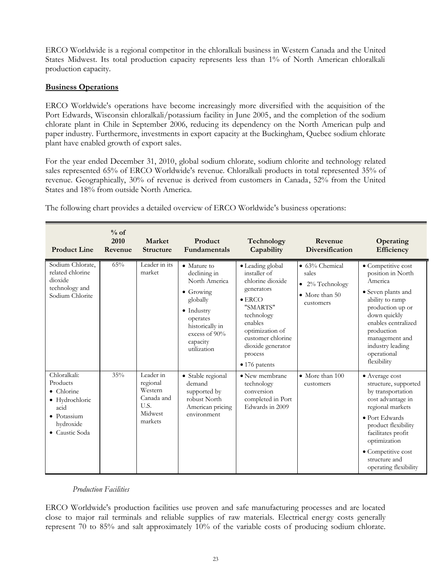ERCO Worldwide is a regional competitor in the chloralkali business in Western Canada and the United States Midwest. Its total production capacity represents less than 1% of North American chloralkali production capacity.

## *Business Operations*

ERCO Worldwide's operations have become increasingly more diversified with the acquisition of the Port Edwards, Wisconsin chloralkali/potassium facility in June 2005, and the completion of the sodium chlorate plant in Chile in September 2006, reducing its dependency on the North American pulp and paper industry. Furthermore, investments in export capacity at the Buckingham, Quebec sodium chlorate plant have enabled growth of export sales.

For the year ended December 31, 2010, global sodium chlorate, sodium chlorite and technology related sales represented 65% of ERCO Worldwide's revenue. Chloralkali products in total represented 35% of revenue. Geographically, 30% of revenue is derived from customers in Canada, 52% from the United States and 18% from outside North America.

The following chart provides a detailed overview of ERCO Worldwide's business operations:

| <b>Product Line</b>                                                                                            | $%$ of<br>2010<br>Revenue | <b>Market</b><br><b>Structure</b>                                            | Product<br><b>Fundamentals</b>                                                                                                                                                    | Technology<br>Capability                                                                                                                                                                                                   | Revenue<br>Diversification                                                                              | Operating<br><b>Efficiency</b>                                                                                                                                                                                                                              |
|----------------------------------------------------------------------------------------------------------------|---------------------------|------------------------------------------------------------------------------|-----------------------------------------------------------------------------------------------------------------------------------------------------------------------------------|----------------------------------------------------------------------------------------------------------------------------------------------------------------------------------------------------------------------------|---------------------------------------------------------------------------------------------------------|-------------------------------------------------------------------------------------------------------------------------------------------------------------------------------------------------------------------------------------------------------------|
| Sodium Chlorate,<br>related chlorine<br>dioxide<br>technology and<br>Sodium Chlorite                           | 65%                       | Leader in its<br>market                                                      | • Mature to<br>declining in<br>North America<br>$\bullet$ Growing<br>globally<br>$\bullet$ Industry<br>operates<br>historically in<br>excess of $90\%$<br>capacity<br>utilization | · Leading global<br>installer of<br>chlorine dioxide<br>generators<br>$\bullet$ ERCO<br>"SMARTS"<br>technology<br>enables<br>optimization of<br>customer chlorine<br>dioxide generator<br>process<br>$\bullet$ 176 patents | $\bullet$ 63% Chemical<br>sales<br>$2\%$ Technology<br>$\bullet$<br>$\bullet$ More than 50<br>customers | • Competitive cost<br>position in North<br>America<br>• Seven plants and<br>ability to ramp<br>production up or<br>down quickly<br>enables centralized<br>production<br>management and<br>industry leading<br>operational<br>flexibility                    |
| Chloralkali:<br>Products<br>• Chlorine<br>• Hydrochloric<br>acid<br>• Potassium<br>hydroxide<br>• Caustic Soda | 35%                       | Leader in<br>regional<br>Western<br>Canada and<br>U.S.<br>Midwest<br>markets | · Stable regional<br>demand<br>supported by<br>robust North<br>American pricing<br>environment                                                                                    | • New membrane<br>technology<br>conversion<br>completed in Port<br>Edwards in 2009                                                                                                                                         | $\bullet$ More than 100<br>customers                                                                    | $\bullet$ Average cost<br>structure, supported<br>by transportation<br>cost advantage in<br>regional markets<br>· Port Edwards<br>product flexibility<br>facilitates profit<br>optimization<br>· Competitive cost<br>structure and<br>operating flexibility |

#### *Production Facilities*

ERCO Worldwide's production facilities use proven and safe manufacturing processes and are located close to major rail terminals and reliable supplies of raw materials. Electrical energy costs generally represent 70 to 85% and salt approximately 10% of the variable costs of producing sodium chlorate.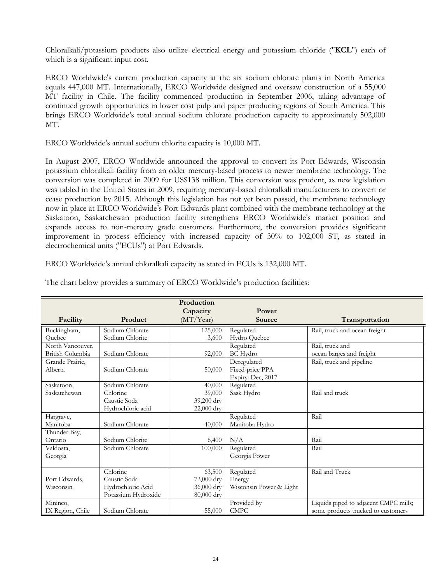Chloralkali/potassium products also utilize electrical energy and potassium chloride ("**KCL**") each of which is a significant input cost.

ERCO Worldwide's current production capacity at the six sodium chlorate plants in North America equals 447,000 MT. Internationally, ERCO Worldwide designed and oversaw construction of a 55,000 MT facility in Chile. The facility commenced production in September 2006, taking advantage of continued growth opportunities in lower cost pulp and paper producing regions of South America. This brings ERCO Worldwide's total annual sodium chlorate production capacity to approximately 502,000 MT.

ERCO Worldwide's annual sodium chlorite capacity is 10,000 MT.

In August 2007, ERCO Worldwide announced the approval to convert its Port Edwards, Wisconsin potassium chloralkali facility from an older mercury-based process to newer membrane technology. The conversion was completed in 2009 for US\$138 million. This conversion was prudent, as new legislation was tabled in the United States in 2009, requiring mercury-based chloralkali manufacturers to convert or cease production by 2015. Although this legislation has not yet been passed, the membrane technology now in place at ERCO Worldwide's Port Edwards plant combined with the membrane technology at the Saskatoon, Saskatchewan production facility strengthens ERCO Worldwide's market position and expands access to non-mercury grade customers. Furthermore, the conversion provides significant improvement in process efficiency with increased capacity of 30% to 102,000 ST, as stated in electrochemical units ("ECUs") at Port Edwards.

ERCO Worldwide's annual chloralkali capacity as stated in ECUs is 132,000 MT.

|                         |                     | Production<br>Capacity | Power                   |                                       |
|-------------------------|---------------------|------------------------|-------------------------|---------------------------------------|
| Facility                | Product             | (MT/Year)              | Source                  | Transportation                        |
| Buckingham,             | Sodium Chlorate     | 125,000                | Regulated               | Rail, truck and ocean freight         |
| Ouebec                  | Sodium Chlorite     | 3,600                  | Hydro Quebec            |                                       |
| North Vancouver,        |                     |                        | Regulated               | Rail, truck and                       |
| <b>British Columbia</b> | Sodium Chlorate     | 92,000                 | <b>BC</b> Hydro         | ocean barges and freight              |
| Grande Prairie,         |                     |                        | Deregulated             | Rail, truck and pipeline              |
| Alberta                 | Sodium Chlorate     | 50,000                 | Fixed-price PPA         |                                       |
|                         |                     |                        | Expiry: Dec, 2017       |                                       |
| Saskatoon,              | Sodium Chlorate     | 40,000                 | Regulated               |                                       |
| Saskatchewan            | Chlorine            | 39,000                 | Sask Hydro              | Rail and truck                        |
|                         | Caustic Soda        | 39,200 dry             |                         |                                       |
|                         | Hydrochloric acid   | 22,000 dry             |                         |                                       |
| Hargrave,               |                     |                        | Regulated               | Rail                                  |
| Manitoba                | Sodium Chlorate     | 40,000                 | Manitoba Hydro          |                                       |
| Thunder Bay,            |                     |                        |                         |                                       |
| Ontario                 | Sodium Chlorite     | 6,400                  | N/A                     | Rail                                  |
| Valdosta,               | Sodium Chlorate     | 100,000                | Regulated               | Rail                                  |
| Georgia                 |                     |                        | Georgia Power           |                                       |
|                         | Chlorine            | 63,500                 | Regulated               | Rail and Truck                        |
| Port Edwards,           | Caustic Soda        | 72,000 dry             | Energy                  |                                       |
| Wisconsin               | Hydrochloric Acid   | 36,000 dry             | Wisconsin Power & Light |                                       |
|                         | Potassium Hydroxide | 80,000 dry             |                         |                                       |
| Mininco,                |                     |                        | Provided by             | Liquids piped to adjacent CMPC mills; |
| IX Region, Chile        | Sodium Chlorate     | 55,000                 | <b>CMPC</b>             | some products trucked to customers    |

The chart below provides a summary of ERCO Worldwide's production facilities: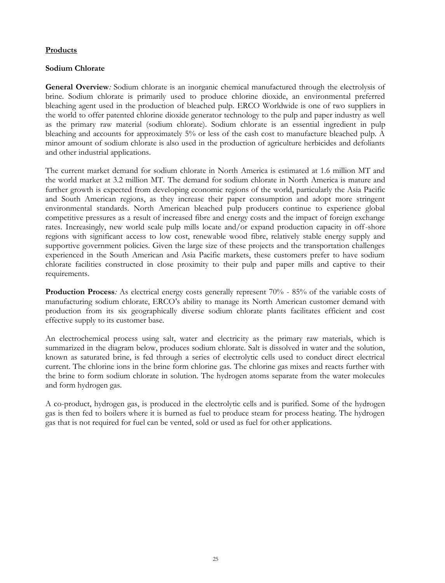## *Products*

## *Sodium Chlorate*

*General Overview:* Sodium chlorate is an inorganic chemical manufactured through the electrolysis of brine. Sodium chlorate is primarily used to produce chlorine dioxide, an environmental preferred bleaching agent used in the production of bleached pulp. ERCO Worldwide is one of two suppliers in the world to offer patented chlorine dioxide generator technology to the pulp and paper industry as well as the primary raw material (sodium chlorate). Sodium chlorate is an essential ingredient in pulp bleaching and accounts for approximately 5% or less of the cash cost to manufacture bleached pulp. A minor amount of sodium chlorate is also used in the production of agriculture herbicides and defoliants and other industrial applications.

The current market demand for sodium chlorate in North America is estimated at 1.6 million MT and the world market at 3.2 million MT. The demand for sodium chlorate in North America is mature and further growth is expected from developing economic regions of the world, particularly the Asia Pacific and South American regions, as they increase their paper consumption and adopt more stringent environmental standards. North American bleached pulp producers continue to experience global competitive pressures as a result of increased fibre and energy costs and the impact of foreign exchange rates. Increasingly, new world scale pulp mills locate and/or expand production capacity in off-shore regions with significant access to low cost, renewable wood fibre, relatively stable energy supply and supportive government policies. Given the large size of these projects and the transportation challenges experienced in the South American and Asia Pacific markets, these customers prefer to have sodium chlorate facilities constructed in close proximity to their pulp and paper mills and captive to their requirements.

**Production Process**: As electrical energy costs generally represent 70% - 85% of the variable costs of manufacturing sodium chlorate, ERCO's ability to manage its North American customer demand with production from its six geographically diverse sodium chlorate plants facilitates efficient and cost effective supply to its customer base.

An electrochemical process using salt, water and electricity as the primary raw materials, which is summarized in the diagram below, produces sodium chlorate. Salt is dissolved in water and the solution, known as saturated brine, is fed through a series of electrolytic cells used to conduct direct electrical current. The chlorine ions in the brine form chlorine gas. The chlorine gas mixes and reacts further with the brine to form sodium chlorate in solution. The hydrogen atoms separate from the water molecules and form hydrogen gas.

A co-product, hydrogen gas, is produced in the electrolytic cells and is purified. Some of the hydrogen gas is then fed to boilers where it is burned as fuel to produce steam for process heating. The hydrogen gas that is not required for fuel can be vented, sold or used as fuel for other applications.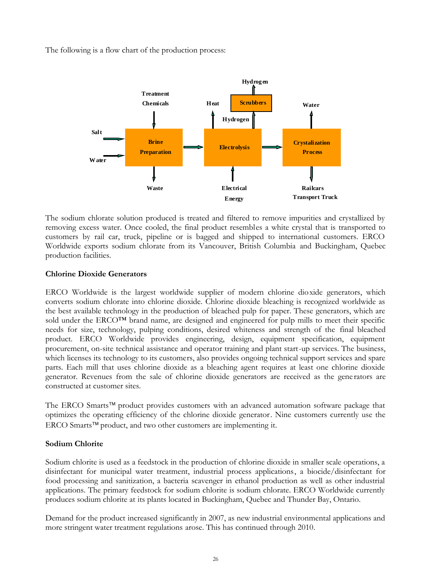The following is a flow chart of the production process:



The sodium chlorate solution produced is treated and filtered to remove impurities and crystallized by removing excess water. Once cooled, the final product resembles a white crystal that is transported to customers by rail car, truck, pipeline or is bagged and shipped to international customers. ERCO Worldwide exports sodium chlorate from its Vancouver, British Columbia and Buckingham, Quebec production facilities.

#### *Chlorine Dioxide Generators*

ERCO Worldwide is the largest worldwide supplier of modern chlorine dioxide generators, which converts sodium chlorate into chlorine dioxide. Chlorine dioxide bleaching is recognized worldwide as the best available technology in the production of bleached pulp for paper. These generators, which are sold under the ERCO™ brand name, are designed and engineered for pulp mills to meet their specific needs for size, technology, pulping conditions, desired whiteness and strength of the final bleached product. ERCO Worldwide provides engineering, design, equipment specification, equipment procurement, on-site technical assistance and operator training and plant start-up services. The business, which licenses its technology to its customers, also provides ongoing technical support services and spare parts. Each mill that uses chlorine dioxide as a bleaching agent requires at least one chlorine dioxide generator. Revenues from the sale of chlorine dioxide generators are received as the gene rators are constructed at customer sites.

The ERCO Smarts<sup> $TM$ </sup> product provides customers with an advanced automation software package that optimizes the operating efficiency of the chlorine dioxide generator. Nine customers currently use the  $ERCO$  Smarts<sup>™</sup> product, and two other customers are implementing it.

## *Sodium Chlorite*

Sodium chlorite is used as a feedstock in the production of chlorine dioxide in smaller scale operations, a disinfectant for municipal water treatment, industrial process applications, a biocide/disinfectant for food processing and sanitization, a bacteria scavenger in ethanol production as well as other industrial applications. The primary feedstock for sodium chlorite is sodium chlorate. ERCO Worldwide currently produces sodium chlorite at its plants located in Buckingham, Quebec and Thunder Bay, Ontario.

Demand for the product increased significantly in 2007, as new industrial environmental applications and more stringent water treatment regulations arose. This has continued through 2010.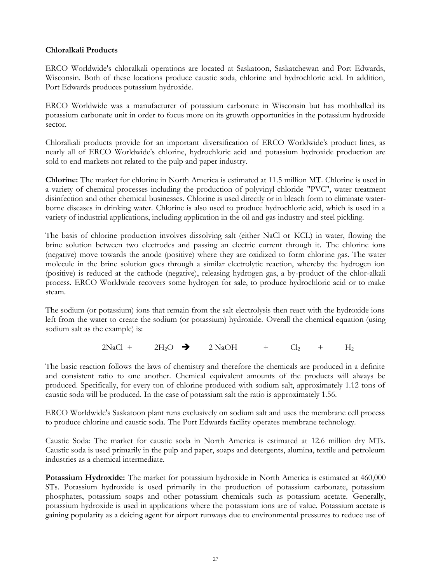## *Chloralkali Products*

ERCO Worldwide's chloralkali operations are located at Saskatoon, Saskatchewan and Port Edwards, Wisconsin. Both of these locations produce caustic soda, chlorine and hydrochloric acid. In addition, Port Edwards produces potassium hydroxide.

ERCO Worldwide was a manufacturer of potassium carbonate in Wisconsin but has mothballed its potassium carbonate unit in order to focus more on its growth opportunities in the potassium hydroxide sector.

Chloralkali products provide for an important diversification of ERCO Worldwide's product lines, as nearly all of ERCO Worldwide's chlorine, hydrochloric acid and potassium hydroxide production are sold to end markets not related to the pulp and paper industry.

*Chlorine:* The market for chlorine in North America is estimated at 11.5 million MT. Chlorine is used in a variety of chemical processes including the production of polyvinyl chloride "PVC", water treatment disinfection and other chemical businesses. Chlorine is used directly or in bleach form to eliminate waterborne diseases in drinking water. Chlorine is also used to produce hydrochloric acid, which is used in a variety of industrial applications, including application in the oil and gas industry and steel pickling.

The basis of chlorine production involves dissolving salt (either NaCl or KCL) in water, flowing the brine solution between two electrodes and passing an electric current through it. The chlorine ions (negative) move towards the anode (positive) where they are oxidized to form chlorine gas. The water molecule in the brine solution goes through a similar electrolytic reaction, whereby the hydrogen ion (positive) is reduced at the cathode (negative), releasing hydrogen gas, a by-product of the chlor-alkali process. ERCO Worldwide recovers some hydrogen for sale, to produce hydrochloric acid or to make steam.

The sodium (or potassium) ions that remain from the salt electrolysis then react with the hydroxide ions left from the water to create the sodium (or potassium) hydroxide. Overall the chemical equation (using sodium salt as the example) is:

 $2NaCl + 2H_2O \rightarrow 2NaOH + Cl_2 + H_2$ 

The basic reaction follows the laws of chemistry and therefore the chemicals are produced in a definite and consistent ratio to one another. Chemical equivalent amounts of the products will always be produced. Specifically, for every ton of chlorine produced with sodium salt, approximately 1.12 tons of caustic soda will be produced. In the case of potassium salt the ratio is approximately 1.56.

ERCO Worldwide's Saskatoon plant runs exclusively on sodium salt and uses the membrane cell process to produce chlorine and caustic soda. The Port Edwards facility operates membrane technology.

Caustic Soda: The market for caustic soda in North America is estimated at 12.6 million dry MTs. Caustic soda is used primarily in the pulp and paper, soaps and detergents, alumina, textile and petroleum industries as a chemical intermediate.

*Potassium Hydroxide:* The market for potassium hydroxide in North America is estimated at 460,000 STs. Potassium hydroxide is used primarily in the production of potassium carbonate, potassium phosphates, potassium soaps and other potassium chemicals such as potassium acetate. Generally, potassium hydroxide is used in applications where the potassium ions are of value. Potassium acetate is gaining popularity as a deicing agent for airport runways due to environmental pressures to reduce use of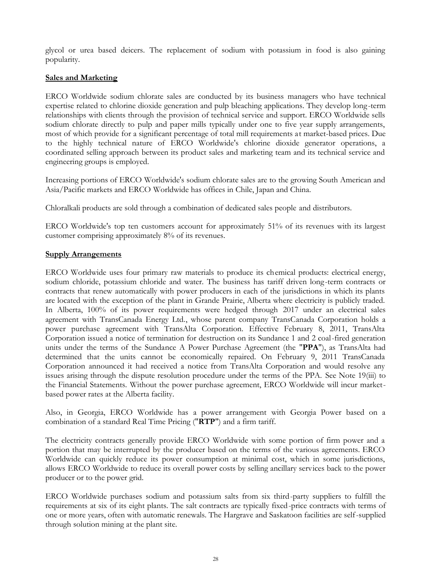glycol or urea based deicers. The replacement of sodium with potassium in food is also gaining popularity.

## *Sales and Marketing*

ERCO Worldwide sodium chlorate sales are conducted by its business managers who have technical expertise related to chlorine dioxide generation and pulp bleaching applications. They develop long-term relationships with clients through the provision of technical service and support. ERCO Worldwide sells sodium chlorate directly to pulp and paper mills typically under one to five year supply arrangements, most of which provide for a significant percentage of total mill requirements at market-based prices. Due to the highly technical nature of ERCO Worldwide's chlorine dioxide generator operations, a coordinated selling approach between its product sales and marketing team and its technical service and engineering groups is employed.

Increasing portions of ERCO Worldwide's sodium chlorate sales are to the growing South American and Asia/Pacific markets and ERCO Worldwide has offices in Chile, Japan and China.

Chloralkali products are sold through a combination of dedicated sales people and distributors.

ERCO Worldwide's top ten customers account for approximately 51% of its revenues with its largest customer comprising approximately 8% of its revenues.

## *Supply Arrangements*

ERCO Worldwide uses four primary raw materials to produce its chemical products: electrical energy, sodium chloride, potassium chloride and water. The business has tariff driven long-term contracts or contracts that renew automatically with power producers in each of the jurisdictions in which its plants are located with the exception of the plant in Grande Prairie, Alberta where electricity is publicly traded. In Alberta, 100% of its power requirements were hedged through 2017 under an electrical sales agreement with TransCanada Energy Ltd., whose parent company TransCanada Corporation holds a power purchase agreement with TransAlta Corporation. Effective February 8, 2011, TransAlta Corporation issued a notice of termination for destruction on its Sundance 1 and 2 coal-fired generation units under the terms of the Sundance A Power Purchase Agreement (the "**PPA**"), as TransAlta had determined that the units cannot be economically repaired. On February 9, 2011 TransCanada Corporation announced it had received a notice from TransAlta Corporation and would resolve any issues arising through the dispute resolution procedure under the terms of the PPA. See Note 19(iii) to the Financial Statements. Without the power purchase agreement, ERCO Worldwide will incur marketbased power rates at the Alberta facility.

Also, in Georgia, ERCO Worldwide has a power arrangement with Georgia Power based on a combination of a standard Real Time Pricing ("**RTP**") and a firm tariff.

The electricity contracts generally provide ERCO Worldwide with some portion of firm power and a portion that may be interrupted by the producer based on the terms of the various agreements. ERCO Worldwide can quickly reduce its power consumption at minimal cost, which in some jurisdictions, allows ERCO Worldwide to reduce its overall power costs by selling ancillary services back to the power producer or to the power grid.

ERCO Worldwide purchases sodium and potassium salts from six third-party suppliers to fulfill the requirements at six of its eight plants. The salt contracts are typically fixed-price contracts with terms of one or more years, often with automatic renewals. The Hargrave and Saskatoon facilities are self-supplied through solution mining at the plant site.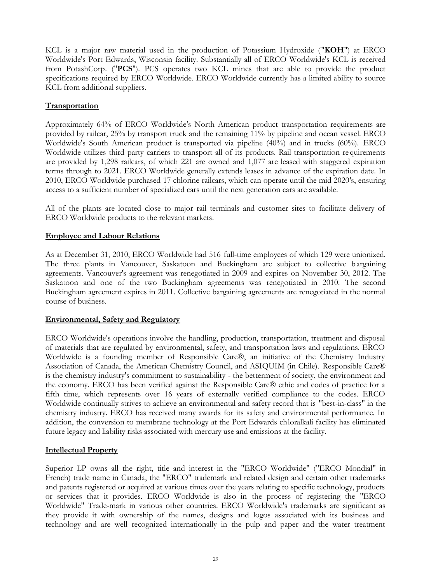KCL is a major raw material used in the production of Potassium Hydroxide ("**KOH**") at ERCO Worldwide's Port Edwards, Wisconsin facility. Substantially all of ERCO Worldwide's KCL is received from PotashCorp. ("**PCS**"). PCS operates two KCL mines that are able to provide the product specifications required by ERCO Worldwide. ERCO Worldwide currently has a limited ability to source KCL from additional suppliers.

## *Transportation*

Approximately 64% of ERCO Worldwide's North American product transportation requirements are provided by railcar, 25% by transport truck and the remaining 11% by pipeline and ocean vessel. ERCO Worldwide's South American product is transported via pipeline (40%) and in trucks (60%). ERCO Worldwide utilizes third party carriers to transport all of its products. Rail transportation requirements are provided by 1,298 railcars, of which 221 are owned and 1,077 are leased with staggered expiration terms through to 2021. ERCO Worldwide generally extends leases in advance of the expiration date. In 2010, ERCO Worldwide purchased 17 chlorine railcars, which can operate until the mid 2020's, ensuring access to a sufficient number of specialized cars until the next generation cars are available.

All of the plants are located close to major rail terminals and customer sites to facilitate delivery of ERCO Worldwide products to the relevant markets.

## *Employee and Labour Relations*

As at December 31, 2010, ERCO Worldwide had 516 full-time employees of which 129 were unionized. The three plants in Vancouver, Saskatoon and Buckingham are subject to collective bargaining agreements. Vancouver's agreement was renegotiated in 2009 and expires on November 30, 2012. The Saskatoon and one of the two Buckingham agreements was renegotiated in 2010. The second Buckingham agreement expires in 2011. Collective bargaining agreements are renegotiated in the normal course of business.

## *Environmental, Safety and Regulatory*

ERCO Worldwide's operations involve the handling, production, transportation, treatment and disposal of materials that are regulated by environmental, safety, and transportation laws and regulations. ERCO Worldwide is a founding member of Responsible Care®, an initiative of the Chemistry Industry Association of Canada, the American Chemistry Council, and ASIQUIM (in Chile). Responsible Care® is the chemistry industry's commitment to sustainability - the betterment of society, the environment and the economy. ERCO has been verified against the Responsible Care® ethic and codes of practice for a fifth time, which represents over 16 years of externally verified compliance to the codes. ERCO Worldwide continually strives to achieve an environmental and safety record that is "best-in-class" in the chemistry industry. ERCO has received many awards for its safety and environmental performance. In addition, the conversion to membrane technology at the Port Edwards chloralkali facility has eliminated future legacy and liability risks associated with mercury use and emissions at the facility.

## *Intellectual Property*

Superior LP owns all the right, title and interest in the "ERCO Worldwide" ("ERCO Mondial" in French) trade name in Canada, the "ERCO" trademark and related design and certain other trademarks and patents registered or acquired at various times over the years relating to specific technology, products or services that it provides. ERCO Worldwide is also in the process of registering the "ERCO Worldwide" Trade-mark in various other countries. ERCO Worldwide's trademarks are significant as they provide it with ownership of the names, designs and logos associated with its business and technology and are well recognized internationally in the pulp and paper and the water treatment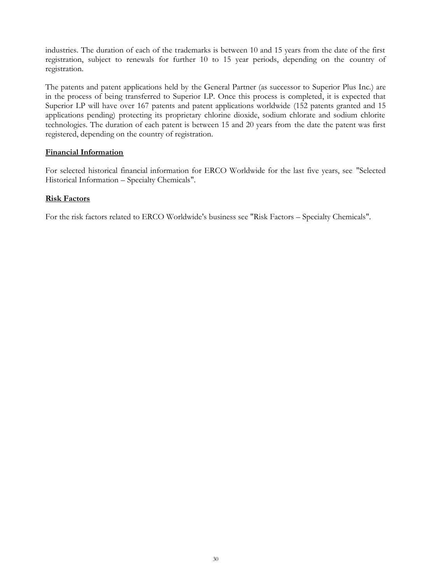industries. The duration of each of the trademarks is between 10 and 15 years from the date of the first registration, subject to renewals for further 10 to 15 year periods, depending on the country of registration.

The patents and patent applications held by the General Partner (as successor to Superior Plus Inc.) are in the process of being transferred to Superior LP. Once this process is completed, it is expected that Superior LP will have over 167 patents and patent applications worldwide (152 patents granted and 15 applications pending) protecting its proprietary chlorine dioxide, sodium chlorate and sodium chlorite technologies. The duration of each patent is between 15 and 20 years from the date the patent was first registered, depending on the country of registration.

#### *Financial Information*

For selected historical financial information for ERCO Worldwide for the last five years, see "Selected Historical Information – Specialty Chemicals".

## *Risk Factors*

For the risk factors related to ERCO Worldwide's business see "Risk Factors – Specialty Chemicals".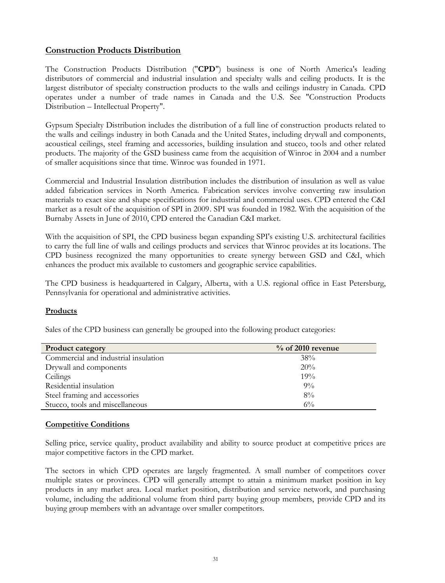# **Construction Products Distribution**

The Construction Products Distribution ("**CPD**") business is one of North America's leading distributors of commercial and industrial insulation and specialty walls and ceiling products. It is the largest distributor of specialty construction products to the walls and ceilings industry in Canada. CPD operates under a number of trade names in Canada and the U.S. See "Construction Products Distribution – Intellectual Property".

Gypsum Specialty Distribution includes the distribution of a full line of construction products related to the walls and ceilings industry in both Canada and the United States, including drywall and components, acoustical ceilings, steel framing and accessories, building insulation and stucco, tools and other related products. The majority of the GSD business came from the acquisition of Winroc in 2004 and a number of smaller acquisitions since that time. Winroc was founded in 1971.

Commercial and Industrial Insulation distribution includes the distribution of insulation as well as value added fabrication services in North America. Fabrication services involve converting raw insulation materials to exact size and shape specifications for industrial and commercial uses. CPD entered the C&I market as a result of the acquisition of SPI in 2009. SPI was founded in 1982. With the acquisition of the Burnaby Assets in June of 2010, CPD entered the Canadian C&I market.

With the acquisition of SPI, the CPD business began expanding SPI's existing U.S. architectural facilities to carry the full line of walls and ceilings products and services that Winroc provides at its locations. The CPD business recognized the many opportunities to create synergy between GSD and C&I, which enhances the product mix available to customers and geographic service capabilities.

The CPD business is headquartered in Calgary, Alberta, with a U.S. regional office in East Petersburg, Pennsylvania for operational and administrative activities.

#### *Products*

Sales of the CPD business can generally be grouped into the following product categories:

| <b>Product category</b>              | $\%$ of 2010 revenue |
|--------------------------------------|----------------------|
| Commercial and industrial insulation | 38%                  |
| Drywall and components               | 20%                  |
| Ceilings                             | 19%                  |
| Residential insulation               | $9\%$                |
| Steel framing and accessories        | $8\%$                |
| Stucco, tools and miscellaneous      | $6\%$                |

#### *Competitive Conditions*

Selling price, service quality, product availability and ability to source product at competitive prices are major competitive factors in the CPD market.

The sectors in which CPD operates are largely fragmented. A small number of competitors cover multiple states or provinces. CPD will generally attempt to attain a minimum market position in key products in any market area. Local market position, distribution and service network, and purchasing volume, including the additional volume from third party buying group members, provide CPD and its buying group members with an advantage over smaller competitors.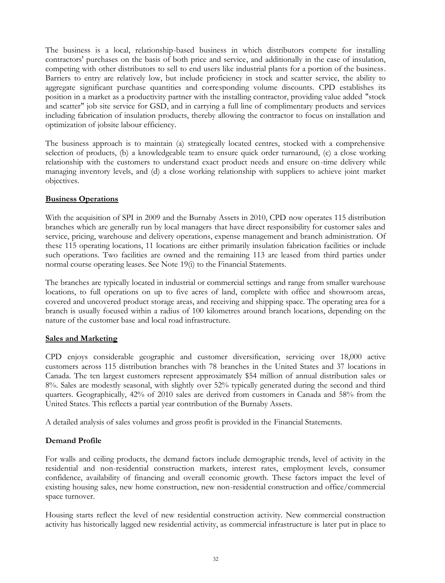The business is a local, relationship-based business in which distributors compete for installing contractors' purchases on the basis of both price and service, and additionally in the case of insulation, competing with other distributors to sell to end users like industrial plants for a portion of the business. Barriers to entry are relatively low, but include proficiency in stock and scatter service, the ability to aggregate significant purchase quantities and corresponding volume discounts. CPD establishes its position in a market as a productivity partner with the installing contractor, providing value added "stock and scatter" job site service for GSD, and in carrying a full line of complimentary products and services including fabrication of insulation products, thereby allowing the contractor to focus on installation and optimization of jobsite labour efficiency.

The business approach is to maintain (a) strategically located centres, stocked with a comprehensive selection of products, (b) a knowledgeable team to ensure quick order turnaround, (c) a close working relationship with the customers to understand exact product needs and ensure on-time delivery while managing inventory levels, and (d) a close working relationship with suppliers to achieve joint market objectives.

#### *Business Operations*

With the acquisition of SPI in 2009 and the Burnaby Assets in 2010, CPD now operates 115 distribution branches which are generally run by local managers that have direct responsibility for customer sales and service, pricing, warehouse and delivery operations, expense management and branch administration. Of these 115 operating locations, 11 locations are either primarily insulation fabrication facilities or include such operations. Two facilities are owned and the remaining 113 are leased from third parties under normal course operating leases. See Note 19(i) to the Financial Statements.

The branches are typically located in industrial or commercial settings and range from smaller warehouse locations, to full operations on up to five acres of land, complete with office and showroom areas, covered and uncovered product storage areas, and receiving and shipping space. The operating area for a branch is usually focused within a radius of 100 kilometres around branch locations, depending on the nature of the customer base and local road infrastructure.

#### *Sales and Marketing*

CPD enjoys considerable geographic and customer diversification, servicing over 18,000 active customers across 115 distribution branches with 78 branches in the United States and 37 locations in Canada. The ten largest customers represent approximately \$54 million of annual distribution sales or 8%. Sales are modestly seasonal, with slightly over 52% typically generated during the second and third quarters. Geographically, 42% of 2010 sales are derived from customers in Canada and 58% from the United States. This reflects a partial year contribution of the Burnaby Assets.

A detailed analysis of sales volumes and gross profit is provided in the Financial Statements.

## *Demand Profile*

For walls and ceiling products, the demand factors include demographic trends, level of activity in the residential and non-residential construction markets, interest rates, employment levels, consumer confidence, availability of financing and overall economic growth. These factors impact the level of existing housing sales, new home construction, new non-residential construction and office/commercial space turnover.

Housing starts reflect the level of new residential construction activity. New commercial construction activity has historically lagged new residential activity, as commercial infrastructure is later put in place to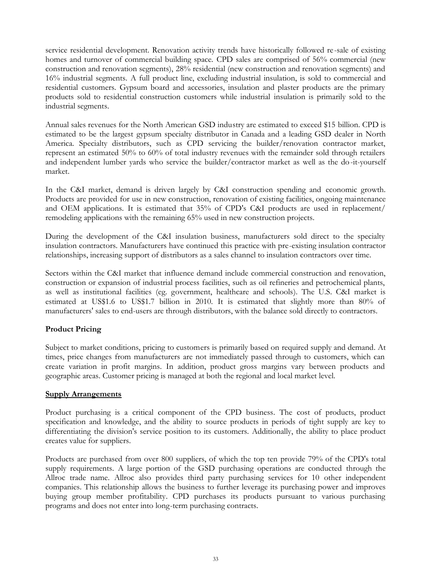service residential development. Renovation activity trends have historically followed re-sale of existing homes and turnover of commercial building space. CPD sales are comprised of 56% commercial (new construction and renovation segments), 28% residential (new construction and renovation segments) and 16% industrial segments. A full product line, excluding industrial insulation, is sold to commercial and residential customers. Gypsum board and accessories, insulation and plaster products are the primary products sold to residential construction customers while industrial insulation is primarily sold to the industrial segments.

Annual sales revenues for the North American GSD industry are estimated to exceed \$15 billion. CPD is estimated to be the largest gypsum specialty distributor in Canada and a leading GSD dealer in North America. Specialty distributors, such as CPD servicing the builder/renovation contractor market, represent an estimated 50% to 60% of total industry revenues with the remainder sold through retailers and independent lumber yards who service the builder/contractor market as well as the do-it-yourself market.

In the C&I market, demand is driven largely by C&I construction spending and economic growth. Products are provided for use in new construction, renovation of existing facilities, ongoing maintenance and OEM applications. It is estimated that 35% of CPD's C&I products are used in replacement/ remodeling applications with the remaining 65% used in new construction projects.

During the development of the C&I insulation business, manufacturers sold direct to the specialty insulation contractors. Manufacturers have continued this practice with pre-existing insulation contractor relationships, increasing support of distributors as a sales channel to insulation contractors over time.

Sectors within the C&I market that influence demand include commercial construction and renovation, construction or expansion of industrial process facilities, such as oil refineries and petrochemical plants, as well as institutional facilities (eg. government, healthcare and schools). The U.S. C&I market is estimated at US\$1.6 to US\$1.7 billion in 2010. It is estimated that slightly more than 80% of manufacturers' sales to end-users are through distributors, with the balance sold directly to contractors.

## *Product Pricing*

Subject to market conditions, pricing to customers is primarily based on required supply and demand. At times, price changes from manufacturers are not immediately passed through to customers, which can create variation in profit margins. In addition, product gross margins vary between products and geographic areas. Customer pricing is managed at both the regional and local market level.

## *Supply Arrangements*

Product purchasing is a critical component of the CPD business. The cost of products, product specification and knowledge, and the ability to source products in periods of tight supply are key to differentiating the division's service position to its customers. Additionally, the ability to place product creates value for suppliers.

Products are purchased from over 800 suppliers, of which the top ten provide 79% of the CPD's total supply requirements. A large portion of the GSD purchasing operations are conducted through the Allroc trade name. Allroc also provides third party purchasing services for 10 other independent companies. This relationship allows the business to further leverage its purchasing power and improves buying group member profitability. CPD purchases its products pursuant to various purchasing programs and does not enter into long-term purchasing contracts.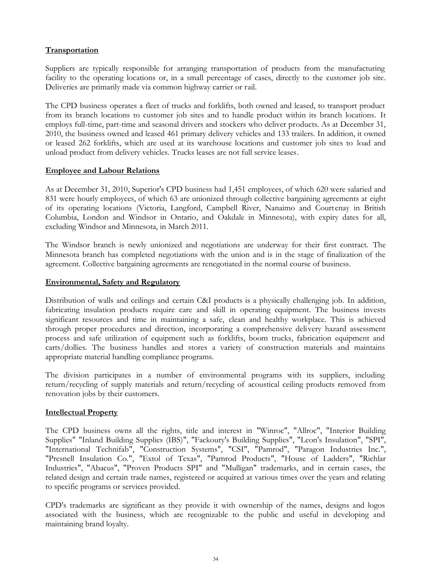# *Transportation*

Suppliers are typically responsible for arranging transportation of products from the manufacturing facility to the operating locations or, in a small percentage of cases, directly to the customer job site. Deliveries are primarily made via common highway carrier or rail.

The CPD business operates a fleet of trucks and forklifts, both owned and leased, to transport product from its branch locations to customer job sites and to handle product within its branch locations. It employs full-time, part-time and seasonal drivers and stockers who deliver products. As at December 31, 2010, the business owned and leased 461 primary delivery vehicles and 133 trailers. In addition, it owned or leased 262 forklifts, which are used at its warehouse locations and customer job sites to load and unload product from delivery vehicles. Trucks leases are not full service leases.

## *Employee and Labour Relations*

As at December 31, 2010, Superior's CPD business had 1,451 employees, of which 620 were salaried and 831 were hourly employees, of which 63 are unionized through collective bargaining agreements at eight of its operating locations (Victoria, Langford, Campbell River, Nanaimo and Court enay in British Columbia, London and Windsor in Ontario, and Oakdale in Minnesota), with expiry dates for all, excluding Windsor and Minnesota, in March 2011.

The Windsor branch is newly unionized and negotiations are underway for their first contract. The Minnesota branch has completed negotiations with the union and is in the stage of finalization of the agreement. Collective bargaining agreements are renegotiated in the normal course of business.

## *Environmental, Safety and Regulatory*

Distribution of walls and ceilings and certain C&I products is a physically challenging job. In addition, fabricating insulation products require care and skill in operating equipment. The business invests significant resources and time in maintaining a safe, clean and healthy workplace. This is achieved through proper procedures and direction, incorporating a comprehensive delivery hazard assessment process and safe utilization of equipment such as forklifts, boom trucks, fabrication equipment and carts/dollies. The business handles and stores a variety of construction materials and maintains appropriate material handling compliance programs.

The division participates in a number of environmental programs with its suppliers, including return/recycling of supply materials and return/recycling of acoustical ceiling products removed from renovation jobs by their customers.

## *Intellectual Property*

The CPD business owns all the rights, title and interest in "Winroc", "Allroc", "Interior Building Supplies" "Inland Building Supplies (IBS)", "Fackoury's Building Supplies", "Leon's Insulation", "SPI", "International Technifab", "Construction Systems", "CSI", "Pamrod", "Paragon Industries Inc.", "Presnell Insulation Co.", "Extol of Texas", "Pamrod Products", "House of Ladders", "Richlar Industries", "Abacus", "Proven Products SPI" and "Mulligan" trademarks, and in certain cases, the related design and certain trade names, registered or acquired at various times over the years and relating to specific programs or services provided.

CPD's trademarks are significant as they provide it with ownership of the names, designs and logos associated with the business, which are recognizable to the public and useful in developing and maintaining brand loyalty.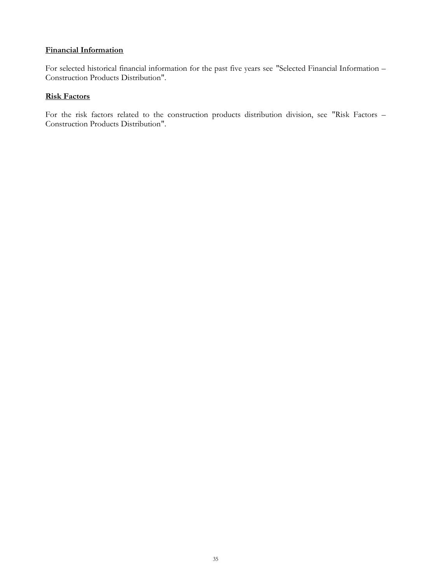# *Financial Information*

For selected historical financial information for the past five years see "Selected Financial Information – Construction Products Distribution".

# *Risk Factors*

For the risk factors related to the construction products distribution division, see "Risk Factors – Construction Products Distribution".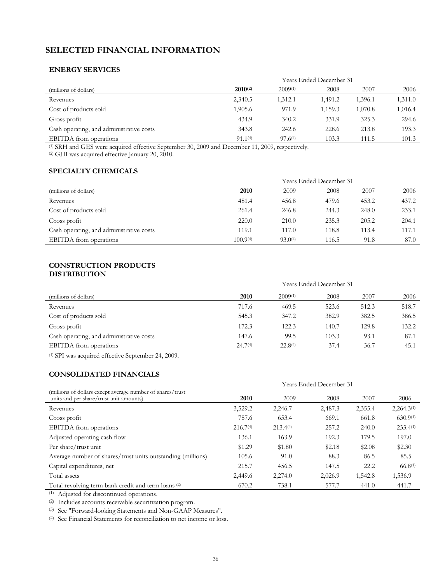# **SELECTED FINANCIAL INFORMATION**

#### **ENERGY SERVICES**

|                                          | Years Ended December 31 |              |         |         |         |
|------------------------------------------|-------------------------|--------------|---------|---------|---------|
| (millions of dollars)                    | $2010^{(2)}$            | $2009^{(1)}$ | 2008    | 2007    | 2006    |
| Revenues                                 | 2,340.5                 | 1,312.1      | 1.491.2 | 1,396.1 | 1,311.0 |
| Cost of products sold                    | 1,905.6                 | 971.9        | 1,159.3 | 1,070.8 | 1,016.4 |
| Gross profit                             | 434.9                   | 340.2        | 331.9   | 325.3   | 294.6   |
| Cash operating, and administrative costs | 343.8                   | 242.6        | 228.6   | 213.8   | 193.3   |
| EBITDA from operations                   | $91.1^{(4)}$            | $97.6^{(4)}$ | 103.3   | 111.5   | 101.3   |

(1) SRH and GES were acquired effective September 30, 2009 and December 11, 2009, respectively.

(2) GHI was acquired effective January 20, 2010.

# **SPECIALTY CHEMICALS**

|                                          | Years Ended December 31 |         |       |       |       |
|------------------------------------------|-------------------------|---------|-------|-------|-------|
| (millions of dollars)                    | 2010                    | 2009    | 2008  | 2007  | 2006  |
| Revenues                                 | 481.4                   | 456.8   | 479.6 | 453.2 | 437.2 |
| Cost of products sold                    | 261.4                   | 246.8   | 244.3 | 248.0 | 233.1 |
| Gross profit                             | 220.0                   | 210.0   | 235.3 | 205.2 | 204.1 |
| Cash operating, and administrative costs | 119.1                   | 117.0   | 118.8 | 113.4 | 117.1 |
| <b>EBITDA</b> from operations            | 100.9(4)                | 93.0(4) | 116.5 | 91.8  | 87.0  |

#### **CONSTRUCTION PRODUCTS DISTRIBUTION**

|                                          | <b>Years Ended December 31</b> |              |       |       |       |
|------------------------------------------|--------------------------------|--------------|-------|-------|-------|
| (millions of dollars)                    | 2010                           | 2009(1)      | 2008  | 2007  | 2006  |
| Revenues                                 | 717.6                          | 469.5        | 523.6 | 512.3 | 518.7 |
| Cost of products sold                    | 545.3                          | 347.2        | 382.9 | 382.5 | 386.5 |
| Gross profit                             | 172.3                          | 122.3        | 140.7 | 129.8 | 132.2 |
| Cash operating, and administrative costs | 147.6                          | 99.5         | 103.3 | 93.1  | 87.1  |
| EBITDA from operations                   | $24.7^{(4)}$                   | $22.8^{(4)}$ | 37.4  | 36.7  | 45.1  |

(1) SPI was acquired effective September 24, 2009.

## **CONSOLIDATED FINANCIALS**

|                                                                                                                                            |          | Years Ended December 31 |         |         |                 |  |
|--------------------------------------------------------------------------------------------------------------------------------------------|----------|-------------------------|---------|---------|-----------------|--|
| (millions of dollars except average number of shares/trust<br>units and per share/trust unit amounts)                                      | 2010     | 2009                    | 2008    | 2007    | 2006            |  |
| Revenues                                                                                                                                   | 3,529.2  | 2,246.7                 | 2,487.3 | 2,355.4 | $2,264.3^{(1)}$ |  |
| Gross profit                                                                                                                               | 787.6    | 653.4                   | 669.1   | 661.8   | $630.9^{(1)}$   |  |
| EBITDA from operations                                                                                                                     | 216.7(4) | 213.4(4)                | 257.2   | 240.0   | $233.4^{(1)}$   |  |
| Adjusted operating cash flow                                                                                                               | 136.1    | 163.9                   | 192.3   | 179.5   | 197.0           |  |
| Per share/trust unit                                                                                                                       | \$1.29   | \$1.80                  | \$2.18  | \$2.08  | \$2.30          |  |
| Average number of shares/trust units outstanding (millions)                                                                                | 105.6    | 91.0                    | 88.3    | 86.5    | 85.5            |  |
| Capital expenditures, net                                                                                                                  | 215.7    | 456.5                   | 147.5   | 22.2    | $66.8^{(1)}$    |  |
| Total assets                                                                                                                               | 2,449.6  | 2,274.0                 | 2,026.9 | 1,542.8 | 1,536.9         |  |
| Total revolving term bank credit and term loans (2)                                                                                        | 670.2    | 738.1                   | 577.7   | 441.0   | 441.7           |  |
| $\sqrt{4}$ , $\frac{1}{2}$ , $\frac{1}{2}$ , $\frac{1}{2}$ , $\frac{1}{2}$ , $\frac{1}{2}$ , $\frac{1}{2}$ , $\frac{1}{2}$ , $\frac{1}{2}$ |          |                         |         |         |                 |  |

(1) Adjusted for discontinued operations.

(2) Includes accounts receivable securitization program.

(3) See "Forward-looking Statements and Non-GAAP Measures".

(4) See Financial Statements for reconciliation to net income or loss.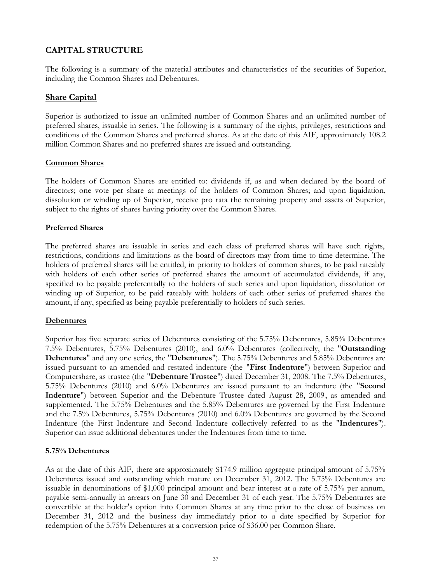# **CAPITAL STRUCTURE**

The following is a summary of the material attributes and characteristics of the securities of Superior, including the Common Shares and Debentures.

# **Share Capital**

Superior is authorized to issue an unlimited number of Common Shares and an unlimited number of preferred shares, issuable in series. The following is a summary of the rights, privileges, restrictions and conditions of the Common Shares and preferred shares. As at the date of this AIF, approximately 108.2 million Common Shares and no preferred shares are issued and outstanding.

## *Common Shares*

The holders of Common Shares are entitled to: dividends if, as and when declared by the board of directors; one vote per share at meetings of the holders of Common Shares; and upon liquidation, dissolution or winding up of Superior, receive pro rata the remaining property and assets of Superior, subject to the rights of shares having priority over the Common Shares.

## *Preferred Shares*

The preferred shares are issuable in series and each class of preferred shares will have such rights, restrictions, conditions and limitations as the board of directors may from time to time determine. The holders of preferred shares will be entitled, in priority to holders of common shares, to be paid rateably with holders of each other series of preferred shares the amount of accumulated dividends, if any, specified to be payable preferentially to the holders of such series and upon liquidation, dissolution or winding up of Superior, to be paid rateably with holders of each other series of preferred shares the amount, if any, specified as being payable preferentially to holders of such series.

## *Debentures*

Superior has five separate series of Debentures consisting of the 5.75% Debentures, 5.85% Debentures 7.5% Debentures, 5.75% Debentures (2010), and 6.0% Debentures (collectively, the "**Outstanding Debentures**" and any one series, the "**Debentures**"). The 5.75% Debentures and 5.85% Debentures are issued pursuant to an amended and restated indenture (the "**First Indenture**") between Superior and Computershare, as trustee (the "**Debenture Trustee**") dated December 31, 2008. The 7.5% Debentures, 5.75% Debentures (2010) and 6.0% Debentures are issued pursuant to an indenture (the "**Second Indenture**") between Superior and the Debenture Trustee dated August 28, 2009, as amended and supplemented. The 5.75% Debentures and the 5.85% Debentures are governed by the First Indenture and the 7.5% Debentures, 5.75% Debentures (2010) and 6.0% Debentures are governed by the Second Indenture (the First Indenture and Second Indenture collectively referred to as the "**Indentures**"). Superior can issue additional debentures under the Indentures from time to time.

## *5.75% Debentures*

As at the date of this AIF, there are approximately \$174.9 million aggregate principal amount of 5.75% Debentures issued and outstanding which mature on December 31, 2012. The 5.75% Debentures are issuable in denominations of \$1,000 principal amount and bear interest at a rate of 5.75% per annum, payable semi-annually in arrears on June 30 and December 31 of each year. The 5.75% Debentures are convertible at the holder's option into Common Shares at any time prior to the close of business on December 31, 2012 and the business day immediately prior to a date specified by Superior for redemption of the 5.75% Debentures at a conversion price of \$36.00 per Common Share.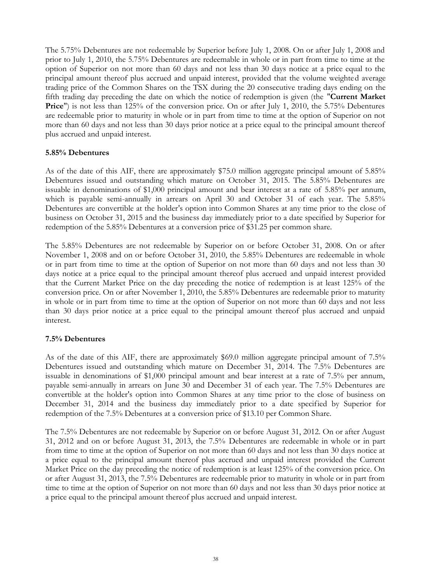The 5.75% Debentures are not redeemable by Superior before July 1, 2008. On or after July 1, 2008 and prior to July 1, 2010, the 5.75% Debentures are redeemable in whole or in part from time to time at the option of Superior on not more than 60 days and not less than 30 days notice at a price equal to the principal amount thereof plus accrued and unpaid interest, provided that the volume weighted average trading price of the Common Shares on the TSX during the 20 consecutive trading days ending on the fifth trading day preceding the date on which the notice of redemption is given (the "**Current Market Price**") is not less than 125% of the conversion price. On or after July 1, 2010, the 5.75% Debentures are redeemable prior to maturity in whole or in part from time to time at the option of Superior on not more than 60 days and not less than 30 days prior notice at a price equal to the principal amount thereof plus accrued and unpaid interest.

## *5.85% Debentures*

As of the date of this AIF, there are approximately \$75.0 million aggregate principal amount of 5.85% Debentures issued and outstanding which mature on October 31, 2015. The 5.85% Debentures are issuable in denominations of \$1,000 principal amount and bear interest at a rate of 5.85% per annum, which is payable semi-annually in arrears on April 30 and October 31 of each year. The 5.85% Debentures are convertible at the holder's option into Common Shares at any time prior to the close of business on October 31, 2015 and the business day immediately prior to a date specified by Superior for redemption of the 5.85% Debentures at a conversion price of \$31.25 per common share.

The 5.85% Debentures are not redeemable by Superior on or before October 31, 2008. On or after November 1, 2008 and on or before October 31, 2010, the 5.85% Debentures are redeemable in whole or in part from time to time at the option of Superior on not more than 60 days and not less than 30 days notice at a price equal to the principal amount thereof plus accrued and unpaid interest provided that the Current Market Price on the day preceding the notice of redemption is at least 125% of the conversion price. On or after November 1, 2010, the 5.85% Debentures are redeemable prior to maturity in whole or in part from time to time at the option of Superior on not more than 60 days and not less than 30 days prior notice at a price equal to the principal amount thereof plus accrued and unpaid interest.

#### *7.5% Debentures*

As of the date of this AIF, there are approximately \$69.0 million aggregate principal amount of 7.5% Debentures issued and outstanding which mature on December 31, 2014. The 7.5% Debentures are issuable in denominations of \$1,000 principal amount and bear interest at a rate of 7.5% per annum, payable semi-annually in arrears on June 30 and December 31 of each year. The 7.5% Debentures are convertible at the holder's option into Common Shares at any time prior to the close of business on December 31, 2014 and the business day immediately prior to a date specified by Superior for redemption of the 7.5% Debentures at a conversion price of \$13.10 per Common Share.

The 7.5% Debentures are not redeemable by Superior on or before August 31, 2012. On or after August 31, 2012 and on or before August 31, 2013, the 7.5% Debentures are redeemable in whole or in part from time to time at the option of Superior on not more than 60 days and not less than 30 days notice at a price equal to the principal amount thereof plus accrued and unpaid interest provided the Current Market Price on the day preceding the notice of redemption is at least 125% of the conversion price. On or after August 31, 2013, the 7.5% Debentures are redeemable prior to maturity in whole or in part from time to time at the option of Superior on not more than 60 days and not less than 30 days prior notice at a price equal to the principal amount thereof plus accrued and unpaid interest.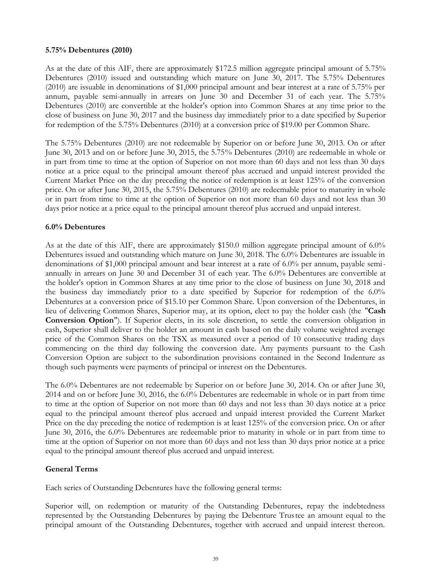## *5.75% Debentures (2010)*

As at the date of this AIF, there are approximately \$172.5 million aggregate principal amount of 5.75% Debentures (2010) issued and outstanding which mature on June 30, 2017. The 5.75% Debentures (2010) are issuable in denominations of \$1,000 principal amount and bear interest at a rate of 5.75% per annum, payable semi-annually in arrears on June 30 and December 31 of each year. The 5.75% Debentures (2010) are convertible at the holder's option into Common Shares at any time prior to the close of business on June 30, 2017 and the business day immediately prior to a date specified by Superior for redemption of the 5.75% Debentures (2010) at a conversion price of \$19.00 per Common Share.

The 5.75% Debentures (2010) are not redeemable by Superior on or before June 30, 2013. On or after June 30, 2013 and on or before June 30, 2015, the 5.75% Debentures (2010) are redeemable in whole or in part from time to time at the option of Superior on not more than 60 days and not less than 30 days notice at a price equal to the principal amount thereof plus accrued and unpaid interest provided the Current Market Price on the day preceding the notice of redemption is at least 125% of the conversion price. On or after June 30, 2015, the 5.75% Debentures (2010) are redeemable prior to maturity in whole or in part from time to time at the option of Superior on not more than 60 days and not less than 30 days prior notice at a price equal to the principal amount thereof plus accrued and unpaid interest.

## *6.0% Debentures*

As at the date of this AIF, there are approximately \$150.0 million aggregate principal amount of 6.0% Debentures issued and outstanding which mature on June 30, 2018. The 6.0% Debentures are issuable in denominations of \$1,000 principal amount and bear interest at a rate of 6.0% per annum, payable semiannually in arrears on June 30 and December 31 of each year. The 6.0% Debentures are convertible at the holder's option in Common Shares at any time prior to the close of business on June 30, 2018 and the business day immediately prior to a date specified by Superior for redemption of the 6.0% Debentures at a conversion price of \$15.10 per Common Share. Upon conversion of the Debentures, in lieu of delivering Common Shares, Superior may, at its option, elect to pay the holder cash (the "**Cash Conversion Option**"). If Superior elects, in its sole discretion, to settle the conversion obligation in cash, Superior shall deliver to the holder an amount in cash based on the daily volume weighted average price of the Common Shares on the TSX as measured over a period of 10 consecutive trading days commencing on the third day following the conversion date. Any payments pursuant to the Cash Conversion Option are subject to the subordination provisions contained in the Second Indenture as though such payments were payments of principal or interest on the Debentures.

The 6.0% Debentures are not redeemable by Superior on or before June 30, 2014. On or after June 30, 2014 and on or before June 30, 2016, the 6.0% Debentures are redeemable in whole or in part from time to time at the option of Superior on not more than 60 days and not less than 30 days notice at a price equal to the principal amount thereof plus accrued and unpaid interest provided the Current Market Price on the day preceding the notice of redemption is at least 125% of the conversion price. On or after June 30, 2016, the 6.0% Debentures are redeemable prior to maturity in whole or in part from time to time at the option of Superior on not more than 60 days and not less than 30 days prior notice at a price equal to the principal amount thereof plus accrued and unpaid interest.

## *General Terms*

Each series of Outstanding Debentures have the following general terms:

Superior will, on redemption or maturity of the Outstanding Debentures, repay the indebtedness represented by the Outstanding Debentures by paying the Debenture Trustee an amount equal to the principal amount of the Outstanding Debentures, together with accrued and unpaid interest thereon.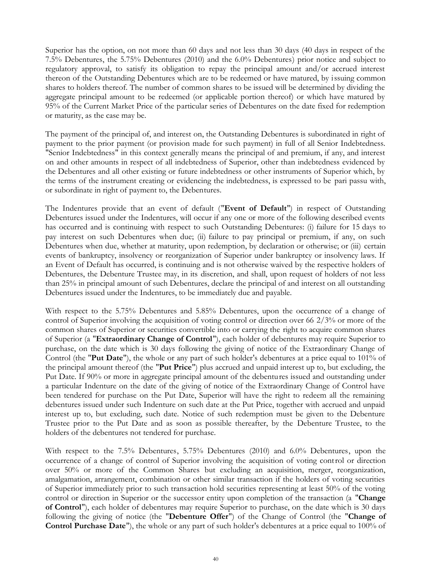Superior has the option, on not more than 60 days and not less than 30 days (40 days in respect of the 7.5% Debentures, the 5.75% Debentures (2010) and the 6.0% Debentures) prior notice and subject to regulatory approval, to satisfy its obligation to repay the principal amount and/or accrued interest thereon of the Outstanding Debentures which are to be redeemed or have matured, by issuing common shares to holders thereof. The number of common shares to be issued will be determined by dividing the aggregate principal amount to be redeemed (or applicable portion thereof) or which have matured by 95% of the Current Market Price of the particular series of Debentures on the date fixed for redemption or maturity, as the case may be.

The payment of the principal of, and interest on, the Outstanding Debentures is subordinated in right of payment to the prior payment (or provision made for such payment) in full of all Senior Indebtedness. "Senior Indebtedness" in this context generally means the principal of and premium, if any, and interest on and other amounts in respect of all indebtedness of Superior, other than indebtedness evidenced by the Debentures and all other existing or future indebtedness or other instruments of Superior which, by the terms of the instrument creating or evidencing the indebtedness, is expressed to be pari passu with, or subordinate in right of payment to, the Debentures.

The Indentures provide that an event of default ("**Event of Default**") in respect of Outstanding Debentures issued under the Indentures, will occur if any one or more of the following described events has occurred and is continuing with respect to such Outstanding Debentures: (i) failure for 15 days to pay interest on such Debentures when due; (ii) failure to pay principal or premium, if any, on such Debentures when due, whether at maturity, upon redemption, by declaration or otherwise; or (iii) certain events of bankruptcy, insolvency or reorganization of Superior under bankruptcy or insolvency laws. If an Event of Default has occurred, is continuing and is not otherwise waived by the respective holders of Debentures, the Debenture Trustee may, in its discretion, and shall, upon request of holders of not less than 25% in principal amount of such Debentures, declare the principal of and interest on all outstanding Debentures issued under the Indentures, to be immediately due and payable.

With respect to the 5.75% Debentures and 5.85% Debentures, upon the occurrence of a change of control of Superior involving the acquisition of voting control or direction over 66 2/3% or more of the common shares of Superior or securities convertible into or carrying the right to acquire common shares of Superior (a "**Extraordinary Change of Control**"), each holder of debentures may require Superior to purchase, on the date which is 30 days following the giving of notice of the Extraordinary Change of Control (the "**Put Date**"), the whole or any part of such holder's debentures at a price equal to 101% of the principal amount thereof (the "**Put Price**") plus accrued and unpaid interest up to, but excluding, the Put Date. If 90% or more in aggregate principal amount of the debentures issued and outstanding under a particular Indenture on the date of the giving of notice of the Extraordinary Change of Control have been tendered for purchase on the Put Date, Superior will have the right to redeem all the remaining debentures issued under such Indenture on such date at the Put Price, together with accrued and unpaid interest up to, but excluding, such date. Notice of such redemption must be given to the Debenture Trustee prior to the Put Date and as soon as possible thereafter, by the Debenture Trustee, to the holders of the debentures not tendered for purchase.

With respect to the 7.5% Debentures, 5.75% Debentures (2010) and 6.0% Debentures, upon the occurrence of a change of control of Superior involving the acquisition of voting control or direction over 50% or more of the Common Shares but excluding an acquisition, merger, reorganization, amalgamation, arrangement, combination or other similar transaction if the holders of voting securities of Superior immediately prior to such transaction hold securities representing at least 50% of the voting control or direction in Superior or the successor entity upon completion of the transaction (a "**Change of Control**"), each holder of debentures may require Superior to purchase, on the date which is 30 days following the giving of notice (the "**Debenture Offer**") of the Change of Control (the "**Change of Control Purchase Date**"), the whole or any part of such holder's debentures at a price equal to 100% of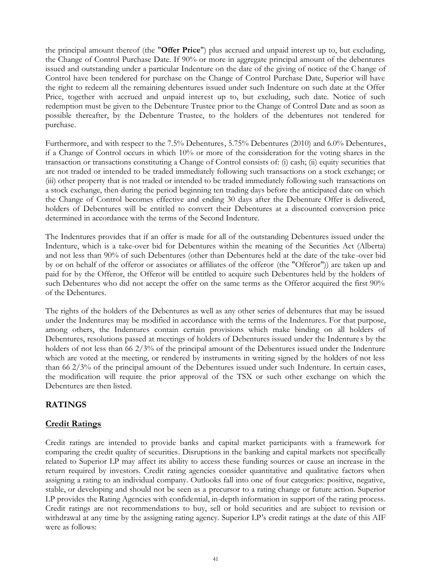the principal amount thereof (the "**Offer Price**") plus accrued and unpaid interest up to, but excluding, the Change of Control Purchase Date. If 90% or more in aggregate principal amount of the debentures issued and outstanding under a particular Indenture on the date of the giving of notice of the Change of Control have been tendered for purchase on the Change of Control Purchase Date, Superior will have the right to redeem all the remaining debentures issued under such Indenture on such date at the Offer Price, together with accrued and unpaid interest up to, but excluding, such date. Notice of such redemption must be given to the Debenture Trustee prior to the Change of Control Date and as soon as possible thereafter, by the Debenture Trustee, to the holders of the debentures not tendered for purchase.

Furthermore, and with respect to the 7.5% Debentures, 5.75% Debentures (2010) and 6.0% Debentures, if a Change of Control occurs in which 10% or more of the consideration for the voting shares in the transaction or transactions constituting a Change of Control consists of: (i) cash; (ii) equity securities that are not traded or intended to be traded immediately following such transactions on a stock exchange; or (iii) other property that is not traded or intended to be traded immediately following such transactions on a stock exchange, then during the period beginning ten trading days before the anticipated date on which the Change of Control becomes effective and ending 30 days after the Debenture Offer is delivered, holders of Debentures will be entitled to convert their Debentures at a discounted conversion price determined in accordance with the terms of the Second Indenture.

The Indentures provides that if an offer is made for all of the outstanding Debentures issued under the Indenture, which is a take-over bid for Debentures within the meaning of the Securities Act (Alberta) and not less than 90% of such Debentures (other than Debentures held at the date of the take -over bid by or on behalf of the offeror or associates or affiliates of the offeror (the "Offeror")) are taken up and paid for by the Offeror, the Offeror will be entitled to acquire such Debentures held by the holders of such Debentures who did not accept the offer on the same terms as the Offeror acquired the first 90% of the Debentures.

The rights of the holders of the Debentures as well as any other series of debentures that may be issued under the Indentures may be modified in accordance with the terms of the Indentures. For that purpose, among others, the Indentures contain certain provisions which make binding on all holders of Debentures, resolutions passed at meetings of holders of Debentures issued under the Indenture s by the holders of not less than 66 2/3% of the principal amount of the Debentures issued under the Indenture which are voted at the meeting, or rendered by instruments in writing signed by the holders of not less than 66 2/3% of the principal amount of the Debentures issued under such Indenture. In certain cases, the modification will require the prior approval of the TSX or such other exchange on which the Debentures are then listed.

# **RATINGS**

# **Credit Ratings**

Credit ratings are intended to provide banks and capital market participants with a framework for comparing the credit quality of securities. Disruptions in the banking and capital markets not specifically related to Superior LP may affect its ability to access these funding sources or cause an increase in the return required by investors. Credit rating agencies consider quantitative and qualitative factors when assigning a rating to an individual company. Outlooks fall into one of four categories: positive, negative, stable, or developing and should not be seen as a precursor to a rating change or future action. Superior LP provides the Rating Agencies with confidential, in-depth information in support of the rating process. Credit ratings are not recommendations to buy, sell or hold securities and are subject to revision or withdrawal at any time by the assigning rating agency. Superior LP's credit ratings at the date of this AIF were as follows: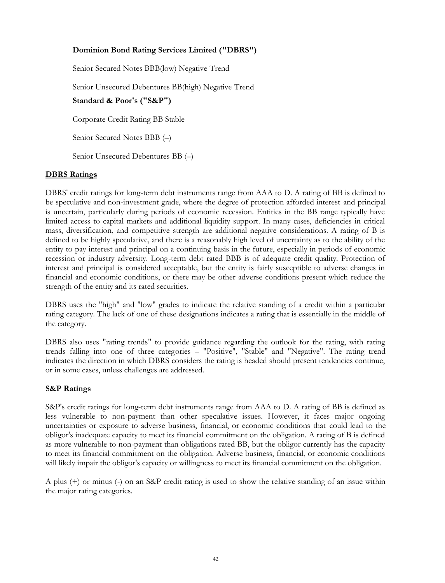# **Dominion Bond Rating Services Limited ("DBRS")**

Senior Secured Notes BBB(low) Negative Trend

Senior Unsecured Debentures BB(high) Negative Trend

## **Standard & Poor's ("S&P")**

Corporate Credit Rating BB Stable

Senior Secured Notes BBB (–)

Senior Unsecured Debentures BB (–)

## *DBRS Ratings*

DBRS' credit ratings for long-term debt instruments range from AAA to D. A rating of BB is defined to be speculative and non-investment grade, where the degree of protection afforded interest and principal is uncertain, particularly during periods of economic recession. Entities in the BB range typically have limited access to capital markets and additional liquidity support. In many cases, deficiencies in critical mass, diversification, and competitive strength are additional negative considerations. A rating of B is defined to be highly speculative, and there is a reasonably high level of uncertainty as to the ability of the entity to pay interest and principal on a continuing basis in the future, especially in periods of economic recession or industry adversity. Long-term debt rated BBB is of adequate credit quality. Protection of interest and principal is considered acceptable, but the entity is fairly susceptible to adverse changes in financial and economic conditions, or there may be other adverse conditions present which reduce the strength of the entity and its rated securities.

DBRS uses the "high" and "low" grades to indicate the relative standing of a credit within a particular rating category. The lack of one of these designations indicates a rating that is essentially in the middle of the category.

DBRS also uses "rating trends" to provide guidance regarding the outlook for the rating, with rating trends falling into one of three categories – "Positive", "Stable" and "Negative". The rating trend indicates the direction in which DBRS considers the rating is headed should present tendencies continue, or in some cases, unless challenges are addressed.

#### *S&P Ratings*

S&P's credit ratings for long-term debt instruments range from AAA to D. A rating of BB is defined as less vulnerable to non-payment than other speculative issues. However, it faces major ongoing uncertainties or exposure to adverse business, financial, or economic conditions that could lead to the obligor's inadequate capacity to meet its financial commitment on the obligation. A rating of B is defined as more vulnerable to non-payment than obligations rated BB, but the obligor currently has the capacity to meet its financial commitment on the obligation. Adverse business, financial, or economic conditions will likely impair the obligor's capacity or willingness to meet its financial commitment on the obligation.

A plus (+) or minus (-) on an S&P credit rating is used to show the relative standing of an issue within the major rating categories.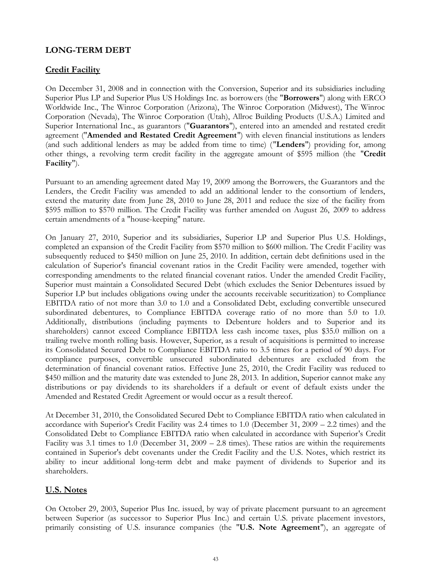# **LONG-TERM DEBT**

# **Credit Facility**

On December 31, 2008 and in connection with the Conversion, Superior and its subsidiaries including Superior Plus LP and Superior Plus US Holdings Inc. as borrowers (the "**Borrowers**") along with ERCO Worldwide Inc., The Winroc Corporation (Arizona), The Winroc Corporation (Midwest), The Winroc Corporation (Nevada), The Winroc Corporation (Utah), Allroc Building Products (U.S.A.) Limited and Superior International Inc., as guarantors ("**Guarantors**"), entered into an amended and restated credit agreement ("**Amended and Restated Credit Agreement**") with eleven financial institutions as lenders (and such additional lenders as may be added from time to time) ("**Lenders**") providing for, among other things, a revolving term credit facility in the aggregate amount of \$595 million (the "**Credit Facility**").

Pursuant to an amending agreement dated May 19, 2009 among the Borrowers, the Guarantors and the Lenders, the Credit Facility was amended to add an additional lender to the consortium of lenders, extend the maturity date from June 28, 2010 to June 28, 2011 and reduce the size of the facility from \$595 million to \$570 million. The Credit Facility was further amended on August 26, 2009 to address certain amendments of a "house-keeping" nature.

On January 27, 2010, Superior and its subsidiaries, Superior LP and Superior Plus U.S. Holdings, completed an expansion of the Credit Facility from \$570 million to \$600 million. The Credit Facility was subsequently reduced to \$450 million on June 25, 2010. In addition, certain debt definitions used in the calculation of Superior's financial covenant ratios in the Credit Facility were amended, together with corresponding amendments to the related financial covenant ratios. Under the amended Credit Facility, Superior must maintain a Consolidated Secured Debt (which excludes the Senior Debentures issued by Superior LP but includes obligations owing under the accounts receivable securitization) to Compliance EBITDA ratio of not more than 3.0 to 1.0 and a Consolidated Debt, excluding convertible unsecured subordinated debentures, to Compliance EBITDA coverage ratio of no more than 5.0 to 1.0. Additionally, distributions (including payments to Debenture holders and to Superior and its shareholders) cannot exceed Compliance EBITDA less cash income taxes, plus \$35.0 million on a trailing twelve month rolling basis. However, Superior, as a result of acquisitions is permitted to increase its Consolidated Secured Debt to Compliance EBITDA ratio to 3.5 times for a period of 90 days. For compliance purposes, convertible unsecured subordinated debentures are excluded from the determination of financial covenant ratios. Effective June 25, 2010, the Credit Facility was reduced to \$450 million and the maturity date was extended to June 28, 2013. In addition, Superior cannot make any distributions or pay dividends to its shareholders if a default or event of default exists under the Amended and Restated Credit Agreement or would occur as a result thereof.

At December 31, 2010, the Consolidated Secured Debt to Compliance EBITDA ratio when calculated in accordance with Superior's Credit Facility was 2.4 times to 1.0 (December 31, 2009 – 2.2 times) and the Consolidated Debt to Compliance EBITDA ratio when calculated in accordance with Superior's Credit Facility was 3.1 times to 1.0 (December 31, 2009 – 2.8 times). These ratios are within the requirements contained in Superior's debt covenants under the Credit Facility and the U.S. Notes, which restrict its ability to incur additional long-term debt and make payment of dividends to Superior and its shareholders.

# **U.S. Notes**

On October 29, 2003, Superior Plus Inc. issued, by way of private placement pursuant to an agreement between Superior (as successor to Superior Plus Inc.) and certain U.S. private placement investors, primarily consisting of U.S. insurance companies (the "**U.S. Note Agreement**"), an aggregate of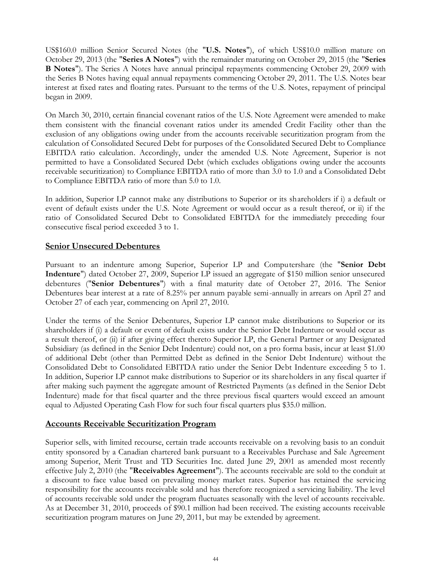US\$160.0 million Senior Secured Notes (the "**U.S. Notes**"), of which US\$10.0 million mature on October 29, 2013 (the "**Series A Notes**") with the remainder maturing on October 29, 2015 (the "**Series B Notes**"). The Series A Notes have annual principal repayments commencing October 29, 2009 with the Series B Notes having equal annual repayments commencing October 29, 2011. The U.S. Notes bear interest at fixed rates and floating rates. Pursuant to the terms of the U.S. Notes, repayment of principal began in 2009.

On March 30, 2010, certain financial covenant ratios of the U.S. Note Agreement were amended to make them consistent with the financial covenant ratios under its amended Credit Facility other than the exclusion of any obligations owing under from the accounts receivable securitization program from the calculation of Consolidated Secured Debt for purposes of the Consolidated Secured Debt to Compliance EBITDA ratio calculation. Accordingly, under the amended U.S. Note Agreement, Superior is not permitted to have a Consolidated Secured Debt (which excludes obligations owing under the accounts receivable securitization) to Compliance EBITDA ratio of more than 3.0 to 1.0 and a Consolidated Debt to Compliance EBITDA ratio of more than 5.0 to 1.0.

In addition, Superior LP cannot make any distributions to Superior or its shareholders if i) a default or event of default exists under the U.S. Note Agreement or would occur as a result thereof, or ii) if the ratio of Consolidated Secured Debt to Consolidated EBITDA for the immediately preceding four consecutive fiscal period exceeded 3 to 1.

## **Senior Unsecured Debentures**

Pursuant to an indenture among Superior, Superior LP and Computershare (the "**Senior Debt Indenture**") dated October 27, 2009, Superior LP issued an aggregate of \$150 million senior unsecured debentures ("**Senior Debentures**") with a final maturity date of October 27, 2016. The Senior Debentures bear interest at a rate of 8.25% per annum payable semi-annually in arrears on April 27 and October 27 of each year, commencing on April 27, 2010.

Under the terms of the Senior Debentures, Superior LP cannot make distributions to Superior or its shareholders if (i) a default or event of default exists under the Senior Debt Indenture or would occur as a result thereof, or (ii) if after giving effect thereto Superior LP, the General Partner or any Designated Subsidiary (as defined in the Senior Debt Indenture) could not, on a pro forma basis, incur at least \$1.00 of additional Debt (other than Permitted Debt as defined in the Senior Debt Indenture) without the Consolidated Debt to Consolidated EBITDA ratio under the Senior Debt Indenture exceeding 5 to 1. In addition, Superior LP cannot make distributions to Superior or its shareholders in any fiscal quarter if after making such payment the aggregate amount of Restricted Payments (as defined in the Senior Debt Indenture) made for that fiscal quarter and the three previous fiscal quarters would exceed an amount equal to Adjusted Operating Cash Flow for such four fiscal quarters plus \$35.0 million.

# **Accounts Receivable Securitization Program**

Superior sells, with limited recourse, certain trade accounts receivable on a revolving basis to an conduit entity sponsored by a Canadian chartered bank pursuant to a Receivables Purchase and Sale Agreement among Superior, Merit Trust and TD Securities Inc. dated June 29, 2001 as amended most recently effective July 2, 2010 (the "**Receivables Agreement**"). The accounts receivable are sold to the conduit at a discount to face value based on prevailing money market rates. Superior has retained the servicing responsibility for the accounts receivable sold and has therefore recognized a servicing liability. The level of accounts receivable sold under the program fluctuates seasonally with the level of accounts receivable. As at December 31, 2010, proceeds of \$90.1 million had been received. The existing accounts receivable securitization program matures on June 29, 2011, but may be extended by agreement.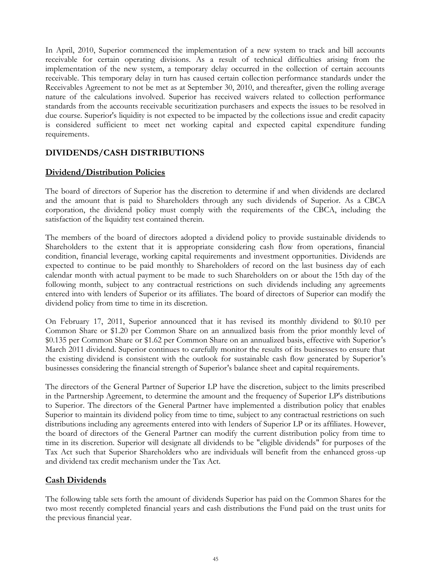In April, 2010, Superior commenced the implementation of a new system to track and bill accounts receivable for certain operating divisions. As a result of technical difficulties arising from the implementation of the new system, a temporary delay occurred in the collection of certain accounts receivable. This temporary delay in turn has caused certain collection performance standards under the Receivables Agreement to not be met as at September 30, 2010, and thereafter, given the rolling average nature of the calculations involved. Superior has received waivers related to collection performance standards from the accounts receivable securitization purchasers and expects the issues to be resolved in due course. Superior's liquidity is not expected to be impacted by the collections issue and credit capacity is considered sufficient to meet net working capital and expected capital expenditure funding requirements.

# **DIVIDENDS/CASH DISTRIBUTIONS**

# **Dividend/Distribution Policies**

The board of directors of Superior has the discretion to determine if and when dividends are declared and the amount that is paid to Shareholders through any such dividends of Superior. As a CBCA corporation, the dividend policy must comply with the requirements of the CBCA, including the satisfaction of the liquidity test contained therein.

The members of the board of directors adopted a dividend policy to provide sustainable dividends to Shareholders to the extent that it is appropriate considering cash flow from operations, financial condition, financial leverage, working capital requirements and investment opportunities. Dividends are expected to continue to be paid monthly to Shareholders of record on the last business day of each calendar month with actual payment to be made to such Shareholders on or about the 15th day of the following month, subject to any contractual restrictions on such dividends including any agreements entered into with lenders of Superior or its affiliates. The board of directors of Superior can modify the dividend policy from time to time in its discretion.

On February 17, 2011, Superior announced that it has revised its monthly dividend to \$0.10 per Common Share or \$1.20 per Common Share on an annualized basis from the prior monthly level of \$0.135 per Common Share or \$1.62 per Common Share on an annualized basis, effective with Superior's March 2011 dividend. Superior continues to carefully monitor the results of its businesses to ensure that the existing dividend is consistent with the outlook for sustainable cash flow generated by Superior's businesses considering the financial strength of Superior's balance sheet and capital requirements.

The directors of the General Partner of Superior LP have the discretion, subject to the limits prescribed in the Partnership Agreement, to determine the amount and the frequency of Superior LP's distributions to Superior. The directors of the General Partner have implemented a distribution policy that enables Superior to maintain its dividend policy from time to time, subject to any contractual restrictions on such distributions including any agreements entered into with lenders of Superior LP or its affiliates. However, the board of directors of the General Partner can modify the current distribution policy from time to time in its discretion. Superior will designate all dividends to be "eligible dividends" for purposes of the Tax Act such that Superior Shareholders who are individuals will benefit from the enhanced gross-up and dividend tax credit mechanism under the Tax Act.

# **Cash Dividends**

The following table sets forth the amount of dividends Superior has paid on the Common Shares for the two most recently completed financial years and cash distributions the Fund paid on the trust units for the previous financial year.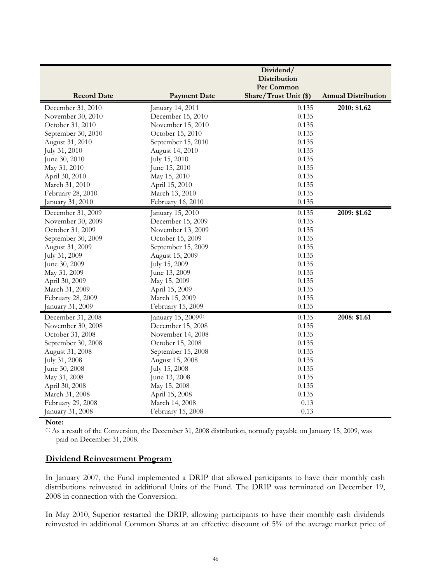|                    |                                 | Dividend/<br>Distribution |                            |
|--------------------|---------------------------------|---------------------------|----------------------------|
|                    |                                 | Per Common                |                            |
| <b>Record Date</b> | <b>Payment Date</b>             | Share/Trust Unit (\$)     | <b>Annual Distribution</b> |
| December 31, 2010  | January 14, 2011                | 0.135                     | 2010: \$1.62               |
| November 30, 2010  | December 15, 2010               | 0.135                     |                            |
| October 31, 2010   | November 15, 2010               | 0.135                     |                            |
| September 30, 2010 | October 15, 2010                | 0.135                     |                            |
| August 31, 2010    | September 15, 2010              | 0.135                     |                            |
| July 31, 2010      | August 14, 2010                 | 0.135                     |                            |
| June 30, 2010      | July 15, 2010                   | 0.135                     |                            |
| May 31, 2010       | June 15, 2010                   | 0.135                     |                            |
| April 30, 2010     | May 15, 2010                    | 0.135                     |                            |
| March 31, 2010     | April 15, 2010                  | 0.135                     |                            |
| February 28, 2010  | March 13, 2010                  | 0.135                     |                            |
| January 31, 2010   | February 16, 2010               | 0.135                     |                            |
| December 31, 2009  | January 15, 2010                | 0.135                     | 2009: \$1.62               |
| November 30, 2009  | December 15, 2009               | 0.135                     |                            |
| October 31, 2009   | November 13, 2009               | 0.135                     |                            |
| September 30, 2009 | October 15, 2009                | 0.135                     |                            |
| August 31, 2009    | September 15, 2009              | 0.135                     |                            |
| July 31, 2009      | August 15, 2009                 | 0.135                     |                            |
| June 30, 2009      | July 15, 2009                   | 0.135                     |                            |
| May 31, 2009       | June 13, 2009                   | 0.135                     |                            |
| April 30, 2009     | May 15, 2009                    | 0.135                     |                            |
| March 31, 2009     | April 15, 2009                  | 0.135                     |                            |
| February 28, 2009  | March 15, 2009                  | 0.135                     |                            |
| January 31, 2009   | February 15, 2009               | 0.135                     |                            |
| December 31, 2008  | January 15, 2009 <sup>(1)</sup> | 0.135                     | 2008: \$1.61               |
| November 30, 2008  | December 15, 2008               | 0.135                     |                            |
| October 31, 2008   | November 14, 2008               | 0.135                     |                            |
| September 30, 2008 | October 15, 2008                | 0.135                     |                            |
| August 31, 2008    | September 15, 2008              | 0.135                     |                            |
| July 31, 2008      | August 15, 2008                 | 0.135                     |                            |
| June 30, 2008      | July 15, 2008                   | 0.135                     |                            |
| May 31, 2008       | June 13, 2008                   | 0.135                     |                            |
| April 30, 2008     | May 15, 2008                    | 0.135                     |                            |
| March 31, 2008     | April 15, 2008                  | 0.135                     |                            |
| February 29, 2008  | March 14, 2008                  | 0.13                      |                            |
| January 31, 2008   | February 15, 2008               | 0.13                      |                            |

# **Note:**

(1) As a result of the Conversion, the December 31, 2008 distribution, normally payable on January 15, 2009, was paid on December 31, 2008.

#### **Dividend Reinvestment Program**

In January 2007, the Fund implemented a DRIP that allowed participants to have their monthly cash distributions reinvested in additional Units of the Fund. The DRIP was terminated on December 19, 2008 in connection with the Conversion.

In May 2010, Superior restarted the DRIP, allowing participants to have their monthly cash dividends reinvested in additional Common Shares at an effective discount of 5% of the average market price of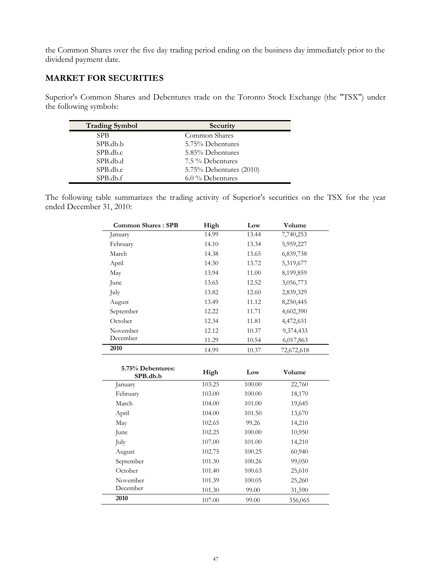the Common Shares over the five day trading period ending on the business day immediately prior to the dividend payment date.

# **MARKET FOR SECURITIES**

Superior's Common Shares and Debentures trade on the Toronto Stock Exchange (the "TSX") under the following symbols:

| <b>Trading Symbol</b> | Security                   |
|-----------------------|----------------------------|
| <b>SPB</b>            | Common Shares              |
| SPB.db.b              | 5.75% Debentures           |
| SPB.db.c              | 5.85% Debentures           |
| SPB.db.d              | 7.5 % Debentures           |
| SPB.db.e              | $5.75\%$ Debentures (2010) |
| SPB.db.f              | $6.0\%$ Debentures         |

The following table summarizes the trading activity of Superior's securities on the TSX for the year ended December 31, 2010:

| <b>Common Shares: SPB</b> | High  | Low   | Volume     |
|---------------------------|-------|-------|------------|
| January                   | 14.99 | 13.44 | 7,740,253  |
| February                  | 14.10 | 13.34 | 5,959,227  |
| March                     | 14.38 | 13.65 | 6,839,738  |
| April                     | 14.50 | 13.72 | 5,319,677  |
| May                       | 13.94 | 11.00 | 8,199,859  |
| June                      | 13.65 | 12.52 | 3,056,773  |
| July                      | 13.82 | 12.60 | 2,839,329  |
| August                    | 13.49 | 11.12 | 8,250,445  |
| September                 | 12.22 | 11.71 | 4,602,390  |
| October                   | 12.34 | 11.81 | 4,472,631  |
| November                  | 12.12 | 10.37 | 9,374,433  |
| December                  | 11.29 | 10.54 | 6,017,863  |
| 2010                      | 14.99 | 10.37 | 72,672,618 |

| 5.75% Debentures:<br>SPB.db.b | High   | Low    | Volume  |
|-------------------------------|--------|--------|---------|
| January                       | 103.25 | 100.00 | 22,760  |
| February                      | 103.00 | 100.00 | 18,170  |
| March                         | 104.00 | 101.00 | 19,645  |
| April                         | 104.00 | 101.50 | 13,670  |
| May                           | 102.65 | 99.26  | 14,210  |
| June                          | 102.25 | 100.00 | 10,950  |
| July                          | 107.00 | 101.00 | 14,210  |
| August                        | 102.75 | 100.25 | 60,940  |
| September                     | 101.30 | 100.26 | 99,050  |
| October                       | 101.40 | 100.63 | 25,610  |
| November                      | 101.39 | 100.05 | 25,260  |
| December                      | 101.30 | 99.00  | 31,590  |
| 2010                          | 107.00 | 99.00  | 356,065 |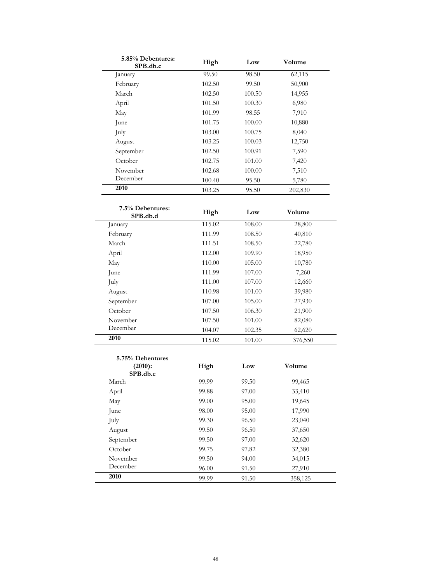| 5.85% Debentures:<br>SPB.db.c | High   | Low    | Volume  |  |
|-------------------------------|--------|--------|---------|--|
| January                       | 99.50  | 98.50  | 62,115  |  |
| February                      | 102.50 | 99.50  | 50,900  |  |
| March                         | 102.50 | 100.50 | 14,955  |  |
| April                         | 101.50 | 100.30 | 6,980   |  |
| May                           | 101.99 | 98.55  | 7,910   |  |
| June                          | 101.75 | 100.00 | 10,880  |  |
| July                          | 103.00 | 100.75 | 8,040   |  |
| August                        | 103.25 | 100.03 | 12,750  |  |
| September                     | 102.50 | 100.91 | 7,590   |  |
| October                       | 102.75 | 101.00 | 7,420   |  |
| November                      | 102.68 | 100.00 | 7,510   |  |
| December                      | 100.40 | 95.50  | 5,780   |  |
| 2010                          | 103.25 | 95.50  | 202,830 |  |

| 7.5% Debentures:<br>SPB.db.d | High   | Low    | Volume  |  |
|------------------------------|--------|--------|---------|--|
| January                      | 115.02 | 108.00 | 28,800  |  |
| February                     | 111.99 | 108.50 | 40,810  |  |
| March                        | 111.51 | 108.50 | 22,780  |  |
| April                        | 112.00 | 109.90 | 18,950  |  |
| May                          | 110.00 | 105.00 | 10,780  |  |
| June                         | 111.99 | 107.00 | 7,260   |  |
| July                         | 111.00 | 107.00 | 12,660  |  |
| August                       | 110.98 | 101.00 | 39,980  |  |
| September                    | 107.00 | 105.00 | 27,930  |  |
| October                      | 107.50 | 106.30 | 21,900  |  |
| November                     | 107.50 | 101.00 | 82,080  |  |
| December                     | 104.07 | 102.35 | 62,620  |  |
| 2010                         | 115.02 | 101.00 | 376,550 |  |

| 5.75% Debentures<br>$(2010)$ :<br>SPB.db.e | High  | Low   | Volume  |  |
|--------------------------------------------|-------|-------|---------|--|
| March                                      | 99.99 | 99.50 | 99,465  |  |
| April                                      | 99.88 | 97.00 | 33,410  |  |
| May                                        | 99.00 | 95.00 | 19,645  |  |
| June                                       | 98.00 | 95.00 | 17,990  |  |
| July                                       | 99.30 | 96.50 | 23,040  |  |
| August                                     | 99.50 | 96.50 | 37,650  |  |
| September                                  | 99.50 | 97.00 | 32,620  |  |
| October                                    | 99.75 | 97.82 | 32,380  |  |
| November                                   | 99.50 | 94.00 | 34,015  |  |
| December                                   | 96.00 | 91.50 | 27,910  |  |
| 2010                                       | 99.99 | 91.50 | 358,125 |  |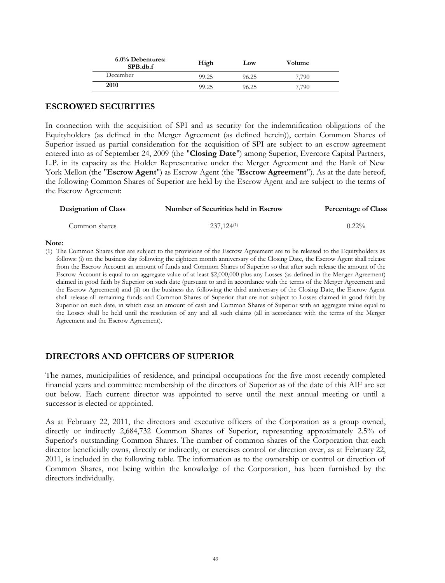| $6.0\%$ Debentures:<br>SPB.db.f | High  | Low   | Volume |  |
|---------------------------------|-------|-------|--------|--|
| December                        | 99.25 | 96.25 | 796    |  |
| 2010                            | 99.25 | 96.25 | 790    |  |

### **ESCROWED SECURITIES**

In connection with the acquisition of SPI and as security for the indemnification obligations of the Equityholders (as defined in the Merger Agreement (as defined herein)), certain Common Shares of Superior issued as partial consideration for the acquisition of SPI are subject to an es crow agreement entered into as of September 24, 2009 (the "**Closing Date**") among Superior, Evercore Capital Partners, L.P. in its capacity as the Holder Representative under the Merger Agreement and the Bank of New York Mellon (the "**Escrow Agent**") as Escrow Agent (the "**Escrow Agreement**"). As at the date hereof, the following Common Shares of Superior are held by the Escrow Agent and are subject to the terms of the Escrow Agreement:

| <b>Designation of Class</b> | Number of Securities held in Escrow | <b>Percentage of Class</b> |  |
|-----------------------------|-------------------------------------|----------------------------|--|
| Common shares               | $237.124^{(1)}$                     | $0.22\%$                   |  |

#### **Note:**

(1) The Common Shares that are subject to the provisions of the Escrow Agreement are to be released to the Equityholders as follows: (i) on the business day following the eighteen month anniversary of the Closing Date, the Escrow Agent shall release from the Escrow Account an amount of funds and Common Shares of Superior so that after such release the amount of the Escrow Account is equal to an aggregate value of at least \$2,000,000 plus any Losses (as defined in the Merger Agreement) claimed in good faith by Superior on such date (pursuant to and in accordance with the terms of the Merger Agreement and the Escrow Agreement) and (ii) on the business day following the third anniversary of the Closing Date, the Escrow Agent shall release all remaining funds and Common Shares of Superior that are not subject to Losses claimed in good faith by Superior on such date, in which case an amount of cash and Common Shares of Superior with an aggregate value equal to the Losses shall be held until the resolution of any and all such claims (all in accordance with the terms of the Merger Agreement and the Escrow Agreement).

## **DIRECTORS AND OFFICERS OF SUPERIOR**

The names, municipalities of residence, and principal occupations for the five most recently completed financial years and committee membership of the directors of Superior as of the date of this AIF are set out below. Each current director was appointed to serve until the next annual meeting or until a successor is elected or appointed.

As at February 22, 2011, the directors and executive officers of the Corporation as a group owned, directly or indirectly 2,684,732 Common Shares of Superior, representing approximately 2.5% of Superior's outstanding Common Shares. The number of common shares of the Corporation that each director beneficially owns, directly or indirectly, or exercises control or direction over, as at February 22, 2011, is included in the following table. The information as to the ownership or control or direction of Common Shares, not being within the knowledge of the Corporation, has been furnished by the directors individually.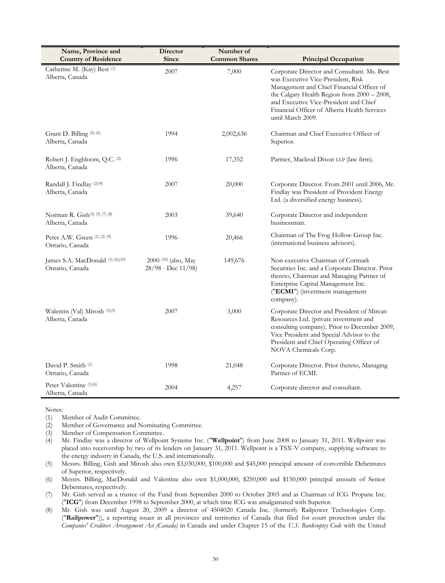| Name, Province and<br><b>Country of Residence</b>          | Director<br><b>Since</b>                     | Number of<br><b>Common Shares</b> | <b>Principal Occupation</b>                                                                                                                                                                                                                                                                  |
|------------------------------------------------------------|----------------------------------------------|-----------------------------------|----------------------------------------------------------------------------------------------------------------------------------------------------------------------------------------------------------------------------------------------------------------------------------------------|
| Catherine M. (Kay) Best (1)<br>Alberta, Canada             | 2007                                         | 7,000                             | Corporate Director and Consultant. Ms. Best<br>was Executive Vice-President, Risk<br>Management and Chief Financial Officer of<br>the Calgary Health Region from 2000 - 2008,<br>and Executive Vice-President and Chief<br>Financial Officer of Alberta Health Services<br>until March 2009. |
| Grant D. Billing (5) (6)<br>Alberta, Canada                | 1994                                         | 2,002,636                         | Chairman and Chief Executive Officer of<br>Superior.                                                                                                                                                                                                                                         |
| Robert J. Engbloom, Q.C. <sup>(2)</sup><br>Alberta, Canada | 1996                                         | 17,352                            | Partner, Macleod Dixon LLP (law firm).                                                                                                                                                                                                                                                       |
| Randall J. Findlay (2)(4)<br>Alberta, Canada               | 2007                                         | 20,000                            | Corporate Director. From 2001 until 2006, Mr.<br>Findlay was President of Provident Energy<br>Ltd. (a diversified energy business).                                                                                                                                                          |
| Norman R. Gish(3) (5) (7) (8)<br>Alberta, Canada           | 2003                                         | 39,640                            | Corporate Director and independent<br>businessman.                                                                                                                                                                                                                                           |
| Peter A.W. Green (1) (2) (9)<br>Ontario, Canada            | 1996                                         | 20,466                            | Chairman of The Frog Hollow Group Inc.<br>(international business advisors).                                                                                                                                                                                                                 |
| James S.A. MacDonald (3) (6)(10)<br>Ontario, Canada        | $2000$ (10) (also, May<br>28/98 - Dec 11/98) | 149,676                           | Non-executive Chairman of Cormark<br>Securities Inc. and a Corporate Director. Prior<br>thereto, Chairman and Managing Partner of<br>Enterprise Capital Management Inc.<br>("ECMI") (investment management<br>company).                                                                      |
| Walentin (Val) Mirosh (3)(5)<br>Alberta, Canada            | 2007                                         | 3,000                             | Corporate Director and President of Mircan<br>Resources Ltd. (private investment and<br>consulting company). Prior to December 2009,<br>Vice President and Special Advisor to the<br>President and Chief Operating Officer of<br>NOVA Chemicals Corp.                                        |
| David P. Smith (1)<br>Ontario, Canada                      | 1998                                         | 21,048                            | Corporate Director. Prior thereto, Managing<br>Partner of ECMI.                                                                                                                                                                                                                              |
| Peter Valentine (1)(6)<br>Alberta, Canada                  | 2004                                         | 4,257                             | Corporate director and consultant.                                                                                                                                                                                                                                                           |

Notes:

(1) Member of Audit Committee.

(2) Member of Governance and Nominating Committee.

(3) Member of Compensation Committee.

(4) Mr. Findlay was a director of Wellpoint Systems Inc. ("**Wellpoint**") from June 2008 to January 31, 2011. Wellpoint was placed into receivership by two of its lenders on January 31, 2011. Wellpoint is a TSX-V company, supplying software to the energy industry in Canada, the U.S. and internationally.

(5) Messrs. Billing, Gish and Mirosh also own \$3,030,000, \$100,000 and \$45,000 principal amount of convertible Debentures of Superior, respectively.

(6) Messrs. Billing, MacDonald and Valentine also own \$1,000,000, \$250,000 and \$150,000 principal amount of Senior Debentures, respectively.

(7) Mr. Gish served as a trustee of the Fund from September 2000 to October 2003 and as Chairman of ICG Propane Inc. ("**ICG**") from December 1998 to September 2000, at which time ICG was amalgamated with Superior.

(8) Mr. Gish was until August 20, 2009 a director of 4504020 Canada Inc. (formerly Railpower Technologies Corp. ("**Railpower**")), a reporting issuer in all provinces and territories of Canada that filed for court protection under the *Companies' Creditors Arrangement Act (Canada)* in Canada and under Chapter 15 of the *U.S. Bankruptcy Code* with the United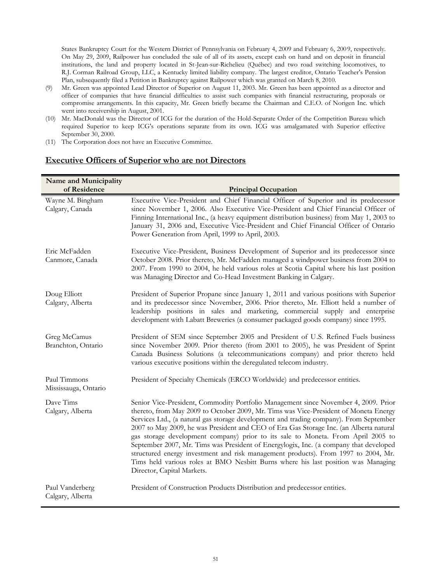States Bankruptcy Court for the Western District of Pennsylvania on February 4, 2009 and February 6, 2009, respectively. On May 29, 2009, Railpower has concluded the sale of all of its assets, except cash on hand and on deposit in financial institutions, the land and property located in St-Jean-sur-Richelieu (Québec) and two road switching locomotives, to R.J. Corman Railroad Group, LLC, a Kentucky limited liability company. The largest creditor, Ontario Teacher's Pension Plan, subsequently filed a Petition in Bankruptcy against Railpower which was granted on March 8, 2010.

- (9) Mr. Green was appointed Lead Director of Superior on August 11, 2003. Mr. Green has been appointed as a director and officer of companies that have financial difficulties to assist such companies with financial restructuring, proposals or compromise arrangements. In this capacity, Mr. Green briefly became the Chairman and C.E.O. of Norigen Inc. which went into receivership in August, 2001.
- (10) Mr. MacDonald was the Director of ICG for the duration of the Hold-Separate Order of the Competition Bureau which required Superior to keep ICG's operations separate from its own. ICG was amalgamated with Superior effective September 30, 2000.
- (11) The Corporation does not have an Executive Committee.

## **Executive Officers of Superior who are not Directors**

| Name and Municipality<br>of Residence | <b>Principal Occupation</b>                                                                                                                                                                                                                                                                                                                                                                                                                                                                                                                                                                                                                                                                                                                           |  |
|---------------------------------------|-------------------------------------------------------------------------------------------------------------------------------------------------------------------------------------------------------------------------------------------------------------------------------------------------------------------------------------------------------------------------------------------------------------------------------------------------------------------------------------------------------------------------------------------------------------------------------------------------------------------------------------------------------------------------------------------------------------------------------------------------------|--|
| Wayne M. Bingham<br>Calgary, Canada   | Executive Vice-President and Chief Financial Officer of Superior and its predecessor<br>since November 1, 2006. Also Executive Vice-President and Chief Financial Officer of<br>Finning International Inc., (a heavy equipment distribution business) from May 1, 2003 to<br>January 31, 2006 and, Executive Vice-President and Chief Financial Officer of Ontario<br>Power Generation from April, 1999 to April, 2003.                                                                                                                                                                                                                                                                                                                               |  |
| Eric McFadden<br>Canmore, Canada      | Executive Vice-President, Business Development of Superior and its predecessor since<br>October 2008. Prior thereto, Mr. McFadden managed a windpower business from 2004 to<br>2007. From 1990 to 2004, he held various roles at Scotia Capital where his last position<br>was Managing Director and Co-Head Investment Banking in Calgary.                                                                                                                                                                                                                                                                                                                                                                                                           |  |
| Doug Elliott<br>Calgary, Alberta      | President of Superior Propane since January 1, 2011 and various positions with Superior<br>and its predecessor since November, 2006. Prior thereto, Mr. Elliott held a number of<br>leadership positions in sales and marketing, commercial supply and enterprise<br>development with Labatt Breweries (a consumer packaged goods company) since 1995.                                                                                                                                                                                                                                                                                                                                                                                                |  |
| Greg McCamus<br>Branchton, Ontario    | President of SEM since September 2005 and President of U.S. Refined Fuels business<br>since November 2009. Prior thereto (from 2001 to 2005), he was President of Sprint<br>Canada Business Solutions (a telecommunications company) and prior thereto held<br>various executive positions within the deregulated telecom industry.                                                                                                                                                                                                                                                                                                                                                                                                                   |  |
| Paul Timmons<br>Mississauga, Ontario  | President of Specialty Chemicals (ERCO Worldwide) and predecessor entities.                                                                                                                                                                                                                                                                                                                                                                                                                                                                                                                                                                                                                                                                           |  |
| Dave Tims<br>Calgary, Alberta         | Senior Vice-President, Commodity Portfolio Management since November 4, 2009. Prior<br>thereto, from May 2009 to October 2009, Mr. Tims was Vice-President of Moneta Energy<br>Services Ltd., (a natural gas storage development and trading company). From September<br>2007 to May 2009, he was President and CEO of Era Gas Storage Inc. (an Alberta natural<br>gas storage development company) prior to its sale to Moneta. From April 2005 to<br>September 2007, Mr. Tims was President of Energylogix, Inc. (a company that developed<br>structured energy investment and risk management products). From 1997 to 2004, Mr.<br>Tims held various roles at BMO Nesbitt Burns where his last position was Managing<br>Director, Capital Markets. |  |
| Paul Vanderberg<br>Calgary, Alberta   | President of Construction Products Distribution and predecessor entities.                                                                                                                                                                                                                                                                                                                                                                                                                                                                                                                                                                                                                                                                             |  |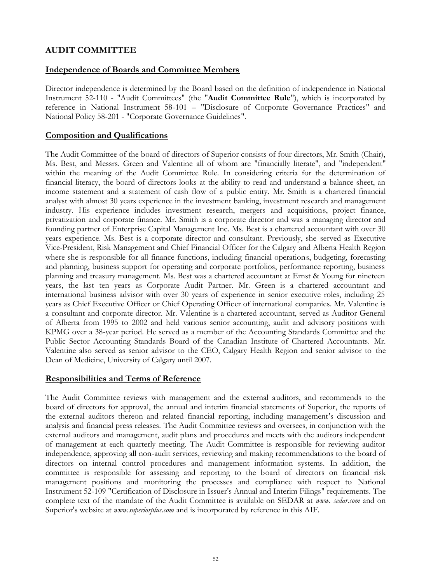# **AUDIT COMMITTEE**

## **Independence of Boards and Committee Members**

Director independence is determined by the Board based on the definition of independence in National Instrument 52-110 - "Audit Committees" (the "**Audit Committee Rule**"), which is incorporated by reference in National Instrument 58-101 – "Disclosure of Corporate Governance Practices" and National Policy 58-201 - "Corporate Governance Guidelines".

## **Composition and Qualifications**

The Audit Committee of the board of directors of Superior consists of four directors, Mr. Smith (Chair), Ms. Best, and Messrs. Green and Valentine all of whom are "financially literate", and "independent" within the meaning of the Audit Committee Rule. In considering criteria for the determination of financial literacy, the board of directors looks at the ability to read and understand a balance sheet, an income statement and a statement of cash flow of a public entity. Mr. Smith is a chartered financial analyst with almost 30 years experience in the investment banking, investment research and management industry. His experience includes investment research, mergers and acquisitions, project finance, privatization and corporate finance. Mr. Smith is a corporate director and was a managing director and founding partner of Enterprise Capital Management Inc. Ms. Best is a chartered accountant with over 30 years experience. Ms. Best is a corporate director and consultant. Previously, she served as Executive Vice-President, Risk Management and Chief Financial Officer for the Calgary and Alberta Health Region where she is responsible for all finance functions, including financial operations, budgeting, forecasting and planning, business support for operating and corporate portfolios, performance reporting, business planning and treasury management. Ms. Best was a chartered accountant at Ernst & Young for nineteen years, the last ten years as Corporate Audit Partner. Mr. Green is a chartered accountant and international business advisor with over 30 years of experience in senior executive roles, including 25 years as Chief Executive Officer or Chief Operating Officer of international companies. Mr. Valentine is a consultant and corporate director. Mr. Valentine is a chartered accountant, served as Auditor General of Alberta from 1995 to 2002 and held various senior accounting, audit and advisory positions with KPMG over a 38-year period. He served as a member of the Accounting Standards Committee and the Public Sector Accounting Standards Board of the Canadian Institute of Chartered Accountants. Mr. Valentine also served as senior advisor to the CEO, Calgary Health Region and senior advisor to the Dean of Medicine, University of Calgary until 2007.

## **Responsibilities and Terms of Reference**

The Audit Committee reviews with management and the external auditors, and recommends to the board of directors for approval, the annual and interim financial statements of Superior, the reports of the external auditors thereon and related financial reporting, including management's discussion and analysis and financial press releases. The Audit Committee reviews and oversees, in conjunction with the external auditors and management, audit plans and procedures and meets with the auditors independent of management at each quarterly meeting. The Audit Committee is responsible for reviewing auditor independence, approving all non-audit services, reviewing and making recommendations to the board of directors on internal control procedures and management information systems. In addition, the committee is responsible for assessing and reporting to the board of directors on financial risk management positions and monitoring the processes and compliance with respect to National Instrument 52-109 "Certification of Disclosure in Issuer's Annual and Interim Filings" requirements. The complete text of the mandate of the Audit Committee is available on SEDAR at *www. sedar.com* and on Superior's website at *www.superiorplus.com* and is incorporated by reference in this AIF.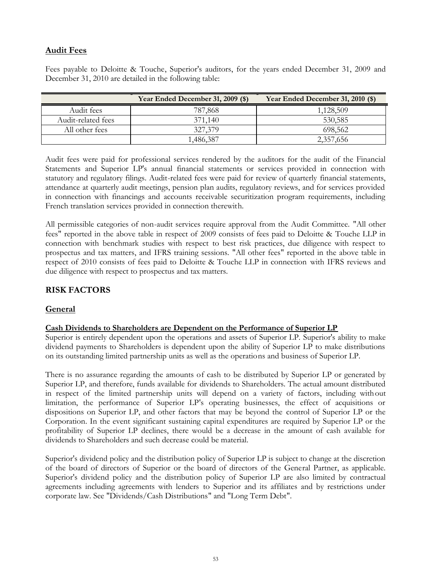# **Audit Fees**

Fees payable to Deloitte & Touche, Superior's auditors, for the years ended December 31, 2009 and December 31, 2010 are detailed in the following table:

|                    | Year Ended December 31, 2009 (\$) | Year Ended December 31, 2010 (\$) |
|--------------------|-----------------------------------|-----------------------------------|
| Audit fees         | 787,868                           | 1,128,509                         |
| Audit-related fees | 371,140                           | 530,585                           |
| All other fees     | 327,379                           | 698,562                           |
|                    | 1,486,387                         | 2,357,656                         |

Audit fees were paid for professional services rendered by the auditors for the audit of the Financial Statements and Superior LP's annual financial statements or services provided in connection with statutory and regulatory filings. Audit-related fees were paid for review of quarterly financial statements, attendance at quarterly audit meetings, pension plan audits, regulatory reviews, and for services provided in connection with financings and accounts receivable securitization program requirements, including French translation services provided in connection therewith.

All permissible categories of non-audit services require approval from the Audit Committee. "All other fees" reported in the above table in respect of 2009 consists of fees paid to Deloitte & Touche LLP in connection with benchmark studies with respect to best risk practices, due diligence with respect to prospectus and tax matters, and IFRS training sessions. "All other fees" reported in the above table in respect of 2010 consists of fees paid to Deloitte & Touche LLP in connection with IFRS reviews and due diligence with respect to prospectus and tax matters.

# **RISK FACTORS**

# **General**

## *Cash Dividends to Shareholders are Dependent on the Performance of Superior LP*

Superior is entirely dependent upon the operations and assets of Superior LP. Superior's ability to make dividend payments to Shareholders is dependent upon the ability of Superior LP to make distributions on its outstanding limited partnership units as well as the operations and business of Superior LP.

There is no assurance regarding the amounts of cash to be distributed by Superior LP or generated by Superior LP, and therefore, funds available for dividends to Shareholders. The actual amount distributed in respect of the limited partnership units will depend on a variety of factors, including without limitation, the performance of Superior LP's operating businesses, the effect of acquisitions or dispositions on Superior LP, and other factors that may be beyond the control of Superior LP or the Corporation. In the event significant sustaining capital expenditures are required by Superior LP or the profitability of Superior LP declines, there would be a decrease in the amount of cash available for dividends to Shareholders and such decrease could be material.

Superior's dividend policy and the distribution policy of Superior LP is subject to change at the discretion of the board of directors of Superior or the board of directors of the General Partner, as applicable. Superior's dividend policy and the distribution policy of Superior LP are also limited by contractual agreements including agreements with lenders to Superior and its affiliates and by restrictions under corporate law. See "Dividends/Cash Distributions" and "Long Term Debt".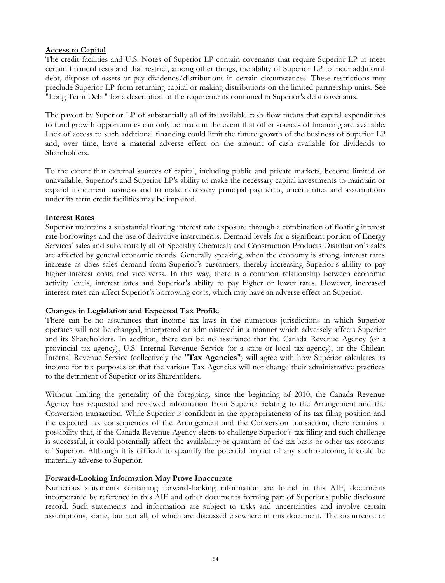### *Access to Capital*

The credit facilities and U.S. Notes of Superior LP contain covenants that require Superior LP to meet certain financial tests and that restrict, among other things, the ability of Superior LP to incur additional debt, dispose of assets or pay dividends/distributions in certain circumstances. These restrictions may preclude Superior LP from returning capital or making distributions on the limited partnership units. See "Long Term Debt" for a description of the requirements contained in Superior's debt covenants.

The payout by Superior LP of substantially all of its available cash flow means that capital expenditures to fund growth opportunities can only be made in the event that other sources of financing are available. Lack of access to such additional financing could limit the future growth of the business of Superior LP and, over time, have a material adverse effect on the amount of cash available for dividends to Shareholders.

To the extent that external sources of capital, including public and private markets, become limited or unavailable, Superior's and Superior LP's ability to make the necessary capital investments to maintain or expand its current business and to make necessary principal payments, uncertainties and assumptions under its term credit facilities may be impaired.

#### *Interest Rates*

Superior maintains a substantial floating interest rate exposure through a combination of floating interest rate borrowings and the use of derivative instruments. Demand levels for a significant portion of Energy Services' sales and substantially all of Specialty Chemicals and Construction Products Distribution's sales are affected by general economic trends. Generally speaking, when the economy is strong, interest rates increase as does sales demand from Superior's customers, thereby increasing Superior's ability to pay higher interest costs and vice versa. In this way, there is a common relationship between economic activity levels, interest rates and Superior's ability to pay higher or lower rates. However, increased interest rates can affect Superior's borrowing costs, which may have an adverse effect on Superior.

#### *Changes in Legislation and Expected Tax Profile*

There can be no assurances that income tax laws in the numerous jurisdictions in which Superior operates will not be changed, interpreted or administered in a manner which adversely affects Superior and its Shareholders. In addition, there can be no assurance that the Canada Revenue Agency (or a provincial tax agency), U.S. Internal Revenue Service (or a state or local tax agency), or the Chilean Internal Revenue Service (collectively the "**Tax Agencies**") will agree with how Superior calculates its income for tax purposes or that the various Tax Agencies will not change their administrative practices to the detriment of Superior or its Shareholders.

Without limiting the generality of the foregoing, since the beginning of 2010, the Canada Revenue Agency has requested and reviewed information from Superior relating to the Arrangement and the Conversion transaction. While Superior is confident in the appropriateness of its tax filing position and the expected tax consequences of the Arrangement and the Conversion transaction, there remains a possibility that, if the Canada Revenue Agency elects to challenge Superior's tax filing and such challenge is successful, it could potentially affect the availability or quantum of the tax basis or other tax accounts of Superior. Although it is difficult to quantify the potential impact of any such outcome, it could be materially adverse to Superior.

## *Forward-Looking Information May Prove Inaccurate*

Numerous statements containing forward-looking information are found in this AIF, documents incorporated by reference in this AIF and other documents forming part of Superior's public disclosure record. Such statements and information are subject to risks and uncertainties and involve certain assumptions, some, but not all, of which are discussed elsewhere in this document. The occurrence or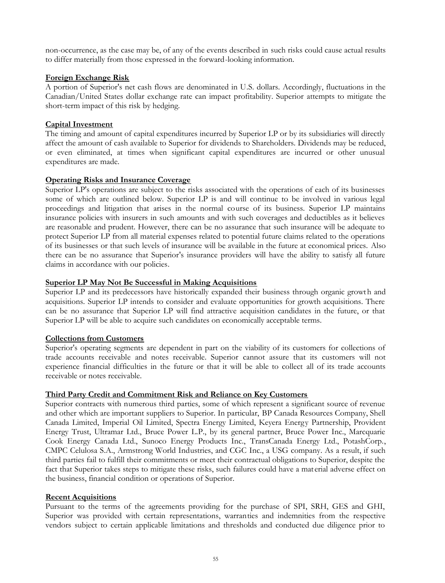non-occurrence, as the case may be, of any of the events described in such risks could cause actual results to differ materially from those expressed in the forward-looking information.

### *Foreign Exchange Risk*

A portion of Superior's net cash flows are denominated in U.S. dollars. Accordingly, fluctuations in the Canadian/United States dollar exchange rate can impact profitability. Superior attempts to mitigate the short-term impact of this risk by hedging.

#### *Capital Investment*

The timing and amount of capital expenditures incurred by Superior LP or by its subsidiaries will directly affect the amount of cash available to Superior for dividends to Shareholders. Dividends may be reduced, or even eliminated, at times when significant capital expenditures are incurred or other unusual expenditures are made.

#### *Operating Risks and Insurance Coverage*

Superior LP's operations are subject to the risks associated with the operations of each of its businesses some of which are outlined below. Superior LP is and will continue to be involved in various legal proceedings and litigation that arises in the normal course of its business. Superior LP maintains insurance policies with insurers in such amounts and with such coverages and deductibles as it believes are reasonable and prudent. However, there can be no assurance that such insurance will be adequate to protect Superior LP from all material expenses related to potential future claims related to the operations of its businesses or that such levels of insurance will be available in the future at economical prices. Also there can be no assurance that Superior's insurance providers will have the ability to satisfy all future claims in accordance with our policies.

#### *Superior LP May Not Be Successful in Making Acquisitions*

Superior LP and its predecessors have historically expanded their business through organic growth and acquisitions. Superior LP intends to consider and evaluate opportunities for growth acquisitions. There can be no assurance that Superior LP will find attractive acquisition candidates in the future, or that Superior LP will be able to acquire such candidates on economically acceptable terms.

#### *Collections from Customers*

Superior's operating segments are dependent in part on the viability of its customers for collections of trade accounts receivable and notes receivable. Superior cannot assure that its customers will not experience financial difficulties in the future or that it will be able to collect all of its trade accounts receivable or notes receivable.

#### *Third Party Credit and Commitment Risk and Reliance on Key Customers*

Superior contracts with numerous third parties, some of which represent a significant source of revenue and other which are important suppliers to Superior. In particular, BP Canada Resources Company, Shell Canada Limited, Imperial Oil Limited, Spectra Energy Limited, Keyera Energy Partnership, Provident Energy Trust, Ultramar Ltd., Bruce Power L.P., by its general partner, Bruce Power Inc., Marcquarie Cook Energy Canada Ltd., Sunoco Energy Products Inc., TransCanada Energy Ltd., PotashCorp., CMPC Celulosa S.A., Armstrong World Industries, and CGC Inc., a USG company. As a result, if such third parties fail to fulfill their commitments or meet their contractual obligations to Superior, despite the fact that Superior takes steps to mitigate these risks, such failures could have a mat erial adverse effect on the business, financial condition or operations of Superior.

#### *Recent Acquisitions*

Pursuant to the terms of the agreements providing for the purchase of SPI, SRH, GES and GHI, Superior was provided with certain representations, warranties and indemnities from the respective vendors subject to certain applicable limitations and thresholds and conducted due diligence prior to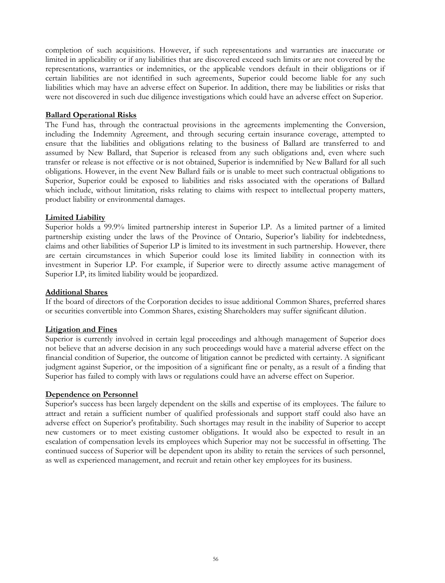completion of such acquisitions. However, if such representations and warranties are inaccurate or limited in applicability or if any liabilities that are discovered exceed such limits or are not covered by the representations, warranties or indemnities, or the applicable vendors default in their obligations or if certain liabilities are not identified in such agreements, Superior could become liable for any such liabilities which may have an adverse effect on Superior. In addition, there may be liabilities or risks that were not discovered in such due diligence investigations which could have an adverse effect on Superior.

### *Ballard Operational Risks*

The Fund has, through the contractual provisions in the agreements implementing the Conversion, including the Indemnity Agreement, and through securing certain insurance coverage, attempted to ensure that the liabilities and obligations relating to the business of Ballard are transferred to and assumed by New Ballard, that Superior is released from any such obligations and, even where such transfer or release is not effective or is not obtained, Superior is indemnified by New Ballard for all such obligations. However, in the event New Ballard fails or is unable to meet such contractual obligations to Superior, Superior could be exposed to liabilities and risks associated with the operations of Ballard which include, without limitation, risks relating to claims with respect to intellectual property matters, product liability or environmental damages.

#### *Limited Liability*

Superior holds a 99.9% limited partnership interest in Superior LP. As a limited partner of a limited partnership existing under the laws of the Province of Ontario, Superior's liability for indebtedness, claims and other liabilities of Superior LP is limited to its investment in such partnership. However, there are certain circumstances in which Superior could lose its limited liability in connection with its investment in Superior LP. For example, if Superior were to directly assume active management of Superior LP, its limited liability would be jeopardized.

#### *Additional Shares*

If the board of directors of the Corporation decides to issue additional Common Shares, preferred shares or securities convertible into Common Shares, existing Shareholders may suffer significant dilution.

## *Litigation and Fines*

Superior is currently involved in certain legal proceedings and although management of Superior does not believe that an adverse decision in any such proceedings would have a material adverse effect on the financial condition of Superior, the outcome of litigation cannot be predicted with certainty. A significant judgment against Superior, or the imposition of a significant fine or penalty, as a result of a finding that Superior has failed to comply with laws or regulations could have an adverse effect on Superior.

#### *Dependence on Personnel*

Superior's success has been largely dependent on the skills and expertise of its employees. The failure to attract and retain a sufficient number of qualified professionals and support staff could also have an adverse effect on Superior's profitability. Such shortages may result in the inability of Superior to accept new customers or to meet existing customer obligations. It would also be expected to result in an escalation of compensation levels its employees which Superior may not be successful in offsetting. The continued success of Superior will be dependent upon its ability to retain the services of such personnel, as well as experienced management, and recruit and retain other key employees for its business.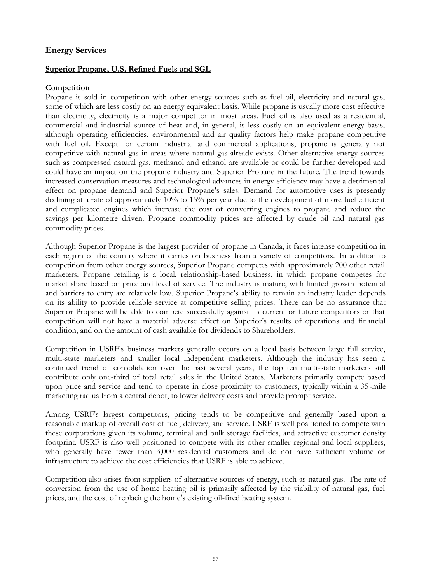# **Energy Services**

## *Superior Propane, U.S. Refined Fuels and SGL*

## *Competition*

Propane is sold in competition with other energy sources such as fuel oil, electricity and natural gas, some of which are less costly on an energy equivalent basis. While propane is usually more cost effective than electricity, electricity is a major competitor in most areas. Fuel oil is also used as a residential, commercial and industrial source of heat and, in general, is less costly on an equivalent energy basis, although operating efficiencies, environmental and air quality factors help make propane competitive with fuel oil. Except for certain industrial and commercial applications, propane is generally not competitive with natural gas in areas where natural gas already exists. Other alternative energy sources such as compressed natural gas, methanol and ethanol are available or could be further developed and could have an impact on the propane industry and Superior Propane in the future. The trend towards increased conservation measures and technological advances in energy efficiency may have a detrimental effect on propane demand and Superior Propane's sales. Demand for automotive uses is presently declining at a rate of approximately 10% to 15% per year due to the development of more fuel efficient and complicated engines which increase the cost of converting engines to propane and reduce the savings per kilometre driven. Propane commodity prices are affected by crude oil and natural gas commodity prices.

Although Superior Propane is the largest provider of propane in Canada, it faces intense competition in each region of the country where it carries on business from a variety of competitors. In addition to competition from other energy sources, Superior Propane competes with approximately 200 other retail marketers. Propane retailing is a local, relationship-based business, in which propane competes for market share based on price and level of service. The industry is mature, with limited growth potential and barriers to entry are relatively low. Superior Propane's ability to remain an industry leader depends on its ability to provide reliable service at competitive selling prices. There can be no assurance that Superior Propane will be able to compete successfully against its current or future competitors or that competition will not have a material adverse effect on Superior's results of operations and financial condition, and on the amount of cash available for dividends to Shareholders.

Competition in USRF's business markets generally occurs on a local basis between large full service, multi-state marketers and smaller local independent marketers. Although the industry has seen a continued trend of consolidation over the past several years, the top ten multi-state marketers still contribute only one-third of total retail sales in the United States. Marketers primarily compete based upon price and service and tend to operate in close proximity to customers, typically within a 35-mile marketing radius from a central depot, to lower delivery costs and provide prompt service.

Among USRF's largest competitors, pricing tends to be competitive and generally based upon a reasonable markup of overall cost of fuel, delivery, and service. USRF is well positioned to compete with these corporations given its volume, terminal and bulk storage facilities, and attractive customer density footprint. USRF is also well positioned to compete with its other smaller regional and local suppliers, who generally have fewer than 3,000 residential customers and do not have sufficient volume or infrastructure to achieve the cost efficiencies that USRF is able to achieve.

Competition also arises from suppliers of alternative sources of energy, such as natural gas. The rate of conversion from the use of home heating oil is primarily affected by the viability of natural gas, fuel prices, and the cost of replacing the home's existing oil-fired heating system.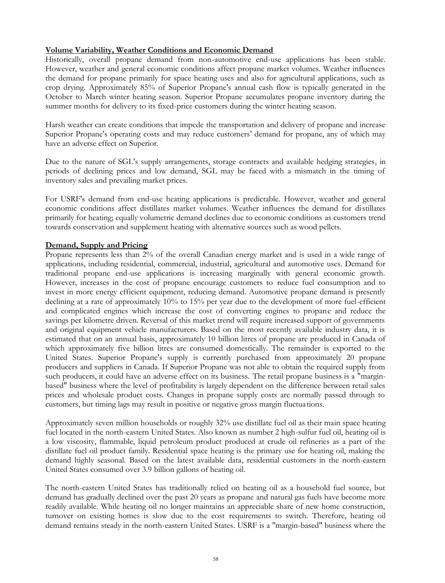## *Volume Variability, Weather Conditions and Economic Demand*

Historically, overall propane demand from non-automotive end-use applications has been stable. However, weather and general economic conditions affect propane market volumes. Weather influences the demand for propane primarily for space heating uses and also for agricultural applications, such as crop drying. Approximately 85% of Superior Propane's annual cash flow is typically generated in the October to March winter heating season. Superior Propane accumulates propane inventory during the summer months for delivery to its fixed-price customers during the winter heating season.

Harsh weather can create conditions that impede the transportation and delivery of propane and increase Superior Propane's operating costs and may reduce customers' demand for propane, any of which may have an adverse effect on Superior.

Due to the nature of SGL's supply arrangements, storage contracts and available hedging strategies, in periods of declining prices and low demand, SGL may be faced with a mismatch in the timing of inventory sales and prevailing market prices.

For USRF's demand from end-use heating applications is predictable. However, weather and general economic conditions affect distillates market volumes. Weather influences the demand for distillates primarily for heating; equally volumetric demand declines due to economic conditions as customers trend towards conservation and supplement heating with alternative sources such as wood pellets.

#### *Demand, Supply and Pricing*

Propane represents less than 2% of the overall Canadian energy market and is used in a wide range of applications, including residential, commercial, industrial, agricultural and automotive uses. Demand for traditional propane end-use applications is increasing marginally with general economic growth. However, increases in the cost of propane encourage customers to reduce fuel consumption and to invest in more energy efficient equipment, reducing demand. Automotive propane demand is presently declining at a rate of approximately 10% to 15% per year due to the development of more fuel-efficient and complicated engines which increase the cost of converting engines to propane and reduce the savings per kilometre driven. Reversal of this market trend will require increased support of governments and original equipment vehicle manufacturers. Based on the most recently available industry data, it is estimated that on an annual basis, approximately 10 billion litres of propane are produced in Canada of which approximately five billion litres are consumed domestically. The remainder is exported to the United States. Superior Propane's supply is currently purchased from approximately 20 propane producers and suppliers in Canada. If Superior Propane was not able to obtain the required supply from such producers, it could have an adverse effect on its business. The retail propane business is a "marginbased" business where the level of profitability is largely dependent on the difference between retail sales prices and wholesale product costs. Changes in propane supply costs are normally passed through to customers, but timing lags may result in positive or negative gross margin fluctuations.

Approximately seven million households or roughly 32% use distillate fuel oil as their main space heating fuel located in the north-eastern United States. Also known as number 2 high-sulfur fuel oil, heating oil is a low viscosity, flammable, liquid petroleum product produced at crude oil refineries as a part of the distillate fuel oil product family. Residential space heating is the primary use for heating oil, making the demand highly seasonal. Based on the latest available data, residential customers in the north-eastern United States consumed over 3.9 billion gallons of heating oil.

The north-eastern United States has traditionally relied on heating oil as a household fuel source, but demand has gradually declined over the past 20 years as propane and natural gas fuels have become more readily available. While heating oil no longer maintains an appreciable share of new home construction, turnover on existing homes is slow due to the cost requirements to switch. Therefore, heating oil demand remains steady in the north-eastern United States. USRF is a "margin-based" business where the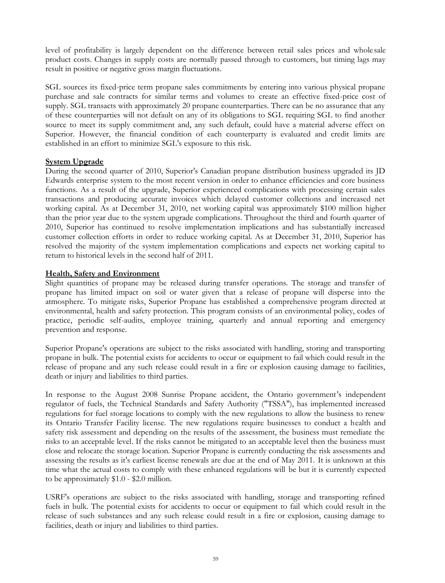level of profitability is largely dependent on the difference between retail sales prices and whole sale product costs. Changes in supply costs are normally passed through to customers, but timing lags may result in positive or negative gross margin fluctuations.

SGL sources its fixed-price term propane sales commitments by entering into various physical propane purchase and sale contracts for similar terms and volumes to create an effective fixed-price cost of supply. SGL transacts with approximately 20 propane counterparties. There can be no assurance that any of these counterparties will not default on any of its obligations to SGL requiring SGL to find another source to meet its supply commitment and, any such default, could have a material adverse effect on Superior. However, the financial condition of each counterparty is evaluated and credit limits are established in an effort to minimize SGL's exposure to this risk.

#### *System Upgrade*

During the second quarter of 2010, Superior's Canadian propane distribution business upgraded its JD Edwards enterprise system to the most recent version in order to enhance efficiencies and core business functions. As a result of the upgrade, Superior experienced complications with processing certain sales transactions and producing accurate invoices which delayed customer collections and increased net working capital. As at December 31, 2010, net working capital was approximately \$100 million higher than the prior year due to the system upgrade complications. Throughout the third and fourth quarter of 2010, Superior has continued to resolve implementation implications and has substantially increased customer collection efforts in order to reduce working capital. As at December 31, 2010, Superior has resolved the majority of the system implementation complications and expects net working capital to return to historical levels in the second half of 2011.

#### *Health, Safety and Environment*

Slight quantities of propane may be released during transfer operations. The storage and transfer of propane has limited impact on soil or water given that a release of propane will disperse into the atmosphere. To mitigate risks, Superior Propane has established a comprehensive program directed at environmental, health and safety protection. This program consists of an environmental policy, codes of practice, periodic self-audits, employee training, quarterly and annual reporting and emergency prevention and response.

Superior Propane's operations are subject to the risks associated with handling, storing and transporting propane in bulk. The potential exists for accidents to occur or equipment to fail which could result in the release of propane and any such release could result in a fire or explosion causing damage to facilities, death or injury and liabilities to third parties.

In response to the August 2008 Sunrise Propane accident, the Ontario government's independent regulator of fuels, the Technical Standards and Safety Authority ("TSSA"), has implemented increased regulations for fuel storage locations to comply with the new regulations to allow the business to renew its Ontario Transfer Facility license. The new regulations require businesses to conduct a health and safety risk assessment and depending on the results of the assessment, the business must remediate the risks to an acceptable level. If the risks cannot be mitigated to an acceptable level then the business must close and relocate the storage location. Superior Propane is currently conducting the risk assessments and assessing the results as it's earliest license renewals are due at the end of May 2011. It is unknown at this time what the actual costs to comply with these enhanced regulations will be but it is currently expected to be approximately \$1.0 - \$2.0 million.

USRF's operations are subject to the risks associated with handling, storage and transporting refined fuels in bulk. The potential exists for accidents to occur or equipment to fail which could result in the release of such substances and any such release could result in a fire or explosion, causing damage to facilities, death or injury and liabilities to third parties.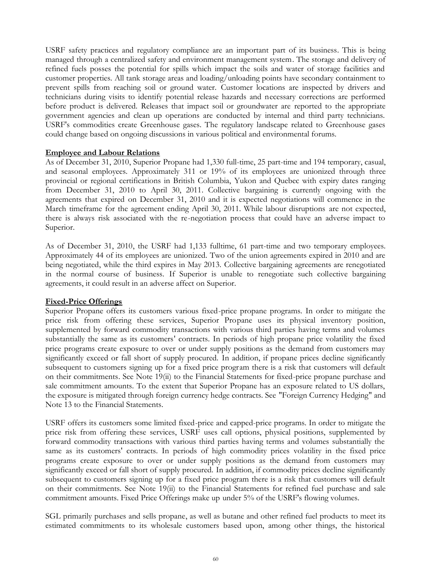USRF safety practices and regulatory compliance are an important part of its business. This is being managed through a centralized safety and environment management system. The storage and delivery of refined fuels posses the potential for spills which impact the soils and water of storage facilities and customer properties. All tank storage areas and loading/unloading points have secondary containment to prevent spills from reaching soil or ground water. Customer locations are inspected by drivers and technicians during visits to identify potential release hazards and necessary corrections are performed before product is delivered. Releases that impact soil or groundwater are reported to the appropriate government agencies and clean up operations are conducted by internal and third party technicians. USRF's commodities create Greenhouse gases. The regulatory landscape related to Greenhouse gases could change based on ongoing discussions in various political and environmental forums.

#### *Employee and Labour Relations*

As of December 31, 2010, Superior Propane had 1,330 full-time, 25 part-time and 194 temporary, casual, and seasonal employees. Approximately 311 or 19% of its employees are unionized through three provincial or regional certifications in British Columbia, Yukon and Quebec with expiry dates ranging from December 31, 2010 to April 30, 2011. Collective bargaining is currently ongoing with the agreements that expired on December 31, 2010 and it is expected negotiations will commence in the March timeframe for the agreement ending April 30, 2011. While labour disruptions are not expected, there is always risk associated with the re-negotiation process that could have an adverse impact to Superior.

As of December 31, 2010, the USRF had 1,133 fulltime, 61 part-time and two temporary employees. Approximately 44 of its employees are unionized. Two of the union agreements expired in 2010 and are being negotiated, while the third expires in May 2013. Collective bargaining agreements are renegotiated in the normal course of business. If Superior is unable to renegotiate such collective bargaining agreements, it could result in an adverse affect on Superior.

## *Fixed-Price Offerings*

Superior Propane offers its customers various fixed-price propane programs. In order to mitigate the price risk from offering these services, Superior Propane uses its physical inventory position, supplemented by forward commodity transactions with various third parties having terms and volumes substantially the same as its customers' contracts. In periods of high propane price volatility the fixed price programs create exposure to over or under supply positions as the demand from customers may significantly exceed or fall short of supply procured. In addition, if propane prices decline significantly subsequent to customers signing up for a fixed price program there is a risk that customers will default on their commitments. See Note 19(ii) to the Financial Statements for fixed-price propane purchase and sale commitment amounts. To the extent that Superior Propane has an exposure related to US dollars, the exposure is mitigated through foreign currency hedge contracts. See "Foreign Currency Hedging" and Note 13 to the Financial Statements.

USRF offers its customers some limited fixed-price and capped-price programs. In order to mitigate the price risk from offering these services, USRF uses call options, physical positions, supplemented by forward commodity transactions with various third parties having terms and volumes substantially the same as its customers' contracts. In periods of high commodity prices volatility in the fixed price programs create exposure to over or under supply positions as the demand from customers may significantly exceed or fall short of supply procured. In addition, if commodity prices decline significantly subsequent to customers signing up for a fixed price program there is a risk that customers will default on their commitments. See Note 19(ii) to the Financial Statements for refined fuel purchase and sale commitment amounts. Fixed Price Offerings make up under 5% of the USRF's flowing volumes.

SGL primarily purchases and sells propane, as well as butane and other refined fuel products to meet its estimated commitments to its wholesale customers based upon, among other things, the historical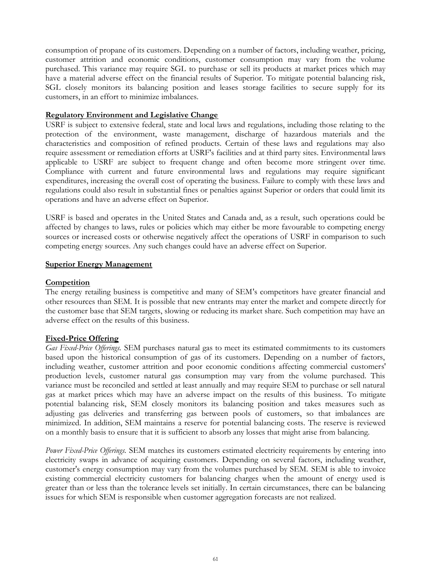consumption of propane of its customers. Depending on a number of factors, including weather, pricing, customer attrition and economic conditions, customer consumption may vary from the volume purchased. This variance may require SGL to purchase or sell its products at market prices which may have a material adverse effect on the financial results of Superior. To mitigate potential balancing risk, SGL closely monitors its balancing position and leases storage facilities to secure supply for its customers, in an effort to minimize imbalances.

### *Regulatory Environment and Legislative Change*

USRF is subject to extensive federal, state and local laws and regulations, including those relating to the protection of the environment, waste management, discharge of hazardous materials and the characteristics and composition of refined products. Certain of these laws and regulations may also require assessment or remediation efforts at USRF's facilities and at third party sites. Environmental laws applicable to USRF are subject to frequent change and often become more stringent over time. Compliance with current and future environmental laws and regulations may require significant expenditures, increasing the overall cost of operating the business. Failure to comply with these laws and regulations could also result in substantial fines or penalties against Superior or orders that could limit its operations and have an adverse effect on Superior.

USRF is based and operates in the United States and Canada and, as a result, such operations could be affected by changes to laws, rules or policies which may either be more favourable to competing energy sources or increased costs or otherwise negatively affect the operations of USRF in comparison to such competing energy sources. Any such changes could have an adverse effect on Superior.

## *Superior Energy Management*

#### *Competition*

The energy retailing business is competitive and many of SEM's competitors have greater financial and other resources than SEM. It is possible that new entrants may enter the market and compete directly for the customer base that SEM targets, slowing or reducing its market share. Such competition may have an adverse effect on the results of this business.

## *Fixed-Price Offering*

*Gas Fixed-Price Offerings.* SEM purchases natural gas to meet its estimated commitments to its customers based upon the historical consumption of gas of its customers. Depending on a number of factors, including weather, customer attrition and poor economic conditions affecting commercial customers' production levels, customer natural gas consumption may vary from the volume purchased. This variance must be reconciled and settled at least annually and may require SEM to purchase or sell natural gas at market prices which may have an adverse impact on the results of this business. To mitigate potential balancing risk, SEM closely monitors its balancing position and takes measures such as adjusting gas deliveries and transferring gas between pools of customers, so that imbalances are minimized. In addition, SEM maintains a reserve for potential balancing costs. The reserve is reviewed on a monthly basis to ensure that it is sufficient to absorb any losses that might arise from balancing.

*Power Fixed-Price Offerings.* SEM matches its customers estimated electricity requirements by entering into electricity swaps in advance of acquiring customers. Depending on several factors, including weather, customer's energy consumption may vary from the volumes purchased by SEM. SEM is able to invoice existing commercial electricity customers for balancing charges when the amount of energy used is greater than or less than the tolerance levels set initially. In certain circumstances, there can be balancing issues for which SEM is responsible when customer aggregation forecasts are not realized.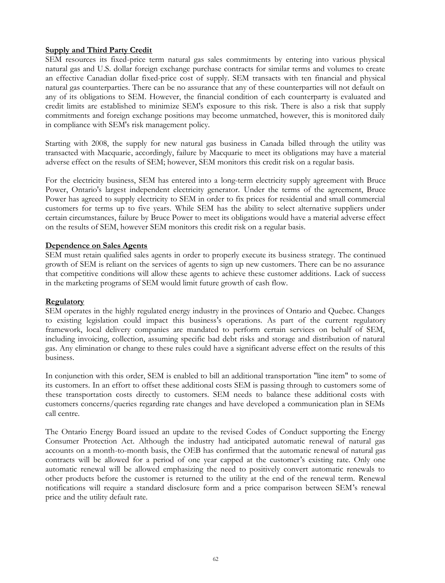## *Supply and Third Party Credit*

SEM resources its fixed-price term natural gas sales commitments by entering into various physical natural gas and U.S. dollar foreign exchange purchase contracts for similar terms and volumes to create an effective Canadian dollar fixed-price cost of supply. SEM transacts with ten financial and physical natural gas counterparties. There can be no assurance that any of these counterparties will not default on any of its obligations to SEM. However, the financial condition of each counterparty is evaluated and credit limits are established to minimize SEM's exposure to this risk. There is also a risk that supply commitments and foreign exchange positions may become unmatched, however, this is monitored daily in compliance with SEM's risk management policy.

Starting with 2008, the supply for new natural gas business in Canada billed through the utility was transacted with Macquarie, accordingly, failure by Macquarie to meet its obligations may have a material adverse effect on the results of SEM; however, SEM monitors this credit risk on a regular basis.

For the electricity business, SEM has entered into a long-term electricity supply agreement with Bruce Power, Ontario's largest independent electricity generator. Under the terms of the agreement, Bruce Power has agreed to supply electricity to SEM in order to fix prices for residential and small commercial customers for terms up to five years. While SEM has the ability to select alternative suppliers under certain circumstances, failure by Bruce Power to meet its obligations would have a material adverse effect on the results of SEM, however SEM monitors this credit risk on a regular basis.

## *Dependence on Sales Agents*

SEM must retain qualified sales agents in order to properly execute its business strategy. The continued growth of SEM is reliant on the services of agents to sign up new customers. There can be no assurance that competitive conditions will allow these agents to achieve these customer additions. Lack of success in the marketing programs of SEM would limit future growth of cash flow.

## *Regulatory*

SEM operates in the highly regulated energy industry in the provinces of Ontario and Quebec. Changes to existing legislation could impact this business's operations. As part of the current regulatory framework, local delivery companies are mandated to perform certain services on behalf of SEM, including invoicing, collection, assuming specific bad debt risks and storage and distribution of natural gas. Any elimination or change to these rules could have a significant adverse effect on the results of this business.

In conjunction with this order, SEM is enabled to bill an additional transportation "line item" to some of its customers. In an effort to offset these additional costs SEM is passing through to customers some of these transportation costs directly to customers. SEM needs to balance these additional costs with customers concerns/queries regarding rate changes and have developed a communication plan in SEMs call centre.

The Ontario Energy Board issued an update to the revised Codes of Conduct supporting the Energy Consumer Protection Act. Although the industry had anticipated automatic renewal of natural gas accounts on a month-to-month basis, the OEB has confirmed that the automatic renewal of natural gas contracts will be allowed for a period of one year capped at the customer's existing rate. Only one automatic renewal will be allowed emphasizing the need to positively convert automatic renewals to other products before the customer is returned to the utility at the end of the renewal term. Renewal notifications will require a standard disclosure form and a price comparison between SEM's renewal price and the utility default rate.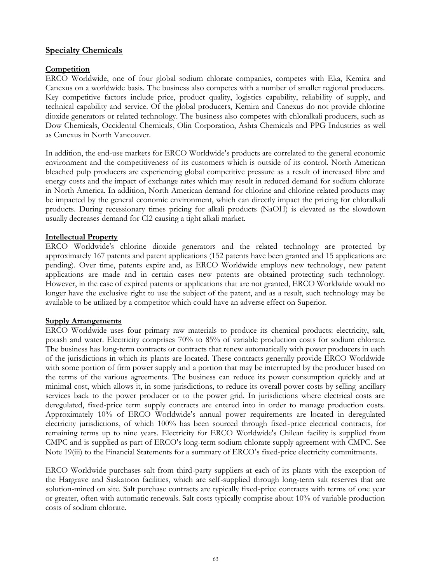# **Specialty Chemicals**

### *Competition*

ERCO Worldwide, one of four global sodium chlorate companies, competes with Eka, Kemira and Canexus on a worldwide basis. The business also competes with a number of smaller regional producers. Key competitive factors include price, product quality, logistics capability, reliability of supply, and technical capability and service. Of the global producers, Kemira and Canexus do not provide chlorine dioxide generators or related technology. The business also competes with chloralkali producers, such as Dow Chemicals, Occidental Chemicals, Olin Corporation, Ashta Chemicals and PPG Industries as well as Canexus in North Vancouver.

In addition, the end-use markets for ERCO Worldwide's products are correlated to the general economic environment and the competitiveness of its customers which is outside of its control. North American bleached pulp producers are experiencing global competitive pressure as a result of increased fibre and energy costs and the impact of exchange rates which may result in reduced demand for sodium chlorate in North America. In addition, North American demand for chlorine and chlorine related products may be impacted by the general economic environment, which can directly impact the pricing for chloralkali products. During recessionary times pricing for alkali products (NaOH) is elevated as the slowdown usually decreases demand for Cl2 causing a tight alkali market.

#### *Intellectual Property*

ERCO Worldwide's chlorine dioxide generators and the related technology are protected by approximately 167 patents and patent applications (152 patents have been granted and 15 applications are pending). Over time, patents expire and, as ERCO Worldwide employs new technology, new patent applications are made and in certain cases new patents are obtained protecting such technology. However, in the case of expired patents or applications that are not granted, ERCO Worldwide would no longer have the exclusive right to use the subject of the patent, and as a result, such technology may be available to be utilized by a competitor which could have an adverse effect on Superior.

#### *Supply Arrangements*

ERCO Worldwide uses four primary raw materials to produce its chemical products: electricity, salt, potash and water. Electricity comprises 70% to 85% of variable production costs for sodium chlorate. The business has long-term contracts or contracts that renew automatically with power producers in each of the jurisdictions in which its plants are located. These contracts generally provide ERCO Worldwide with some portion of firm power supply and a portion that may be interrupted by the producer based on the terms of the various agreements. The business can reduce its power consumption quickly and at minimal cost, which allows it, in some jurisdictions, to reduce its overall power costs by selling ancillary services back to the power producer or to the power grid. In jurisdictions where electrical costs are deregulated, fixed-price term supply contracts are entered into in order to manage production costs. Approximately 10% of ERCO Worldwide's annual power requirements are located in deregulated electricity jurisdictions, of which 100% has been sourced through fixed-price electrical contracts, for remaining terms up to nine years. Electricity for ERCO Worldwide's Chilean facility is supplied from CMPC and is supplied as part of ERCO's long-term sodium chlorate supply agreement with CMPC. See Note 19(iii) to the Financial Statements for a summary of ERCO's fixed-price electricity commitments.

ERCO Worldwide purchases salt from third-party suppliers at each of its plants with the exception of the Hargrave and Saskatoon facilities, which are self-supplied through long-term salt reserves that are solution-mined on site. Salt purchase contracts are typically fixed-price contracts with terms of one year or greater, often with automatic renewals. Salt costs typically comprise about 10% of variable production costs of sodium chlorate.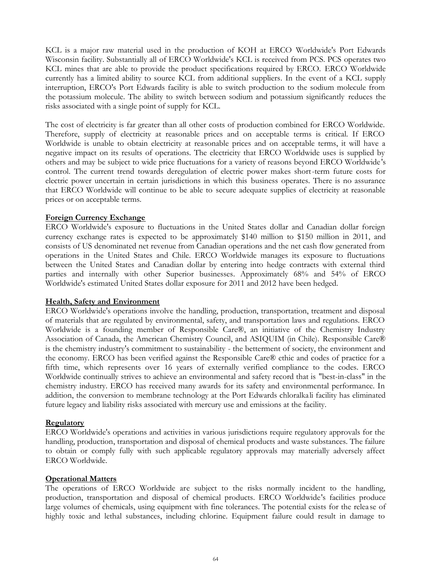KCL is a major raw material used in the production of KOH at ERCO Worldwide's Port Edwards Wisconsin facility. Substantially all of ERCO Worldwide's KCL is received from PCS. PCS operates two KCL mines that are able to provide the product specifications required by ERCO. ERCO Worldwide currently has a limited ability to source KCL from additional suppliers. In the event of a KCL supply interruption, ERCO's Port Edwards facility is able to switch production to the sodium molecule from the potassium molecule. The ability to switch between sodium and potassium significantly reduces the risks associated with a single point of supply for KCL.

The cost of electricity is far greater than all other costs of production combined for ERCO Worldwide. Therefore, supply of electricity at reasonable prices and on acceptable terms is critical. If ERCO Worldwide is unable to obtain electricity at reasonable prices and on acceptable terms, it will have a negative impact on its results of operations. The electricity that ERCO Worldwide uses is supplied by others and may be subject to wide price fluctuations for a variety of reasons beyond ERCO Worldwide 's control. The current trend towards deregulation of electric power makes short-term future costs for electric power uncertain in certain jurisdictions in which this business operates. There is no assurance that ERCO Worldwide will continue to be able to secure adequate supplies of electricity at reasonable prices or on acceptable terms.

#### *Foreign Currency Exchange*

ERCO Worldwide's exposure to fluctuations in the United States dollar and Canadian dollar foreign currency exchange rates is expected to be approximately \$140 million to \$150 million in 2011, and consists of US denominated net revenue from Canadian operations and the net cash flow generated from operations in the United States and Chile. ERCO Worldwide manages its exposure to fluctuations between the United States and Canadian dollar by entering into hedge contracts with external third parties and internally with other Superior businesses. Approximately 68% and 54% of ERCO Worldwide's estimated United States dollar exposure for 2011 and 2012 have been hedged.

#### *Health, Safety and Environment*

ERCO Worldwide's operations involve the handling, production, transportation, treatment and disposal of materials that are regulated by environmental, safety, and transportation laws and regulations. ERCO Worldwide is a founding member of Responsible Care®, an initiative of the Chemistry Industry Association of Canada, the American Chemistry Council, and ASIQUIM (in Chile). Responsible Care® is the chemistry industry's commitment to sustainability - the betterment of society, the environment and the economy. ERCO has been verified against the Responsible Care® ethic and codes of practice for a fifth time, which represents over 16 years of externally verified compliance to the codes. ERCO Worldwide continually strives to achieve an environmental and safety record that is "best-in-class" in the chemistry industry. ERCO has received many awards for its safety and environmental performance. In addition, the conversion to membrane technology at the Port Edwards chloralkali facility has eliminated future legacy and liability risks associated with mercury use and emissions at the facility.

#### *Regulatory*

ERCO Worldwide's operations and activities in various jurisdictions require regulatory approvals for the handling, production, transportation and disposal of chemical products and waste substances. The failure to obtain or comply fully with such applicable regulatory approvals may materially adversely affect ERCO Worldwide.

## *Operational Matters*

The operations of ERCO Worldwide are subject to the risks normally incident to the handling, production, transportation and disposal of chemical products. ERCO Worldwide's facilities produce large volumes of chemicals, using equipment with fine tolerances. The potential exists for the relea se of highly toxic and lethal substances, including chlorine. Equipment failure could result in damage to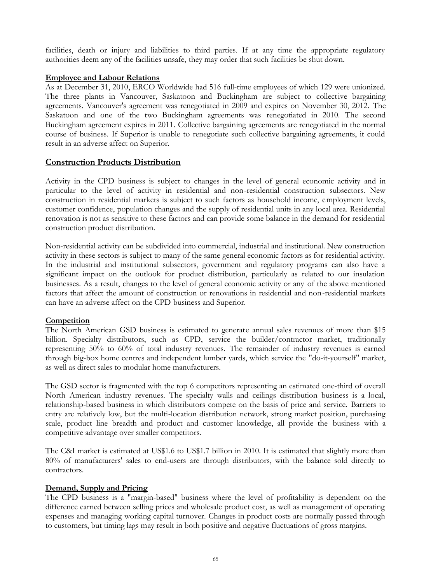facilities, death or injury and liabilities to third parties. If at any time the appropriate regulatory authorities deem any of the facilities unsafe, they may order that such facilities be shut down.

## *Employee and Labour Relations*

As at December 31, 2010, ERCO Worldwide had 516 full-time employees of which 129 were unionized. The three plants in Vancouver, Saskatoon and Buckingham are subject to collective bargaining agreements. Vancouver's agreement was renegotiated in 2009 and expires on November 30, 2012. The Saskatoon and one of the two Buckingham agreements was renegotiated in 2010. The second Buckingham agreement expires in 2011. Collective bargaining agreements are renegotiated in the normal course of business. If Superior is unable to renegotiate such collective bargaining agreements, it could result in an adverse affect on Superior.

## **Construction Products Distribution**

Activity in the CPD business is subject to changes in the level of general economic activity and in particular to the level of activity in residential and non-residential construction subsectors. New construction in residential markets is subject to such factors as household income, employment levels, customer confidence, population changes and the supply of residential units in any local area. Residential renovation is not as sensitive to these factors and can provide some balance in the demand for residential construction product distribution.

Non-residential activity can be subdivided into commercial, industrial and institutional. New construction activity in these sectors is subject to many of the same general economic factors as for residential activity. In the industrial and institutional subsectors, government and regulatory programs can also have a significant impact on the outlook for product distribution, particularly as related to our insulation businesses. As a result, changes to the level of general economic activity or any of the above mentioned factors that affect the amount of construction or renovations in residential and non-residential markets can have an adverse affect on the CPD business and Superior.

#### *Competition*

The North American GSD business is estimated to generate annual sales revenues of more than \$15 billion. Specialty distributors, such as CPD, service the builder/contractor market, traditionally representing 50% to 60% of total industry revenues. The remainder of industry revenues is earned through big-box home centres and independent lumber yards, which service the "do-it-yourself" market, as well as direct sales to modular home manufacturers.

The GSD sector is fragmented with the top 6 competitors representing an estimated one-third of overall North American industry revenues. The specialty walls and ceilings distribution business is a local, relationship-based business in which distributors compete on the basis of price and service. Barriers to entry are relatively low, but the multi-location distribution network, strong market position, purchasing scale, product line breadth and product and customer knowledge, all provide the business with a competitive advantage over smaller competitors.

The C&I market is estimated at US\$1.6 to US\$1.7 billion in 2010. It is estimated that slightly more than 80% of manufacturers' sales to end-users are through distributors, with the balance sold directly to contractors.

#### *Demand, Supply and Pricing*

The CPD business is a "margin-based" business where the level of profitability is dependent on the difference earned between selling prices and wholesale product cost, as well as management of operating expenses and managing working capital turnover. Changes in product costs are normally passed through to customers, but timing lags may result in both positive and negative fluctuations of gross margins.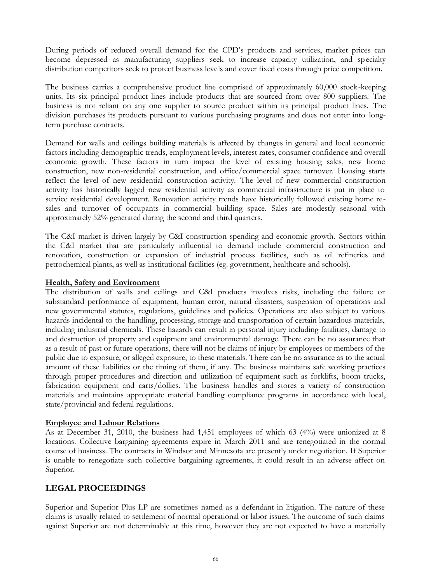During periods of reduced overall demand for the CPD's products and services, market prices can become depressed as manufacturing suppliers seek to increase capacity utilization, and specialty distribution competitors seek to protect business levels and cover fixed costs through price competition.

The business carries a comprehensive product line comprised of approximately 60,000 stock-keeping units. Its six principal product lines include products that are sourced from over 800 suppliers. The business is not reliant on any one supplier to source product within its principal product lines. The division purchases its products pursuant to various purchasing programs and does not enter into longterm purchase contracts.

Demand for walls and ceilings building materials is affected by changes in general and local economic factors including demographic trends, employment levels, interest rates, consumer confidence and overall economic growth. These factors in turn impact the level of existing housing sales, new home construction, new non-residential construction, and office/commercial space turnover. Housing starts reflect the level of new residential construction activity. The level of new commercial construction activity has historically lagged new residential activity as commercial infrastructure is put in place to service residential development. Renovation activity trends have historically followed existing home resales and turnover of occupants in commercial building space. Sales are modestly seasonal with approximately 52% generated during the second and third quarters.

The C&I market is driven largely by C&I construction spending and economic growth. Sectors within the C&I market that are particularly influential to demand include commercial construction and renovation, construction or expansion of industrial process facilities, such as oil refineries and petrochemical plants, as well as institutional facilities (eg. government, healthcare and schools).

#### *Health, Safety and Environment*

The distribution of walls and ceilings and C&I products involves risks, including the failure or substandard performance of equipment, human error, natural disasters, suspension of operations and new governmental statutes, regulations, guidelines and policies. Operations are also subject to various hazards incidental to the handling, processing, storage and transportation of certain hazardous materials, including industrial chemicals. These hazards can result in personal injury including fatalities, damage to and destruction of property and equipment and environmental damage. There can be no assurance that as a result of past or future operations, there will not be claims of injury by employees or members of the public due to exposure, or alleged exposure, to these materials. There can be no assurance as to the actual amount of these liabilities or the timing of them, if any. The business maintains safe working practices through proper procedures and direction and utilization of equipment such as forklifts, boom trucks, fabrication equipment and carts/dollies. The business handles and stores a variety of construction materials and maintains appropriate material handling compliance programs in accordance with local, state/provincial and federal regulations.

#### *Employee and Labour Relations*

As at December 31, 2010, the business had 1,451 employees of which 63 (4%) were unionized at 8 locations. Collective bargaining agreements expire in March 2011 and are renegotiated in the normal course of business. The contracts in Windsor and Minnesota are presently under negotiation. If Superior is unable to renegotiate such collective bargaining agreements, it could result in an adverse affect on Superior.

#### **LEGAL PROCEEDINGS**

Superior and Superior Plus LP are sometimes named as a defendant in litigation. The nature of these claims is usually related to settlement of normal operational or labor issues. The outcome of such claims against Superior are not determinable at this time, however they are not expected to have a materially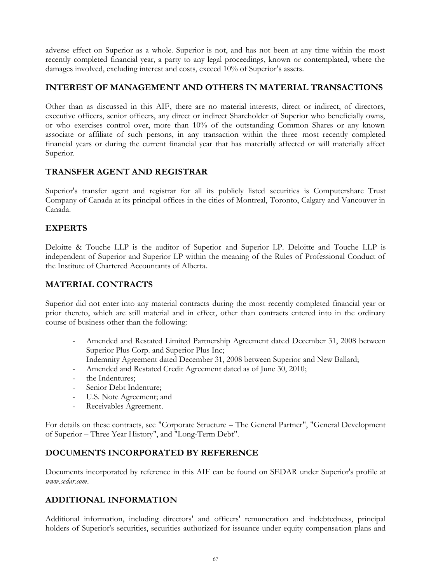adverse effect on Superior as a whole. Superior is not, and has not been at any time within the most recently completed financial year, a party to any legal proceedings, known or contemplated, where the damages involved, excluding interest and costs, exceed 10% of Superior's assets.

## **INTEREST OF MANAGEMENT AND OTHERS IN MATERIAL TRANSACTIONS**

Other than as discussed in this AIF, there are no material interests, direct or indirect, of directors, executive officers, senior officers, any direct or indirect Shareholder of Superior who beneficially owns, or who exercises control over, more than 10% of the outstanding Common Shares or any known associate or affiliate of such persons, in any transaction within the three most recently completed financial years or during the current financial year that has materially affected or will materially affect Superior.

## **TRANSFER AGENT AND REGISTRAR**

Superior's transfer agent and registrar for all its publicly listed securities is Computershare Trust Company of Canada at its principal offices in the cities of Montreal, Toronto, Calgary and Vancouver in Canada.

## **EXPERTS**

Deloitte & Touche LLP is the auditor of Superior and Superior LP. Deloitte and Touche LLP is independent of Superior and Superior LP within the meaning of the Rules of Professional Conduct of the Institute of Chartered Accountants of Alberta.

## **MATERIAL CONTRACTS**

Superior did not enter into any material contracts during the most recently completed financial year or prior thereto, which are still material and in effect, other than contracts entered into in the ordinary course of business other than the following:

- Amended and Restated Limited Partnership Agreement dated December 31, 2008 between Superior Plus Corp. and Superior Plus Inc;
	- Indemnity Agreement dated December 31, 2008 between Superior and New Ballard;
- Amended and Restated Credit Agreement dated as of June 30, 2010;
- the Indentures;
- Senior Debt Indenture;
- U.S. Note Agreement; and
- Receivables Agreement.

For details on these contracts, see "Corporate Structure – The General Partner", "General Development of Superior – Three Year History", and "Long-Term Debt".

# **DOCUMENTS INCORPORATED BY REFERENCE**

Documents incorporated by reference in this AIF can be found on SEDAR under Superior's profile at *www.sedar.com*[.](www.sedar.com)

## **ADDITIONAL INFORMATION**

Additional information, including directors' and officers' remuneration and indebtedness, principal holders of Superior's securities, securities authorized for issuance under equity compensation plans and